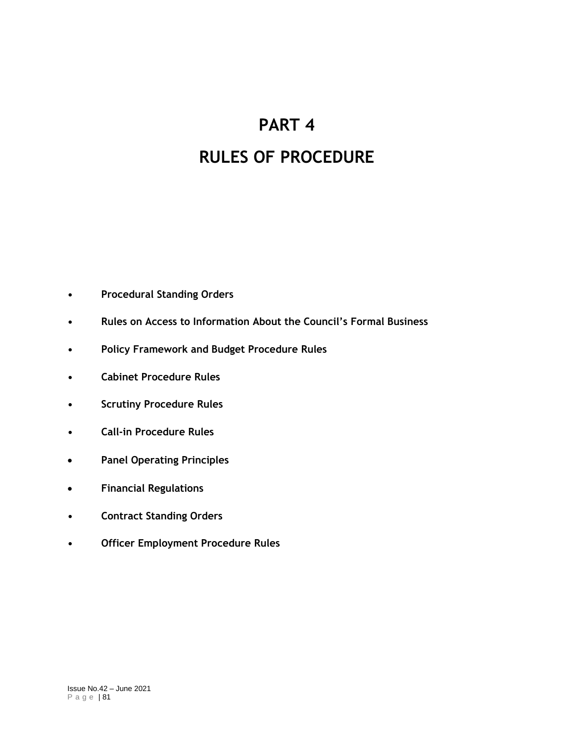# **PART 4**

# **RULES OF PROCEDURE**

- **• Procedural Standing Orders**
- **• Rules on Access to Information About the Council's Formal Business**
- **• Policy Framework and Budget Procedure Rules**
- **• Cabinet Procedure Rules**
- **• Scrutiny Procedure Rules**
- **• Call-in Procedure Rules**
- **Panel Operating Principles**
- **Financial Regulations**
- **• Contract Standing Orders**
- **• Officer Employment Procedure Rules**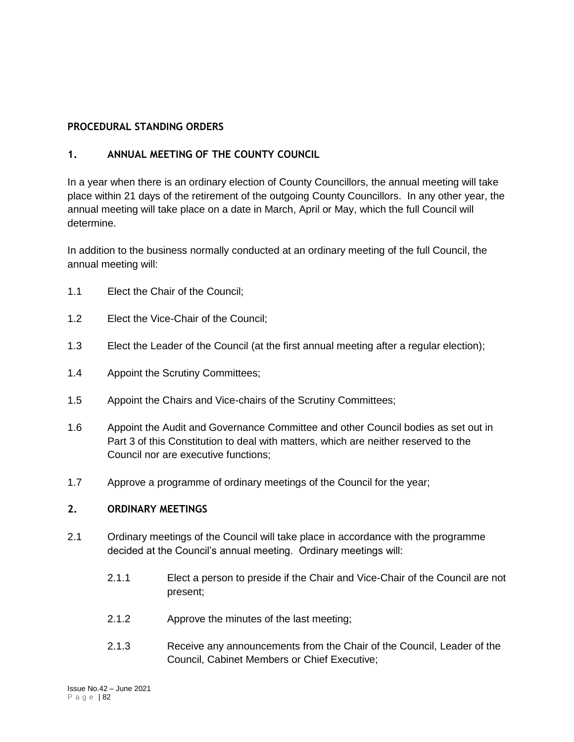## **PROCEDURAL STANDING ORDERS**

## **1. ANNUAL MEETING OF THE COUNTY COUNCIL**

In a year when there is an ordinary election of County Councillors, the annual meeting will take place within 21 days of the retirement of the outgoing County Councillors. In any other year, the annual meeting will take place on a date in March, April or May, which the full Council will determine.

In addition to the business normally conducted at an ordinary meeting of the full Council, the annual meeting will:

- 1.1 Elect the Chair of the Council;
- 1.2 Elect the Vice-Chair of the Council;
- 1.3 Elect the Leader of the Council (at the first annual meeting after a regular election);
- 1.4 Appoint the Scrutiny Committees;
- 1.5 Appoint the Chairs and Vice-chairs of the Scrutiny Committees;
- 1.6 Appoint the Audit and Governance Committee and other Council bodies as set out in Part 3 of this Constitution to deal with matters, which are neither reserved to the Council nor are executive functions;
- 1.7 Approve a programme of ordinary meetings of the Council for the year;

## **2. ORDINARY MEETINGS**

- 2.1 Ordinary meetings of the Council will take place in accordance with the programme decided at the Council's annual meeting. Ordinary meetings will:
	- 2.1.1 Elect a person to preside if the Chair and Vice-Chair of the Council are not present;
	- 2.1.2 Approve the minutes of the last meeting;
	- 2.1.3 Receive any announcements from the Chair of the Council, Leader of the Council, Cabinet Members or Chief Executive;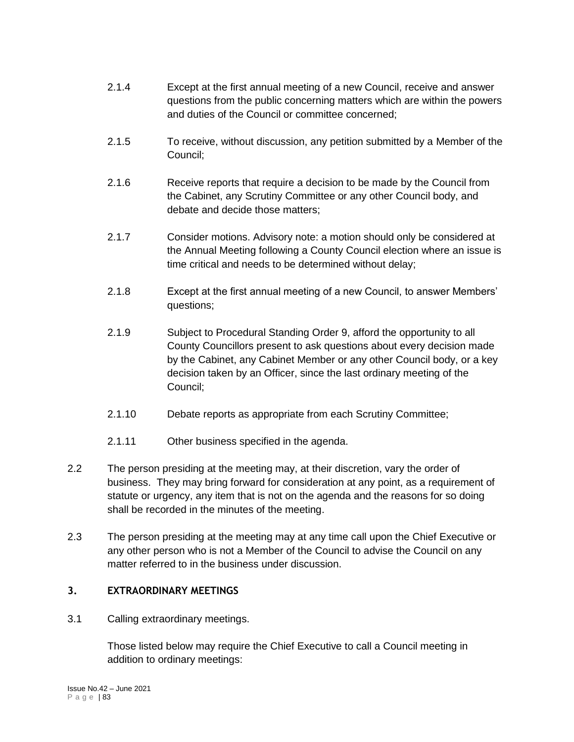- 2.1.4 Except at the first annual meeting of a new Council, receive and answer questions from the public concerning matters which are within the powers and duties of the Council or committee concerned;
- 2.1.5 To receive, without discussion, any petition submitted by a Member of the Council;
- 2.1.6 Receive reports that require a decision to be made by the Council from the Cabinet, any Scrutiny Committee or any other Council body, and debate and decide those matters;
- 2.1.7 Consider motions. Advisory note: a motion should only be considered at the Annual Meeting following a County Council election where an issue is time critical and needs to be determined without delay;
- 2.1.8 Except at the first annual meeting of a new Council, to answer Members' questions;
- 2.1.9 Subject to Procedural Standing Order 9, afford the opportunity to all County Councillors present to ask questions about every decision made by the Cabinet, any Cabinet Member or any other Council body, or a key decision taken by an Officer, since the last ordinary meeting of the Council;
- 2.1.10 Debate reports as appropriate from each Scrutiny Committee;
- 2.1.11 Other business specified in the agenda.
- 2.2 The person presiding at the meeting may, at their discretion, vary the order of business. They may bring forward for consideration at any point, as a requirement of statute or urgency, any item that is not on the agenda and the reasons for so doing shall be recorded in the minutes of the meeting.
- 2.3 The person presiding at the meeting may at any time call upon the Chief Executive or any other person who is not a Member of the Council to advise the Council on any matter referred to in the business under discussion.

# **3. EXTRAORDINARY MEETINGS**

3.1 Calling extraordinary meetings.

Those listed below may require the Chief Executive to call a Council meeting in addition to ordinary meetings: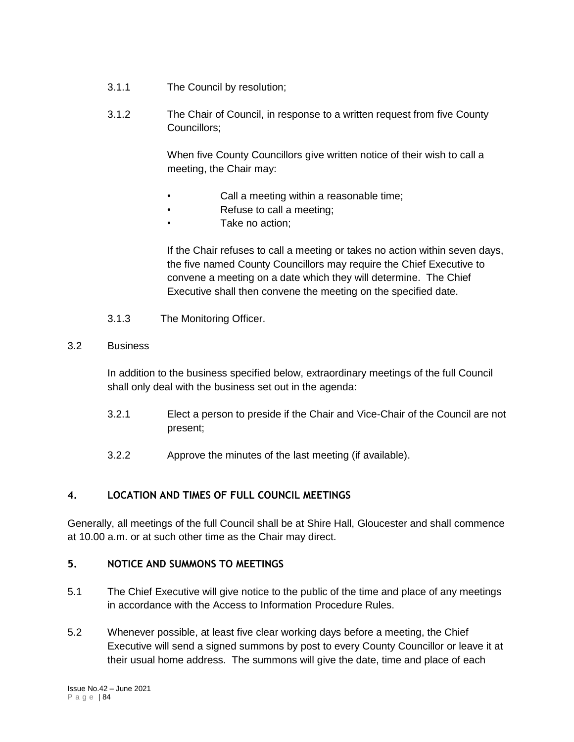- 3.1.1 The Council by resolution;
- 3.1.2 The Chair of Council, in response to a written request from five County Councillors;

When five County Councillors give written notice of their wish to call a meeting, the Chair may:

- Call a meeting within a reasonable time;
- Refuse to call a meeting;
	- Take no action:

If the Chair refuses to call a meeting or takes no action within seven days, the five named County Councillors may require the Chief Executive to convene a meeting on a date which they will determine. The Chief Executive shall then convene the meeting on the specified date.

3.1.3 The Monitoring Officer.

## 3.2 Business

In addition to the business specified below, extraordinary meetings of the full Council shall only deal with the business set out in the agenda:

- 3.2.1 Elect a person to preside if the Chair and Vice-Chair of the Council are not present;
- 3.2.2 Approve the minutes of the last meeting (if available).

## **4. LOCATION AND TIMES OF FULL COUNCIL MEETINGS**

Generally, all meetings of the full Council shall be at Shire Hall, Gloucester and shall commence at 10.00 a.m. or at such other time as the Chair may direct.

## **5. NOTICE AND SUMMONS TO MEETINGS**

- 5.1 The Chief Executive will give notice to the public of the time and place of any meetings in accordance with the Access to Information Procedure Rules.
- 5.2 Whenever possible, at least five clear working days before a meeting, the Chief Executive will send a signed summons by post to every County Councillor or leave it at their usual home address. The summons will give the date, time and place of each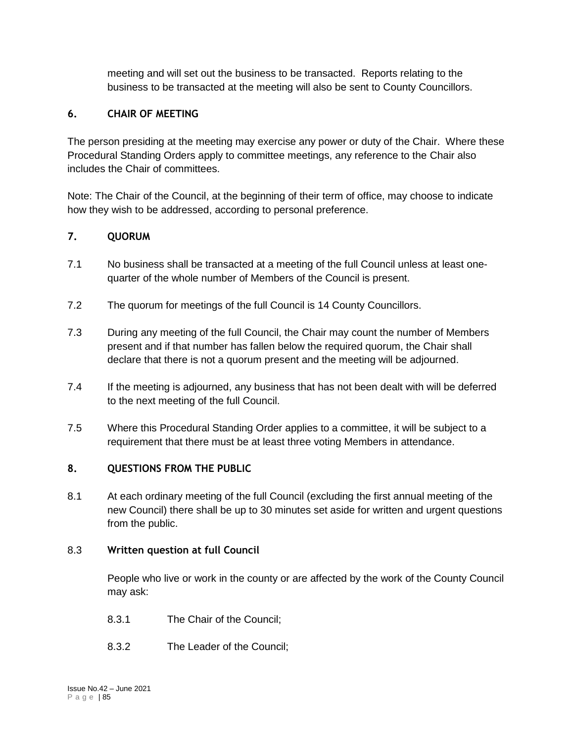meeting and will set out the business to be transacted. Reports relating to the business to be transacted at the meeting will also be sent to County Councillors.

# **6. CHAIR OF MEETING**

The person presiding at the meeting may exercise any power or duty of the Chair. Where these Procedural Standing Orders apply to committee meetings, any reference to the Chair also includes the Chair of committees.

Note: The Chair of the Council, at the beginning of their term of office, may choose to indicate how they wish to be addressed, according to personal preference.

## **7. QUORUM**

- 7.1 No business shall be transacted at a meeting of the full Council unless at least onequarter of the whole number of Members of the Council is present.
- 7.2 The quorum for meetings of the full Council is 14 County Councillors.
- 7.3 During any meeting of the full Council, the Chair may count the number of Members present and if that number has fallen below the required quorum, the Chair shall declare that there is not a quorum present and the meeting will be adjourned.
- 7.4 If the meeting is adjourned, any business that has not been dealt with will be deferred to the next meeting of the full Council.
- 7.5 Where this Procedural Standing Order applies to a committee, it will be subject to a requirement that there must be at least three voting Members in attendance.

## **8. QUESTIONS FROM THE PUBLIC**

8.1 At each ordinary meeting of the full Council (excluding the first annual meeting of the new Council) there shall be up to 30 minutes set aside for written and urgent questions from the public.

## 8.3 **Written question at full Council**

People who live or work in the county or are affected by the work of the County Council may ask:

- 8.3.1 The Chair of the Council;
- 8.3.2 The Leader of the Council;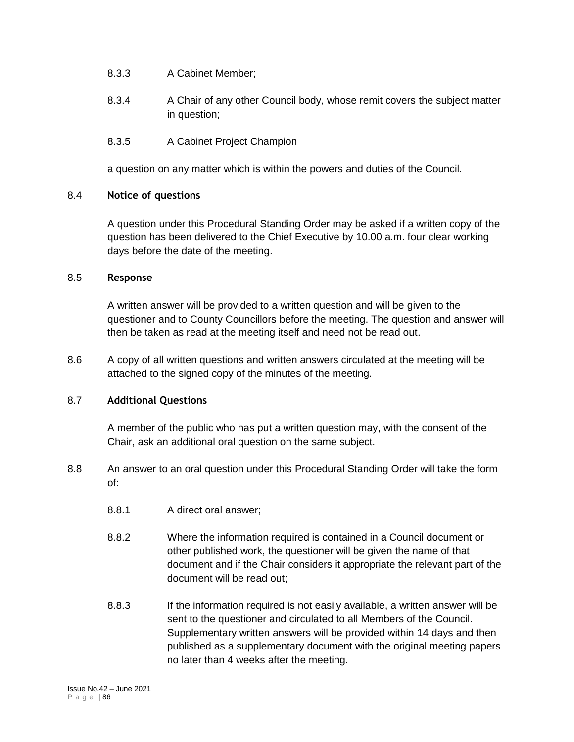- 8.3.3 A Cabinet Member;
- 8.3.4 A Chair of any other Council body, whose remit covers the subject matter in question;
- 8.3.5 A Cabinet Project Champion

a question on any matter which is within the powers and duties of the Council.

## 8.4 **Notice of questions**

A question under this Procedural Standing Order may be asked if a written copy of the question has been delivered to the Chief Executive by 10.00 a.m. four clear working days before the date of the meeting.

## 8.5 **Response**

A written answer will be provided to a written question and will be given to the questioner and to County Councillors before the meeting. The question and answer will then be taken as read at the meeting itself and need not be read out.

8.6 A copy of all written questions and written answers circulated at the meeting will be attached to the signed copy of the minutes of the meeting.

## 8.7 **Additional Questions**

A member of the public who has put a written question may, with the consent of the Chair, ask an additional oral question on the same subject.

- 8.8 An answer to an oral question under this Procedural Standing Order will take the form of:
	- 8.8.1 A direct oral answer;
	- 8.8.2 Where the information required is contained in a Council document or other published work, the questioner will be given the name of that document and if the Chair considers it appropriate the relevant part of the document will be read out;
	- 8.8.3 If the information required is not easily available, a written answer will be sent to the questioner and circulated to all Members of the Council. Supplementary written answers will be provided within 14 days and then published as a supplementary document with the original meeting papers no later than 4 weeks after the meeting.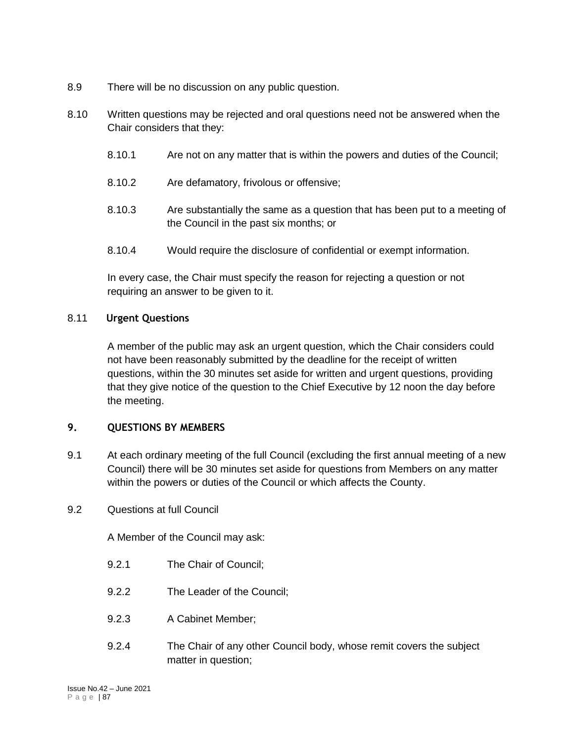- 8.9 There will be no discussion on any public question.
- 8.10 Written questions may be rejected and oral questions need not be answered when the Chair considers that they:
	- 8.10.1 Are not on any matter that is within the powers and duties of the Council;
	- 8.10.2 Are defamatory, frivolous or offensive;
	- 8.10.3 Are substantially the same as a question that has been put to a meeting of the Council in the past six months; or
	- 8.10.4 Would require the disclosure of confidential or exempt information.

In every case, the Chair must specify the reason for rejecting a question or not requiring an answer to be given to it.

## 8.11 **Urgent Questions**

A member of the public may ask an urgent question, which the Chair considers could not have been reasonably submitted by the deadline for the receipt of written questions, within the 30 minutes set aside for written and urgent questions, providing that they give notice of the question to the Chief Executive by 12 noon the day before the meeting.

## **9. QUESTIONS BY MEMBERS**

- 9.1 At each ordinary meeting of the full Council (excluding the first annual meeting of a new Council) there will be 30 minutes set aside for questions from Members on any matter within the powers or duties of the Council or which affects the County.
- 9.2 Questions at full Council

A Member of the Council may ask:

- 9.2.1 The Chair of Council;
- 9.2.2 The Leader of the Council;
- 9.2.3 A Cabinet Member;
- 9.2.4 The Chair of any other Council body, whose remit covers the subject matter in question;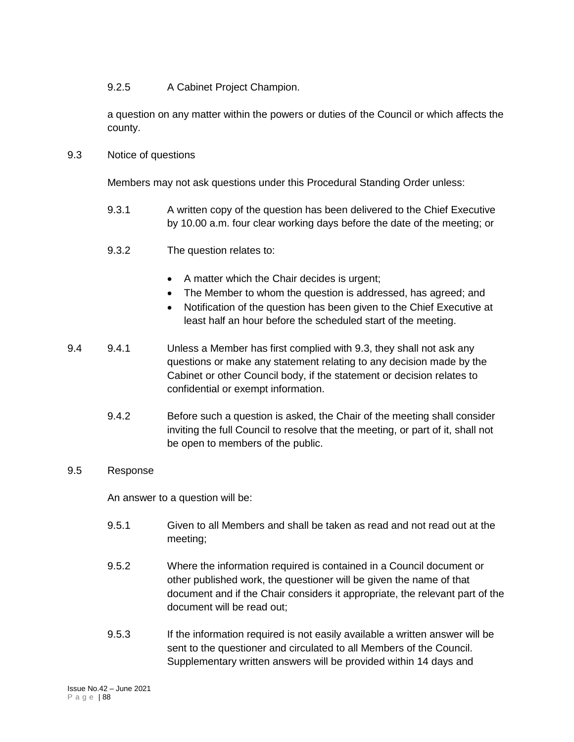## 9.2.5 A Cabinet Project Champion.

a question on any matter within the powers or duties of the Council or which affects the county.

9.3 Notice of questions

Members may not ask questions under this Procedural Standing Order unless:

- 9.3.1 A written copy of the question has been delivered to the Chief Executive by 10.00 a.m. four clear working days before the date of the meeting; or
- 9.3.2 The question relates to:
	- A matter which the Chair decides is urgent;
	- The Member to whom the question is addressed, has agreed; and
	- Notification of the question has been given to the Chief Executive at least half an hour before the scheduled start of the meeting.
- 9.4 9.4.1 Unless a Member has first complied with 9.3, they shall not ask any questions or make any statement relating to any decision made by the Cabinet or other Council body, if the statement or decision relates to confidential or exempt information.
	- 9.4.2 Before such a question is asked, the Chair of the meeting shall consider inviting the full Council to resolve that the meeting, or part of it, shall not be open to members of the public.

## 9.5 Response

An answer to a question will be:

- 9.5.1 Given to all Members and shall be taken as read and not read out at the meeting;
- 9.5.2 Where the information required is contained in a Council document or other published work, the questioner will be given the name of that document and if the Chair considers it appropriate, the relevant part of the document will be read out;
- 9.5.3 If the information required is not easily available a written answer will be sent to the questioner and circulated to all Members of the Council. Supplementary written answers will be provided within 14 days and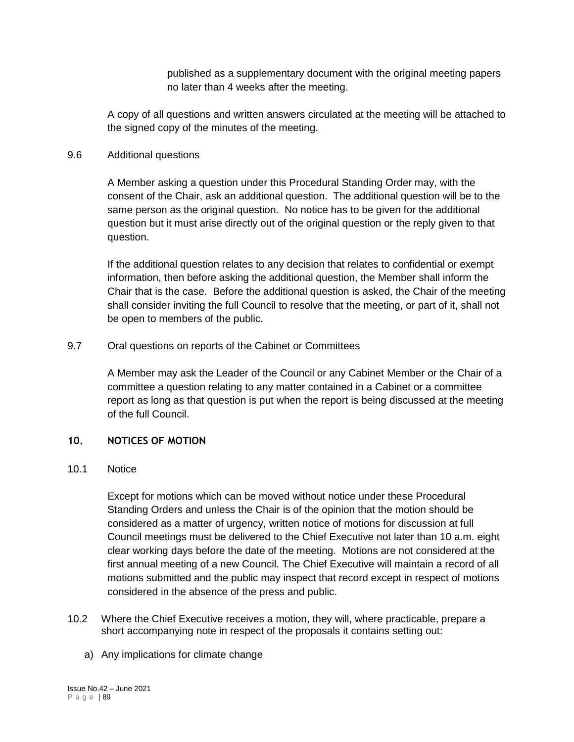published as a supplementary document with the original meeting papers no later than 4 weeks after the meeting.

A copy of all questions and written answers circulated at the meeting will be attached to the signed copy of the minutes of the meeting.

### 9.6 Additional questions

A Member asking a question under this Procedural Standing Order may, with the consent of the Chair, ask an additional question. The additional question will be to the same person as the original question. No notice has to be given for the additional question but it must arise directly out of the original question or the reply given to that question.

If the additional question relates to any decision that relates to confidential or exempt information, then before asking the additional question, the Member shall inform the Chair that is the case. Before the additional question is asked, the Chair of the meeting shall consider inviting the full Council to resolve that the meeting, or part of it, shall not be open to members of the public.

## 9.7 Oral questions on reports of the Cabinet or Committees

A Member may ask the Leader of the Council or any Cabinet Member or the Chair of a committee a question relating to any matter contained in a Cabinet or a committee report as long as that question is put when the report is being discussed at the meeting of the full Council.

## **10. NOTICES OF MOTION**

## 10.1 Notice

Except for motions which can be moved without notice under these Procedural Standing Orders and unless the Chair is of the opinion that the motion should be considered as a matter of urgency, written notice of motions for discussion at full Council meetings must be delivered to the Chief Executive not later than 10 a.m. eight clear working days before the date of the meeting. Motions are not considered at the first annual meeting of a new Council. The Chief Executive will maintain a record of all motions submitted and the public may inspect that record except in respect of motions considered in the absence of the press and public.

- 10.2 Where the Chief Executive receives a motion, they will, where practicable, prepare a short accompanying note in respect of the proposals it contains setting out:
	- a) Any implications for climate change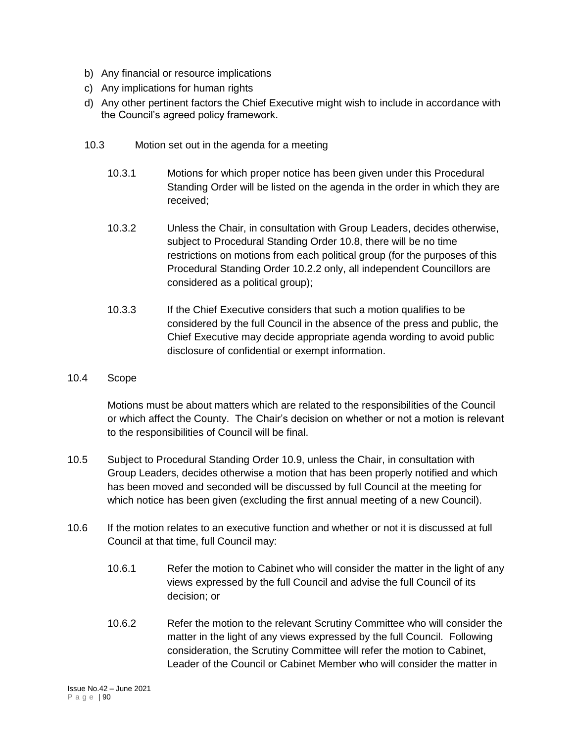- b) Any financial or resource implications
- c) Any implications for human rights
- d) Any other pertinent factors the Chief Executive might wish to include in accordance with the Council's agreed policy framework.
- 10.3 Motion set out in the agenda for a meeting
	- 10.3.1 Motions for which proper notice has been given under this Procedural Standing Order will be listed on the agenda in the order in which they are received;
	- 10.3.2 Unless the Chair, in consultation with Group Leaders, decides otherwise, subject to Procedural Standing Order 10.8, there will be no time restrictions on motions from each political group (for the purposes of this Procedural Standing Order 10.2.2 only, all independent Councillors are considered as a political group);
	- 10.3.3 If the Chief Executive considers that such a motion qualifies to be considered by the full Council in the absence of the press and public, the Chief Executive may decide appropriate agenda wording to avoid public disclosure of confidential or exempt information.
- 10.4 Scope

Motions must be about matters which are related to the responsibilities of the Council or which affect the County. The Chair's decision on whether or not a motion is relevant to the responsibilities of Council will be final.

- 10.5 Subject to Procedural Standing Order 10.9, unless the Chair, in consultation with Group Leaders, decides otherwise a motion that has been properly notified and which has been moved and seconded will be discussed by full Council at the meeting for which notice has been given (excluding the first annual meeting of a new Council).
- 10.6 If the motion relates to an executive function and whether or not it is discussed at full Council at that time, full Council may:
	- 10.6.1 Refer the motion to Cabinet who will consider the matter in the light of any views expressed by the full Council and advise the full Council of its decision; or
	- 10.6.2 Refer the motion to the relevant Scrutiny Committee who will consider the matter in the light of any views expressed by the full Council. Following consideration, the Scrutiny Committee will refer the motion to Cabinet, Leader of the Council or Cabinet Member who will consider the matter in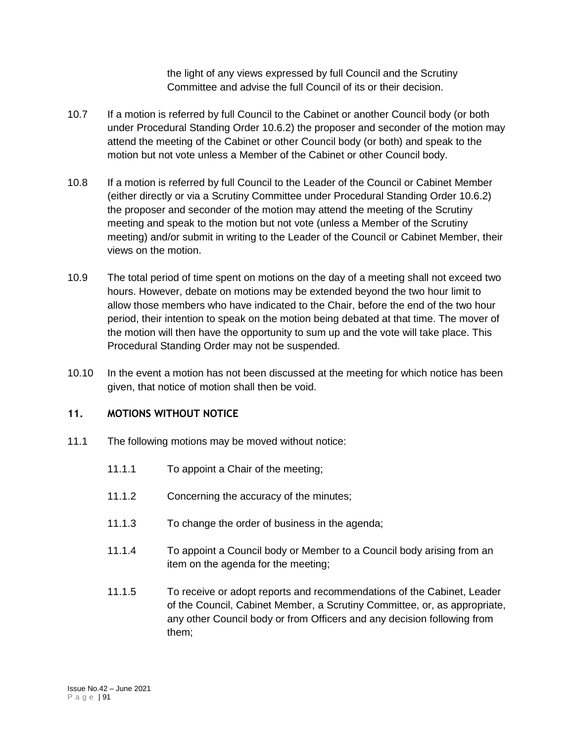the light of any views expressed by full Council and the Scrutiny Committee and advise the full Council of its or their decision.

- 10.7 If a motion is referred by full Council to the Cabinet or another Council body (or both under Procedural Standing Order 10.6.2) the proposer and seconder of the motion may attend the meeting of the Cabinet or other Council body (or both) and speak to the motion but not vote unless a Member of the Cabinet or other Council body.
- 10.8 If a motion is referred by full Council to the Leader of the Council or Cabinet Member (either directly or via a Scrutiny Committee under Procedural Standing Order 10.6.2) the proposer and seconder of the motion may attend the meeting of the Scrutiny meeting and speak to the motion but not vote (unless a Member of the Scrutiny meeting) and/or submit in writing to the Leader of the Council or Cabinet Member, their views on the motion.
- 10.9 The total period of time spent on motions on the day of a meeting shall not exceed two hours. However, debate on motions may be extended beyond the two hour limit to allow those members who have indicated to the Chair, before the end of the two hour period, their intention to speak on the motion being debated at that time. The mover of the motion will then have the opportunity to sum up and the vote will take place. This Procedural Standing Order may not be suspended.
- 10.10 In the event a motion has not been discussed at the meeting for which notice has been given, that notice of motion shall then be void.

## **11. MOTIONS WITHOUT NOTICE**

- 11.1 The following motions may be moved without notice:
	- 11.1.1 To appoint a Chair of the meeting;
	- 11.1.2 Concerning the accuracy of the minutes;
	- 11.1.3 To change the order of business in the agenda;
	- 11.1.4 To appoint a Council body or Member to a Council body arising from an item on the agenda for the meeting;
	- 11.1.5 To receive or adopt reports and recommendations of the Cabinet, Leader of the Council, Cabinet Member, a Scrutiny Committee, or, as appropriate, any other Council body or from Officers and any decision following from them;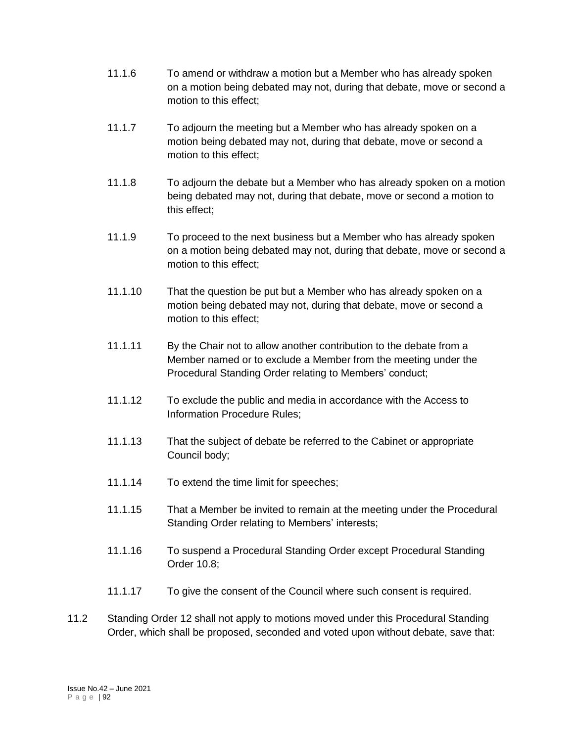- 11.1.6 To amend or withdraw a motion but a Member who has already spoken on a motion being debated may not, during that debate, move or second a motion to this effect;
- 11.1.7 To adjourn the meeting but a Member who has already spoken on a motion being debated may not, during that debate, move or second a motion to this effect;
- 11.1.8 To adjourn the debate but a Member who has already spoken on a motion being debated may not, during that debate, move or second a motion to this effect;
- 11.1.9 To proceed to the next business but a Member who has already spoken on a motion being debated may not, during that debate, move or second a motion to this effect;
- 11.1.10 That the question be put but a Member who has already spoken on a motion being debated may not, during that debate, move or second a motion to this effect;
- 11.1.11 By the Chair not to allow another contribution to the debate from a Member named or to exclude a Member from the meeting under the Procedural Standing Order relating to Members' conduct;
- 11.1.12 To exclude the public and media in accordance with the Access to Information Procedure Rules;
- 11.1.13 That the subject of debate be referred to the Cabinet or appropriate Council body;
- 11.1.14 To extend the time limit for speeches;
- 11.1.15 That a Member be invited to remain at the meeting under the Procedural Standing Order relating to Members' interests;
- 11.1.16 To suspend a Procedural Standing Order except Procedural Standing Order 10.8;
- 11.1.17 To give the consent of the Council where such consent is required.
- 11.2 Standing Order 12 shall not apply to motions moved under this Procedural Standing Order, which shall be proposed, seconded and voted upon without debate, save that: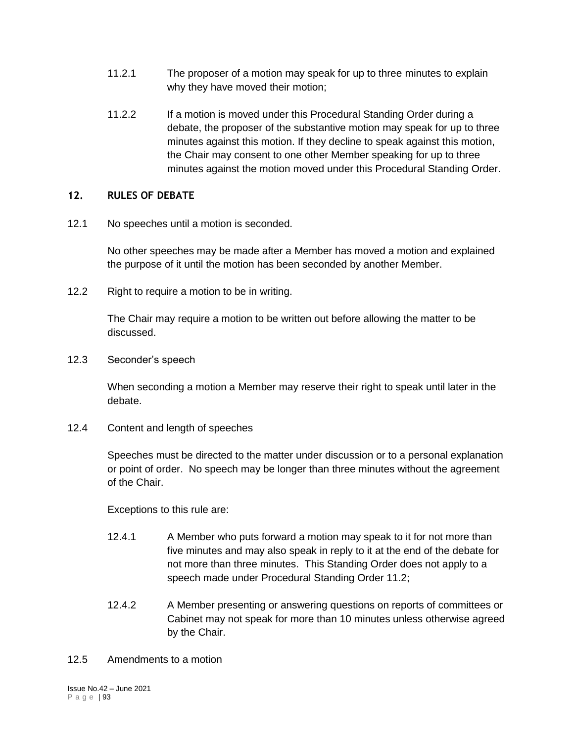- 11.2.1 The proposer of a motion may speak for up to three minutes to explain why they have moved their motion;
- 11.2.2 If a motion is moved under this Procedural Standing Order during a debate, the proposer of the substantive motion may speak for up to three minutes against this motion. If they decline to speak against this motion, the Chair may consent to one other Member speaking for up to three minutes against the motion moved under this Procedural Standing Order.

## **12. RULES OF DEBATE**

12.1 No speeches until a motion is seconded.

No other speeches may be made after a Member has moved a motion and explained the purpose of it until the motion has been seconded by another Member.

12.2 Right to require a motion to be in writing.

The Chair may require a motion to be written out before allowing the matter to be discussed.

12.3 Seconder's speech

When seconding a motion a Member may reserve their right to speak until later in the debate.

12.4 Content and length of speeches

Speeches must be directed to the matter under discussion or to a personal explanation or point of order. No speech may be longer than three minutes without the agreement of the Chair.

Exceptions to this rule are:

- 12.4.1 A Member who puts forward a motion may speak to it for not more than five minutes and may also speak in reply to it at the end of the debate for not more than three minutes. This Standing Order does not apply to a speech made under Procedural Standing Order 11.2;
- 12.4.2 A Member presenting or answering questions on reports of committees or Cabinet may not speak for more than 10 minutes unless otherwise agreed by the Chair.

## 12.5 Amendments to a motion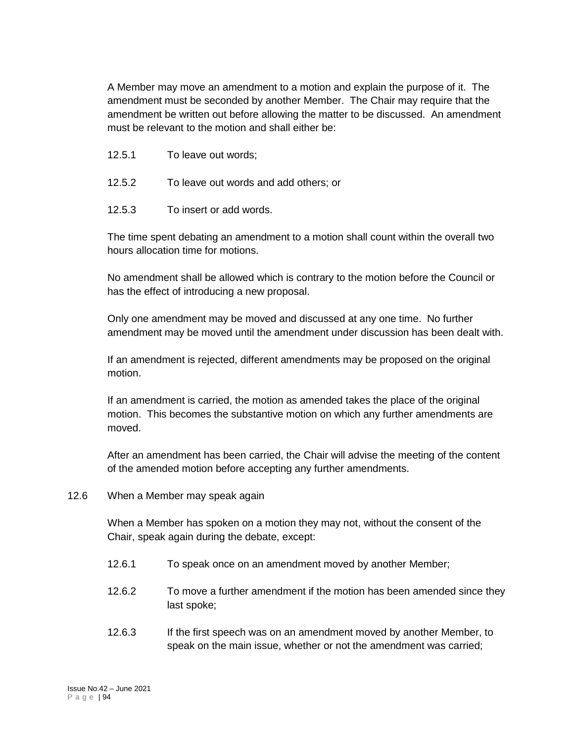A Member may move an amendment to a motion and explain the purpose of it. The amendment must be seconded by another Member. The Chair may require that the amendment be written out before allowing the matter to be discussed. An amendment must be relevant to the motion and shall either be:

- 12.5.1 To leave out words;
- 12.5.2 To leave out words and add others; or
- 12.5.3 To insert or add words.

The time spent debating an amendment to a motion shall count within the overall two hours allocation time for motions.

No amendment shall be allowed which is contrary to the motion before the Council or has the effect of introducing a new proposal.

Only one amendment may be moved and discussed at any one time. No further amendment may be moved until the amendment under discussion has been dealt with.

If an amendment is rejected, different amendments may be proposed on the original motion.

If an amendment is carried, the motion as amended takes the place of the original motion. This becomes the substantive motion on which any further amendments are moved.

After an amendment has been carried, the Chair will advise the meeting of the content of the amended motion before accepting any further amendments.

12.6 When a Member may speak again

When a Member has spoken on a motion they may not, without the consent of the Chair, speak again during the debate, except:

- 12.6.1 To speak once on an amendment moved by another Member;
- 12.6.2 To move a further amendment if the motion has been amended since they last spoke;
- 12.6.3 If the first speech was on an amendment moved by another Member, to speak on the main issue, whether or not the amendment was carried;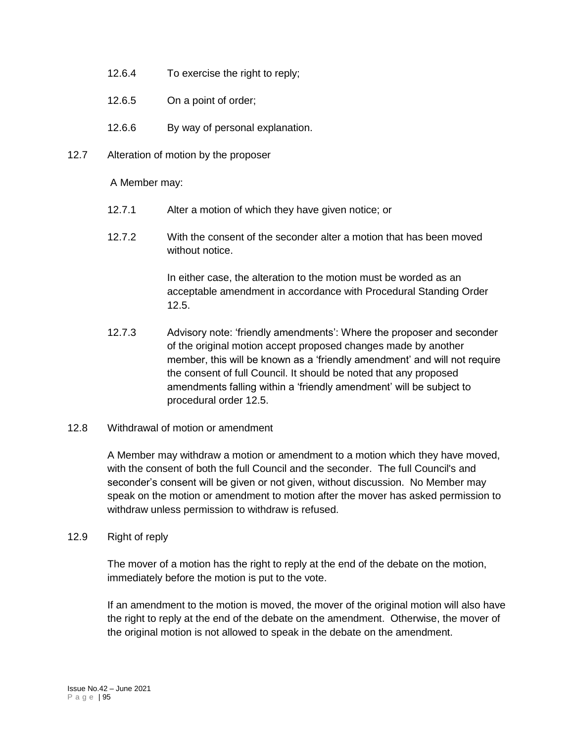- 12.6.4 To exercise the right to reply;
- 12.6.5 On a point of order;
- 12.6.6 By way of personal explanation.
- 12.7 Alteration of motion by the proposer

A Member may:

- 12.7.1 Alter a motion of which they have given notice; or
- 12.7.2 With the consent of the seconder alter a motion that has been moved without notice.

In either case, the alteration to the motion must be worded as an acceptable amendment in accordance with Procedural Standing Order 12.5.

- 12.7.3 Advisory note: 'friendly amendments': Where the proposer and seconder of the original motion accept proposed changes made by another member, this will be known as a 'friendly amendment' and will not require the consent of full Council. It should be noted that any proposed amendments falling within a 'friendly amendment' will be subject to procedural order 12.5.
- 12.8 Withdrawal of motion or amendment

A Member may withdraw a motion or amendment to a motion which they have moved, with the consent of both the full Council and the seconder. The full Council's and seconder's consent will be given or not given, without discussion. No Member may speak on the motion or amendment to motion after the mover has asked permission to withdraw unless permission to withdraw is refused.

#### 12.9 Right of reply

The mover of a motion has the right to reply at the end of the debate on the motion, immediately before the motion is put to the vote.

If an amendment to the motion is moved, the mover of the original motion will also have the right to reply at the end of the debate on the amendment. Otherwise, the mover of the original motion is not allowed to speak in the debate on the amendment.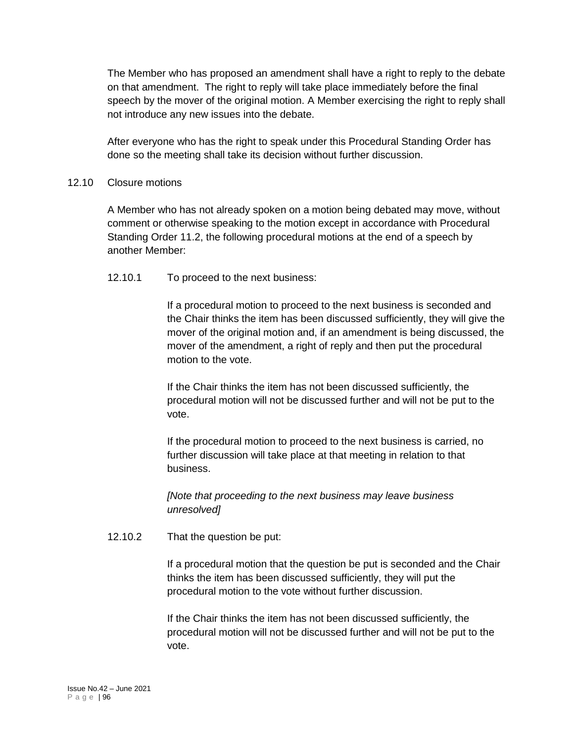The Member who has proposed an amendment shall have a right to reply to the debate on that amendment. The right to reply will take place immediately before the final speech by the mover of the original motion. A Member exercising the right to reply shall not introduce any new issues into the debate.

After everyone who has the right to speak under this Procedural Standing Order has done so the meeting shall take its decision without further discussion.

## 12.10 Closure motions

A Member who has not already spoken on a motion being debated may move, without comment or otherwise speaking to the motion except in accordance with Procedural Standing Order 11.2, the following procedural motions at the end of a speech by another Member:

## 12.10.1 To proceed to the next business:

If a procedural motion to proceed to the next business is seconded and the Chair thinks the item has been discussed sufficiently, they will give the mover of the original motion and, if an amendment is being discussed, the mover of the amendment, a right of reply and then put the procedural motion to the vote.

If the Chair thinks the item has not been discussed sufficiently, the procedural motion will not be discussed further and will not be put to the vote.

If the procedural motion to proceed to the next business is carried, no further discussion will take place at that meeting in relation to that business.

*[Note that proceeding to the next business may leave business unresolved]*

## 12.10.2 That the question be put:

If a procedural motion that the question be put is seconded and the Chair thinks the item has been discussed sufficiently, they will put the procedural motion to the vote without further discussion.

If the Chair thinks the item has not been discussed sufficiently, the procedural motion will not be discussed further and will not be put to the vote.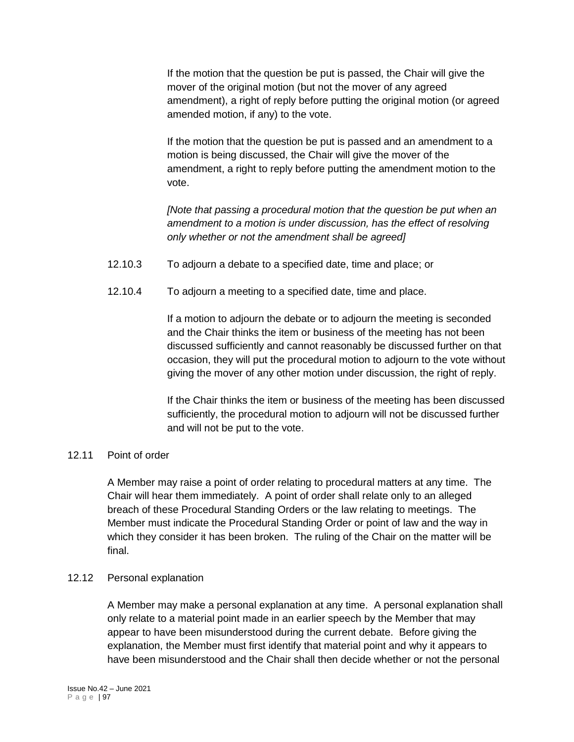If the motion that the question be put is passed, the Chair will give the mover of the original motion (but not the mover of any agreed amendment), a right of reply before putting the original motion (or agreed amended motion, if any) to the vote.

If the motion that the question be put is passed and an amendment to a motion is being discussed, the Chair will give the mover of the amendment, a right to reply before putting the amendment motion to the vote.

*[Note that passing a procedural motion that the question be put when an amendment to a motion is under discussion, has the effect of resolving only whether or not the amendment shall be agreed]*

- 12.10.3 To adjourn a debate to a specified date, time and place; or
- 12.10.4 To adjourn a meeting to a specified date, time and place.

If a motion to adjourn the debate or to adjourn the meeting is seconded and the Chair thinks the item or business of the meeting has not been discussed sufficiently and cannot reasonably be discussed further on that occasion, they will put the procedural motion to adjourn to the vote without giving the mover of any other motion under discussion, the right of reply.

If the Chair thinks the item or business of the meeting has been discussed sufficiently, the procedural motion to adjourn will not be discussed further and will not be put to the vote.

## 12.11 Point of order

A Member may raise a point of order relating to procedural matters at any time. The Chair will hear them immediately. A point of order shall relate only to an alleged breach of these Procedural Standing Orders or the law relating to meetings. The Member must indicate the Procedural Standing Order or point of law and the way in which they consider it has been broken. The ruling of the Chair on the matter will be final.

## 12.12 Personal explanation

A Member may make a personal explanation at any time. A personal explanation shall only relate to a material point made in an earlier speech by the Member that may appear to have been misunderstood during the current debate. Before giving the explanation, the Member must first identify that material point and why it appears to have been misunderstood and the Chair shall then decide whether or not the personal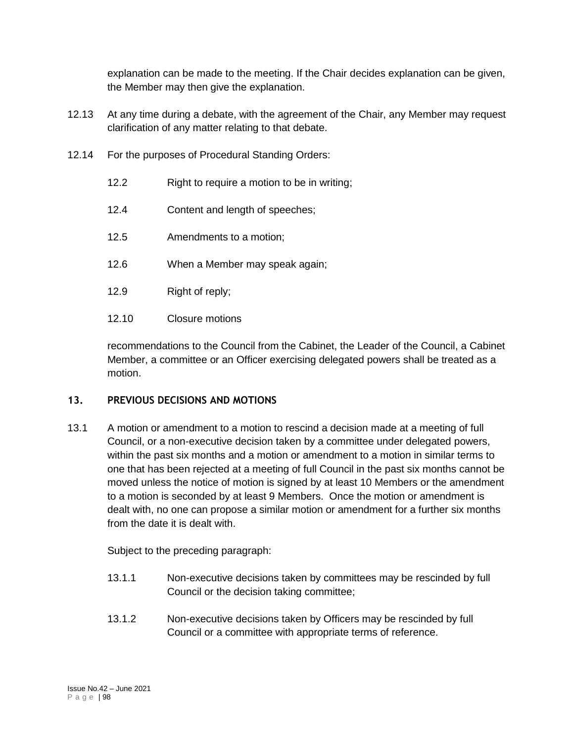explanation can be made to the meeting. If the Chair decides explanation can be given, the Member may then give the explanation.

- 12.13 At any time during a debate, with the agreement of the Chair, any Member may request clarification of any matter relating to that debate.
- 12.14 For the purposes of Procedural Standing Orders:
	- 12.2 Right to require a motion to be in writing;
	- 12.4 Content and length of speeches;
	- 12.5 Amendments to a motion;
	- 12.6 When a Member may speak again;
	- 12.9 Right of reply;
	- 12.10 Closure motions

recommendations to the Council from the Cabinet, the Leader of the Council, a Cabinet Member, a committee or an Officer exercising delegated powers shall be treated as a motion.

## **13. PREVIOUS DECISIONS AND MOTIONS**

13.1 A motion or amendment to a motion to rescind a decision made at a meeting of full Council, or a non-executive decision taken by a committee under delegated powers, within the past six months and a motion or amendment to a motion in similar terms to one that has been rejected at a meeting of full Council in the past six months cannot be moved unless the notice of motion is signed by at least 10 Members or the amendment to a motion is seconded by at least 9 Members. Once the motion or amendment is dealt with, no one can propose a similar motion or amendment for a further six months from the date it is dealt with.

Subject to the preceding paragraph:

- 13.1.1 Non-executive decisions taken by committees may be rescinded by full Council or the decision taking committee;
- 13.1.2 Non-executive decisions taken by Officers may be rescinded by full Council or a committee with appropriate terms of reference.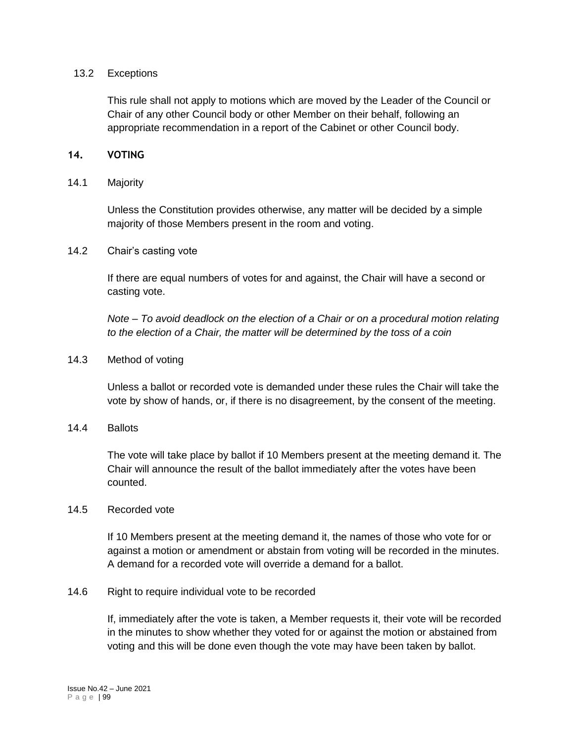#### 13.2 Exceptions

This rule shall not apply to motions which are moved by the Leader of the Council or Chair of any other Council body or other Member on their behalf, following an appropriate recommendation in a report of the Cabinet or other Council body.

## **14. VOTING**

#### 14.1 Majority

Unless the Constitution provides otherwise, any matter will be decided by a simple majority of those Members present in the room and voting.

#### 14.2 Chair's casting vote

If there are equal numbers of votes for and against, the Chair will have a second or casting vote.

*Note – To avoid deadlock on the election of a Chair or on a procedural motion relating to the election of a Chair, the matter will be determined by the toss of a coin*

#### 14.3 Method of voting

Unless a ballot or recorded vote is demanded under these rules the Chair will take the vote by show of hands, or, if there is no disagreement, by the consent of the meeting.

#### 14.4 Ballots

The vote will take place by ballot if 10 Members present at the meeting demand it. The Chair will announce the result of the ballot immediately after the votes have been counted.

#### 14.5 Recorded vote

If 10 Members present at the meeting demand it, the names of those who vote for or against a motion or amendment or abstain from voting will be recorded in the minutes. A demand for a recorded vote will override a demand for a ballot.

#### 14.6 Right to require individual vote to be recorded

If, immediately after the vote is taken, a Member requests it, their vote will be recorded in the minutes to show whether they voted for or against the motion or abstained from voting and this will be done even though the vote may have been taken by ballot.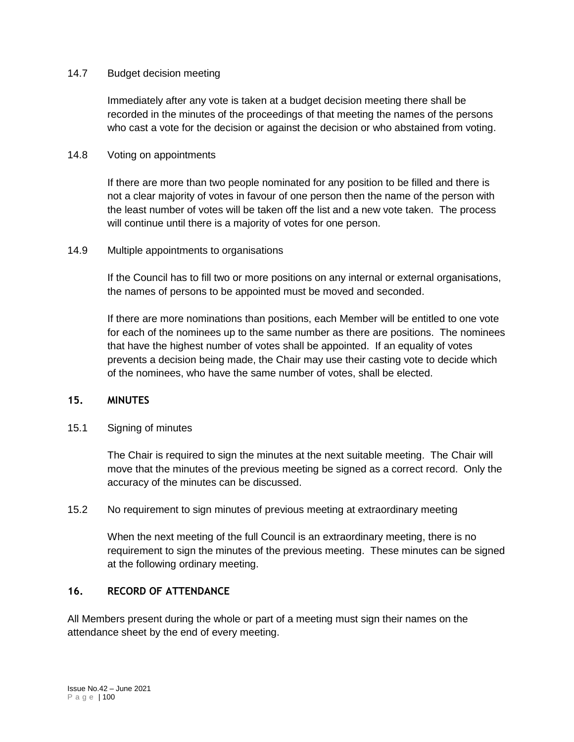#### 14.7 Budget decision meeting

Immediately after any vote is taken at a budget decision meeting there shall be recorded in the minutes of the proceedings of that meeting the names of the persons who cast a vote for the decision or against the decision or who abstained from voting.

### 14.8 Voting on appointments

If there are more than two people nominated for any position to be filled and there is not a clear majority of votes in favour of one person then the name of the person with the least number of votes will be taken off the list and a new vote taken. The process will continue until there is a majority of votes for one person.

#### 14.9 Multiple appointments to organisations

If the Council has to fill two or more positions on any internal or external organisations, the names of persons to be appointed must be moved and seconded.

If there are more nominations than positions, each Member will be entitled to one vote for each of the nominees up to the same number as there are positions. The nominees that have the highest number of votes shall be appointed. If an equality of votes prevents a decision being made, the Chair may use their casting vote to decide which of the nominees, who have the same number of votes, shall be elected.

#### **15. MINUTES**

## 15.1 Signing of minutes

The Chair is required to sign the minutes at the next suitable meeting. The Chair will move that the minutes of the previous meeting be signed as a correct record. Only the accuracy of the minutes can be discussed.

## 15.2 No requirement to sign minutes of previous meeting at extraordinary meeting

When the next meeting of the full Council is an extraordinary meeting, there is no requirement to sign the minutes of the previous meeting. These minutes can be signed at the following ordinary meeting.

#### **16. RECORD OF ATTENDANCE**

All Members present during the whole or part of a meeting must sign their names on the attendance sheet by the end of every meeting.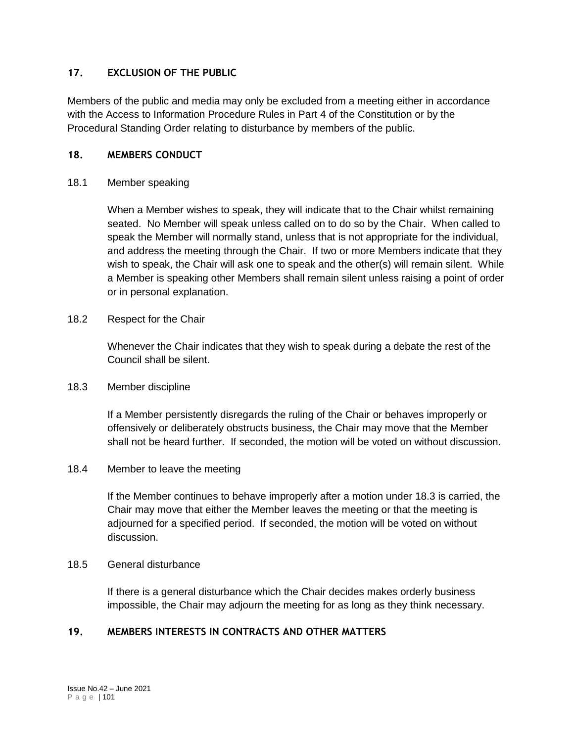## **17. EXCLUSION OF THE PUBLIC**

Members of the public and media may only be excluded from a meeting either in accordance with the Access to Information Procedure Rules in Part 4 of the Constitution or by the Procedural Standing Order relating to disturbance by members of the public.

## **18. MEMBERS CONDUCT**

#### 18.1 Member speaking

When a Member wishes to speak, they will indicate that to the Chair whilst remaining seated. No Member will speak unless called on to do so by the Chair. When called to speak the Member will normally stand, unless that is not appropriate for the individual, and address the meeting through the Chair. If two or more Members indicate that they wish to speak, the Chair will ask one to speak and the other(s) will remain silent. While a Member is speaking other Members shall remain silent unless raising a point of order or in personal explanation.

#### 18.2 Respect for the Chair

Whenever the Chair indicates that they wish to speak during a debate the rest of the Council shall be silent.

#### 18.3 Member discipline

If a Member persistently disregards the ruling of the Chair or behaves improperly or offensively or deliberately obstructs business, the Chair may move that the Member shall not be heard further. If seconded, the motion will be voted on without discussion.

## 18.4 Member to leave the meeting

If the Member continues to behave improperly after a motion under 18.3 is carried, the Chair may move that either the Member leaves the meeting or that the meeting is adjourned for a specified period. If seconded, the motion will be voted on without discussion.

#### 18.5 General disturbance

If there is a general disturbance which the Chair decides makes orderly business impossible, the Chair may adjourn the meeting for as long as they think necessary.

## **19. MEMBERS INTERESTS IN CONTRACTS AND OTHER MATTERS**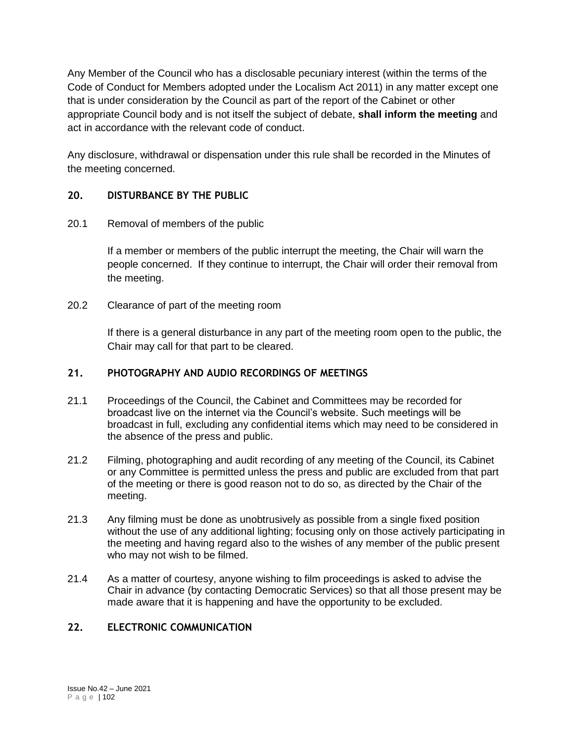Any Member of the Council who has a disclosable pecuniary interest (within the terms of the Code of Conduct for Members adopted under the Localism Act 2011) in any matter except one that is under consideration by the Council as part of the report of the Cabinet or other appropriate Council body and is not itself the subject of debate, **shall inform the meeting** and act in accordance with the relevant code of conduct.

Any disclosure, withdrawal or dispensation under this rule shall be recorded in the Minutes of the meeting concerned.

# **20. DISTURBANCE BY THE PUBLIC**

## 20.1 Removal of members of the public

If a member or members of the public interrupt the meeting, the Chair will warn the people concerned. If they continue to interrupt, the Chair will order their removal from the meeting.

20.2 Clearance of part of the meeting room

If there is a general disturbance in any part of the meeting room open to the public, the Chair may call for that part to be cleared.

## **21. PHOTOGRAPHY AND AUDIO RECORDINGS OF MEETINGS**

- 21.1 Proceedings of the Council, the Cabinet and Committees may be recorded for broadcast live on the internet via the Council's website. Such meetings will be broadcast in full, excluding any confidential items which may need to be considered in the absence of the press and public.
- 21.2 Filming, photographing and audit recording of any meeting of the Council, its Cabinet or any Committee is permitted unless the press and public are excluded from that part of the meeting or there is good reason not to do so, as directed by the Chair of the meeting.
- 21.3 Any filming must be done as unobtrusively as possible from a single fixed position without the use of any additional lighting; focusing only on those actively participating in the meeting and having regard also to the wishes of any member of the public present who may not wish to be filmed.
- 21.4 As a matter of courtesy, anyone wishing to film proceedings is asked to advise the Chair in advance (by contacting Democratic Services) so that all those present may be made aware that it is happening and have the opportunity to be excluded.

# **22. ELECTRONIC COMMUNICATION**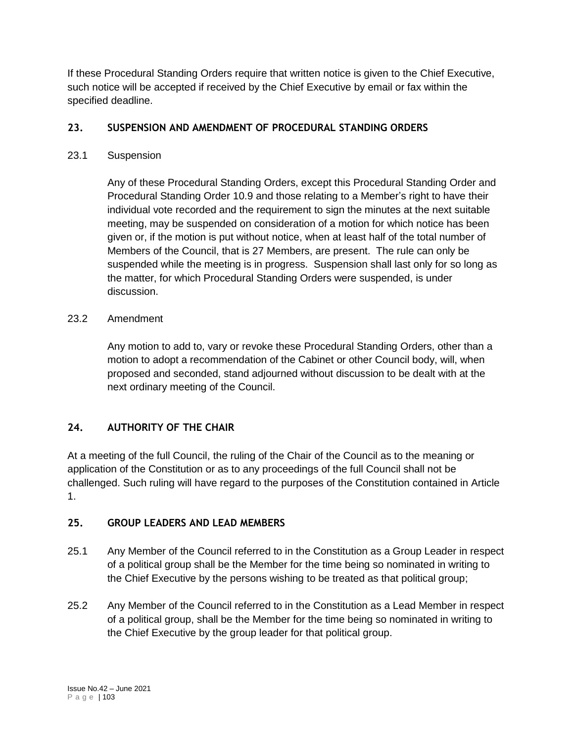If these Procedural Standing Orders require that written notice is given to the Chief Executive, such notice will be accepted if received by the Chief Executive by email or fax within the specified deadline.

# **23. SUSPENSION AND AMENDMENT OF PROCEDURAL STANDING ORDERS**

# 23.1 Suspension

Any of these Procedural Standing Orders, except this Procedural Standing Order and Procedural Standing Order 10.9 and those relating to a Member's right to have their individual vote recorded and the requirement to sign the minutes at the next suitable meeting, may be suspended on consideration of a motion for which notice has been given or, if the motion is put without notice, when at least half of the total number of Members of the Council, that is 27 Members, are present. The rule can only be suspended while the meeting is in progress. Suspension shall last only for so long as the matter, for which Procedural Standing Orders were suspended, is under discussion.

# 23.2 Amendment

Any motion to add to, vary or revoke these Procedural Standing Orders, other than a motion to adopt a recommendation of the Cabinet or other Council body, will, when proposed and seconded, stand adjourned without discussion to be dealt with at the next ordinary meeting of the Council.

# **24. AUTHORITY OF THE CHAIR**

At a meeting of the full Council, the ruling of the Chair of the Council as to the meaning or application of the Constitution or as to any proceedings of the full Council shall not be challenged. Such ruling will have regard to the purposes of the Constitution contained in Article 1.

# **25. GROUP LEADERS AND LEAD MEMBERS**

- 25.1 Any Member of the Council referred to in the Constitution as a Group Leader in respect of a political group shall be the Member for the time being so nominated in writing to the Chief Executive by the persons wishing to be treated as that political group;
- 25.2 Any Member of the Council referred to in the Constitution as a Lead Member in respect of a political group, shall be the Member for the time being so nominated in writing to the Chief Executive by the group leader for that political group.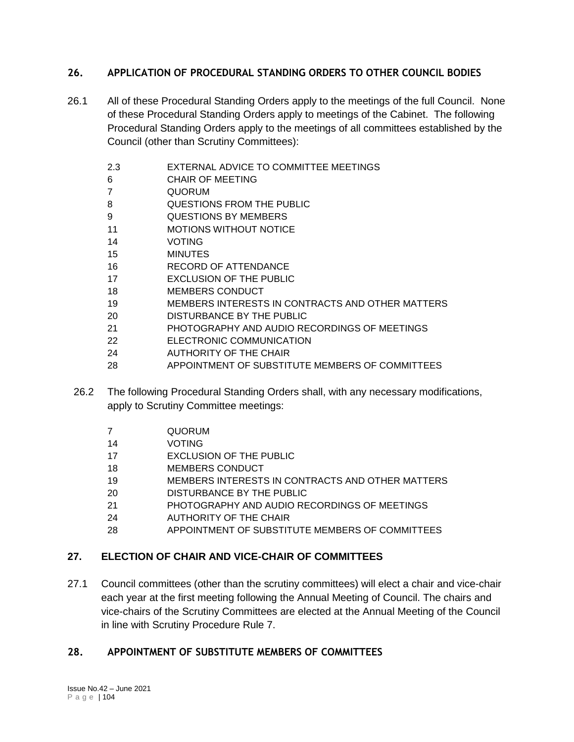# **26. APPLICATION OF PROCEDURAL STANDING ORDERS TO OTHER COUNCIL BODIES**

- 26.1 All of these Procedural Standing Orders apply to the meetings of the full Council. None of these Procedural Standing Orders apply to meetings of the Cabinet. The following Procedural Standing Orders apply to the meetings of all committees established by the Council (other than Scrutiny Committees):
	- 2.3 EXTERNAL ADVICE TO COMMITTEE MEETINGS
	- CHAIR OF MEETING
	- QUORUM
	- QUESTIONS FROM THE PUBLIC
	- QUESTIONS BY MEMBERS
	- MOTIONS WITHOUT NOTICE
	- VOTING
	- MINUTES
	- RECORD OF ATTENDANCE
	- EXCLUSION OF THE PUBLIC
	- MEMBERS CONDUCT
	- MEMBERS INTERESTS IN CONTRACTS AND OTHER MATTERS
	- DISTURBANCE BY THE PUBLIC
	- PHOTOGRAPHY AND AUDIO RECORDINGS OF MEETINGS
	- ELECTRONIC COMMUNICATION
	- AUTHORITY OF THE CHAIR
	- APPOINTMENT OF SUBSTITUTE MEMBERS OF COMMITTEES
	- 26.2 The following Procedural Standing Orders shall, with any necessary modifications, apply to Scrutiny Committee meetings:
		- QUORUM
		- VOTING
		- EXCLUSION OF THE PUBLIC
		- MEMBERS CONDUCT
		- MEMBERS INTERESTS IN CONTRACTS AND OTHER MATTERS
		- DISTURBANCE BY THE PUBLIC
		- PHOTOGRAPHY AND AUDIO RECORDINGS OF MEETINGS
		- AUTHORITY OF THE CHAIR
		- APPOINTMENT OF SUBSTITUTE MEMBERS OF COMMITTEES

# **27. ELECTION OF CHAIR AND VICE-CHAIR OF COMMITTEES**

27.1 Council committees (other than the scrutiny committees) will elect a chair and vice-chair each year at the first meeting following the Annual Meeting of Council. The chairs and vice-chairs of the Scrutiny Committees are elected at the Annual Meeting of the Council in line with Scrutiny Procedure Rule 7.

# **28. APPOINTMENT OF SUBSTITUTE MEMBERS OF COMMITTEES**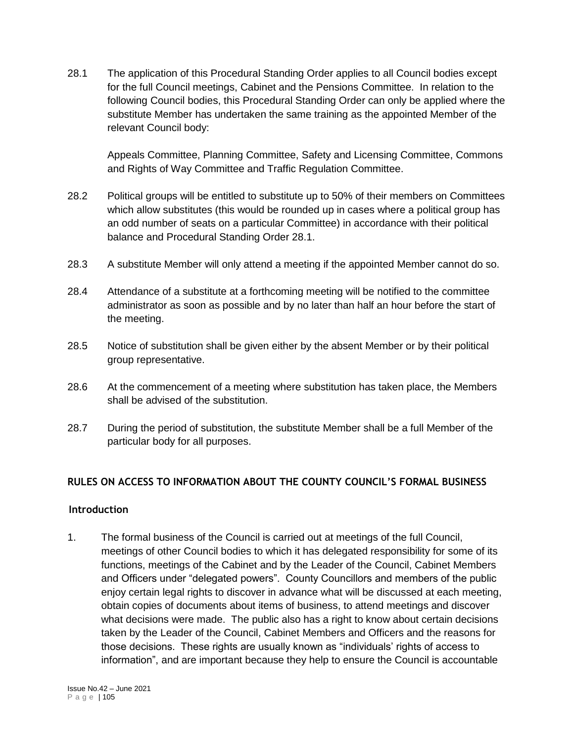28.1 The application of this Procedural Standing Order applies to all Council bodies except for the full Council meetings, Cabinet and the Pensions Committee. In relation to the following Council bodies, this Procedural Standing Order can only be applied where the substitute Member has undertaken the same training as the appointed Member of the relevant Council body:

Appeals Committee, Planning Committee, Safety and Licensing Committee, Commons and Rights of Way Committee and Traffic Regulation Committee.

- 28.2 Political groups will be entitled to substitute up to 50% of their members on Committees which allow substitutes (this would be rounded up in cases where a political group has an odd number of seats on a particular Committee) in accordance with their political balance and Procedural Standing Order 28.1.
- 28.3 A substitute Member will only attend a meeting if the appointed Member cannot do so.
- 28.4 Attendance of a substitute at a forthcoming meeting will be notified to the committee administrator as soon as possible and by no later than half an hour before the start of the meeting.
- 28.5 Notice of substitution shall be given either by the absent Member or by their political group representative.
- 28.6 At the commencement of a meeting where substitution has taken place, the Members shall be advised of the substitution.
- 28.7 During the period of substitution, the substitute Member shall be a full Member of the particular body for all purposes.

# **RULES ON ACCESS TO INFORMATION ABOUT THE COUNTY COUNCIL'S FORMAL BUSINESS**

## **Introduction**

1. The formal business of the Council is carried out at meetings of the full Council, meetings of other Council bodies to which it has delegated responsibility for some of its functions, meetings of the Cabinet and by the Leader of the Council, Cabinet Members and Officers under "delegated powers". County Councillors and members of the public enjoy certain legal rights to discover in advance what will be discussed at each meeting, obtain copies of documents about items of business, to attend meetings and discover what decisions were made. The public also has a right to know about certain decisions taken by the Leader of the Council, Cabinet Members and Officers and the reasons for those decisions. These rights are usually known as "individuals' rights of access to information", and are important because they help to ensure the Council is accountable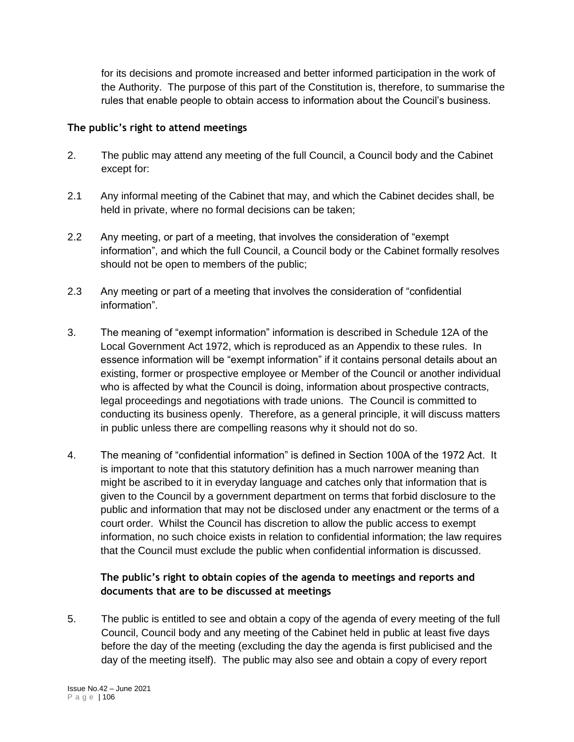for its decisions and promote increased and better informed participation in the work of the Authority. The purpose of this part of the Constitution is, therefore, to summarise the rules that enable people to obtain access to information about the Council's business.

## **The public's right to attend meetings**

- 2. The public may attend any meeting of the full Council, a Council body and the Cabinet except for:
- 2.1 Any informal meeting of the Cabinet that may, and which the Cabinet decides shall, be held in private, where no formal decisions can be taken;
- 2.2 Any meeting, or part of a meeting, that involves the consideration of "exempt information", and which the full Council, a Council body or the Cabinet formally resolves should not be open to members of the public;
- 2.3 Any meeting or part of a meeting that involves the consideration of "confidential information".
- 3. The meaning of "exempt information" information is described in Schedule 12A of the Local Government Act 1972, which is reproduced as an Appendix to these rules. In essence information will be "exempt information" if it contains personal details about an existing, former or prospective employee or Member of the Council or another individual who is affected by what the Council is doing, information about prospective contracts, legal proceedings and negotiations with trade unions. The Council is committed to conducting its business openly. Therefore, as a general principle, it will discuss matters in public unless there are compelling reasons why it should not do so.
- 4. The meaning of "confidential information" is defined in Section 100A of the 1972 Act. It is important to note that this statutory definition has a much narrower meaning than might be ascribed to it in everyday language and catches only that information that is given to the Council by a government department on terms that forbid disclosure to the public and information that may not be disclosed under any enactment or the terms of a court order. Whilst the Council has discretion to allow the public access to exempt information, no such choice exists in relation to confidential information; the law requires that the Council must exclude the public when confidential information is discussed.

# **The public's right to obtain copies of the agenda to meetings and reports and documents that are to be discussed at meetings**

5. The public is entitled to see and obtain a copy of the agenda of every meeting of the full Council, Council body and any meeting of the Cabinet held in public at least five days before the day of the meeting (excluding the day the agenda is first publicised and the day of the meeting itself). The public may also see and obtain a copy of every report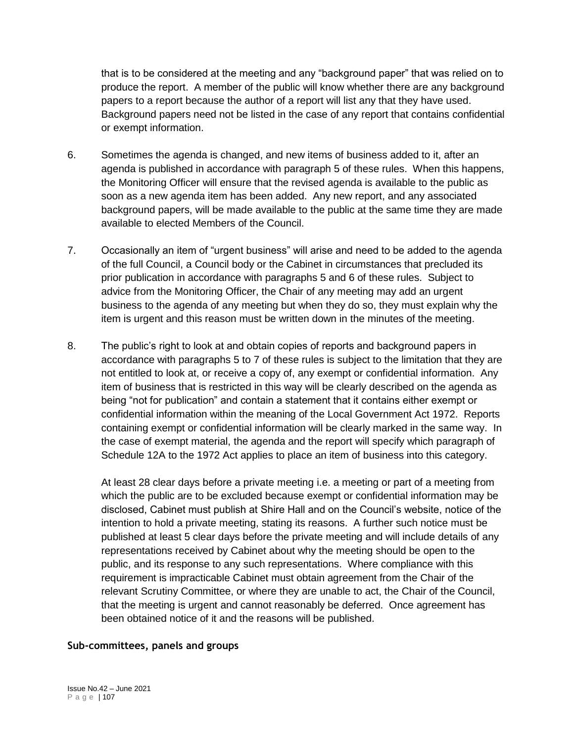that is to be considered at the meeting and any "background paper" that was relied on to produce the report. A member of the public will know whether there are any background papers to a report because the author of a report will list any that they have used. Background papers need not be listed in the case of any report that contains confidential or exempt information.

- 6. Sometimes the agenda is changed, and new items of business added to it, after an agenda is published in accordance with paragraph 5 of these rules. When this happens, the Monitoring Officer will ensure that the revised agenda is available to the public as soon as a new agenda item has been added. Any new report, and any associated background papers, will be made available to the public at the same time they are made available to elected Members of the Council.
- 7. Occasionally an item of "urgent business" will arise and need to be added to the agenda of the full Council, a Council body or the Cabinet in circumstances that precluded its prior publication in accordance with paragraphs 5 and 6 of these rules. Subject to advice from the Monitoring Officer, the Chair of any meeting may add an urgent business to the agenda of any meeting but when they do so, they must explain why the item is urgent and this reason must be written down in the minutes of the meeting.
- 8. The public's right to look at and obtain copies of reports and background papers in accordance with paragraphs 5 to 7 of these rules is subject to the limitation that they are not entitled to look at, or receive a copy of, any exempt or confidential information. Any item of business that is restricted in this way will be clearly described on the agenda as being "not for publication" and contain a statement that it contains either exempt or confidential information within the meaning of the Local Government Act 1972. Reports containing exempt or confidential information will be clearly marked in the same way. In the case of exempt material, the agenda and the report will specify which paragraph of Schedule 12A to the 1972 Act applies to place an item of business into this category.

At least 28 clear days before a private meeting i.e. a meeting or part of a meeting from which the public are to be excluded because exempt or confidential information may be disclosed, Cabinet must publish at Shire Hall and on the Council's website, notice of the intention to hold a private meeting, stating its reasons. A further such notice must be published at least 5 clear days before the private meeting and will include details of any representations received by Cabinet about why the meeting should be open to the public, and its response to any such representations. Where compliance with this requirement is impracticable Cabinet must obtain agreement from the Chair of the relevant Scrutiny Committee, or where they are unable to act, the Chair of the Council, that the meeting is urgent and cannot reasonably be deferred. Once agreement has been obtained notice of it and the reasons will be published.

## **Sub-committees, panels and groups**

Issue No.42 – June 2021 P a g e | 107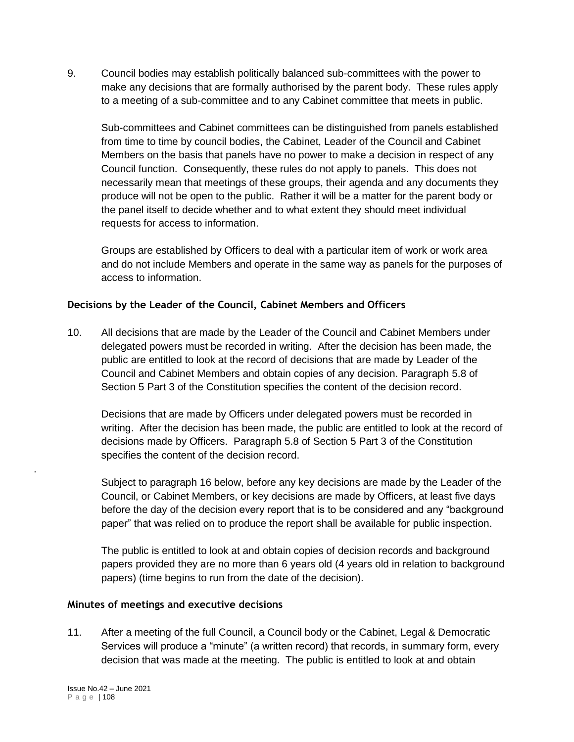9. Council bodies may establish politically balanced sub-committees with the power to make any decisions that are formally authorised by the parent body. These rules apply to a meeting of a sub-committee and to any Cabinet committee that meets in public.

Sub-committees and Cabinet committees can be distinguished from panels established from time to time by council bodies, the Cabinet, Leader of the Council and Cabinet Members on the basis that panels have no power to make a decision in respect of any Council function. Consequently, these rules do not apply to panels. This does not necessarily mean that meetings of these groups, their agenda and any documents they produce will not be open to the public. Rather it will be a matter for the parent body or the panel itself to decide whether and to what extent they should meet individual requests for access to information.

Groups are established by Officers to deal with a particular item of work or work area and do not include Members and operate in the same way as panels for the purposes of access to information.

## **Decisions by the Leader of the Council, Cabinet Members and Officers**

10. All decisions that are made by the Leader of the Council and Cabinet Members under delegated powers must be recorded in writing. After the decision has been made, the public are entitled to look at the record of decisions that are made by Leader of the Council and Cabinet Members and obtain copies of any decision. Paragraph 5.8 of Section 5 Part 3 of the Constitution specifies the content of the decision record.

Decisions that are made by Officers under delegated powers must be recorded in writing. After the decision has been made, the public are entitled to look at the record of decisions made by Officers. Paragraph 5.8 of Section 5 Part 3 of the Constitution specifies the content of the decision record.

Subject to paragraph 16 below, before any key decisions are made by the Leader of the Council, or Cabinet Members, or key decisions are made by Officers, at least five days before the day of the decision every report that is to be considered and any "background paper" that was relied on to produce the report shall be available for public inspection.

The public is entitled to look at and obtain copies of decision records and background papers provided they are no more than 6 years old (4 years old in relation to background papers) (time begins to run from the date of the decision).

## **Minutes of meetings and executive decisions**

11. After a meeting of the full Council, a Council body or the Cabinet, Legal & Democratic Services will produce a "minute" (a written record) that records, in summary form, every decision that was made at the meeting. The public is entitled to look at and obtain

.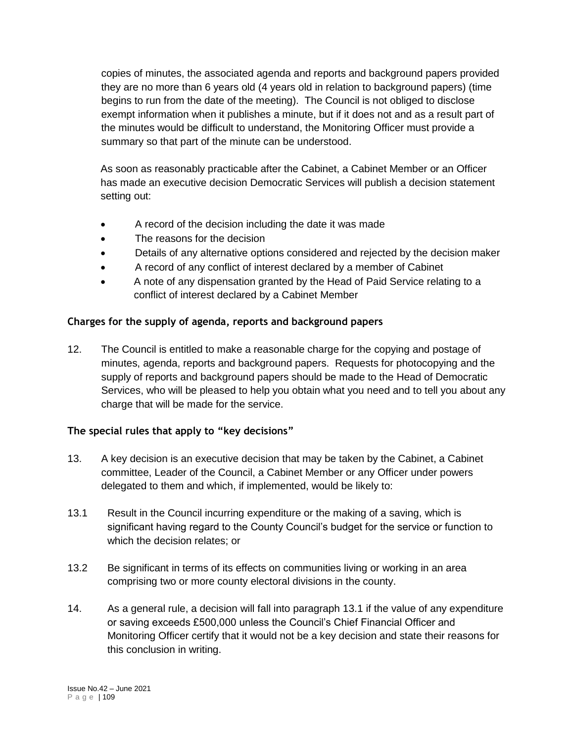copies of minutes, the associated agenda and reports and background papers provided they are no more than 6 years old (4 years old in relation to background papers) (time begins to run from the date of the meeting). The Council is not obliged to disclose exempt information when it publishes a minute, but if it does not and as a result part of the minutes would be difficult to understand, the Monitoring Officer must provide a summary so that part of the minute can be understood.

As soon as reasonably practicable after the Cabinet, a Cabinet Member or an Officer has made an executive decision Democratic Services will publish a decision statement setting out:

- A record of the decision including the date it was made
- The reasons for the decision
- Details of any alternative options considered and rejected by the decision maker
- A record of any conflict of interest declared by a member of Cabinet
- A note of any dispensation granted by the Head of Paid Service relating to a conflict of interest declared by a Cabinet Member

# **Charges for the supply of agenda, reports and background papers**

12. The Council is entitled to make a reasonable charge for the copying and postage of minutes, agenda, reports and background papers. Requests for photocopying and the supply of reports and background papers should be made to the Head of Democratic Services, who will be pleased to help you obtain what you need and to tell you about any charge that will be made for the service.

# **The special rules that apply to "key decisions"**

- 13. A key decision is an executive decision that may be taken by the Cabinet, a Cabinet committee, Leader of the Council, a Cabinet Member or any Officer under powers delegated to them and which, if implemented, would be likely to:
- 13.1 Result in the Council incurring expenditure or the making of a saving, which is significant having regard to the County Council's budget for the service or function to which the decision relates; or
- 13.2 Be significant in terms of its effects on communities living or working in an area comprising two or more county electoral divisions in the county.
- 14. As a general rule, a decision will fall into paragraph 13.1 if the value of any expenditure or saving exceeds £500,000 unless the Council's Chief Financial Officer and Monitoring Officer certify that it would not be a key decision and state their reasons for this conclusion in writing.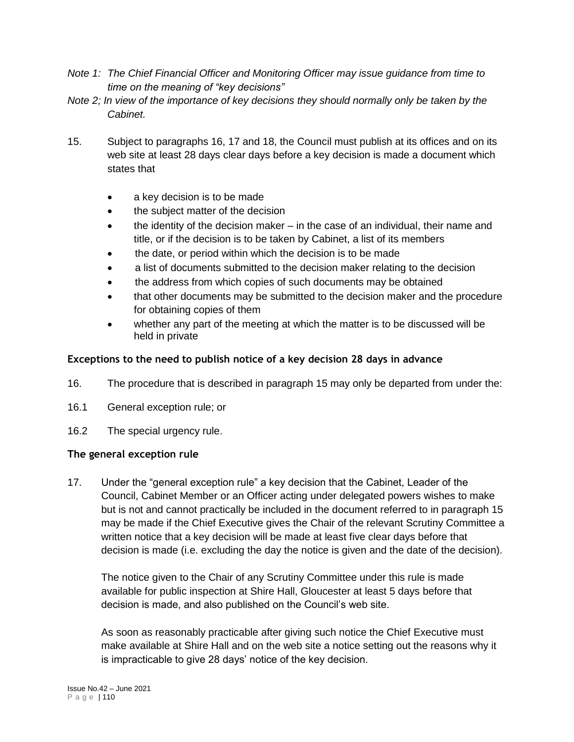- *Note 1: The Chief Financial Officer and Monitoring Officer may issue guidance from time to time on the meaning of "key decisions"*
- *Note 2; In view of the importance of key decisions they should normally only be taken by the Cabinet.*
- 15. Subject to paragraphs 16, 17 and 18, the Council must publish at its offices and on its web site at least 28 days clear days before a key decision is made a document which states that
	- a key decision is to be made
	- the subject matter of the decision
	- the identity of the decision maker in the case of an individual, their name and title, or if the decision is to be taken by Cabinet, a list of its members
	- the date, or period within which the decision is to be made
	- a list of documents submitted to the decision maker relating to the decision
	- the address from which copies of such documents may be obtained
	- that other documents may be submitted to the decision maker and the procedure for obtaining copies of them
	- whether any part of the meeting at which the matter is to be discussed will be held in private

# **Exceptions to the need to publish notice of a key decision 28 days in advance**

- 16. The procedure that is described in paragraph 15 may only be departed from under the:
- 16.1 General exception rule; or
- 16.2 The special urgency rule.

# **The general exception rule**

17. Under the "general exception rule" a key decision that the Cabinet, Leader of the Council, Cabinet Member or an Officer acting under delegated powers wishes to make but is not and cannot practically be included in the document referred to in paragraph 15 may be made if the Chief Executive gives the Chair of the relevant Scrutiny Committee a written notice that a key decision will be made at least five clear days before that decision is made (i.e. excluding the day the notice is given and the date of the decision).

The notice given to the Chair of any Scrutiny Committee under this rule is made available for public inspection at Shire Hall, Gloucester at least 5 days before that decision is made, and also published on the Council's web site.

As soon as reasonably practicable after giving such notice the Chief Executive must make available at Shire Hall and on the web site a notice setting out the reasons why it is impracticable to give 28 days' notice of the key decision.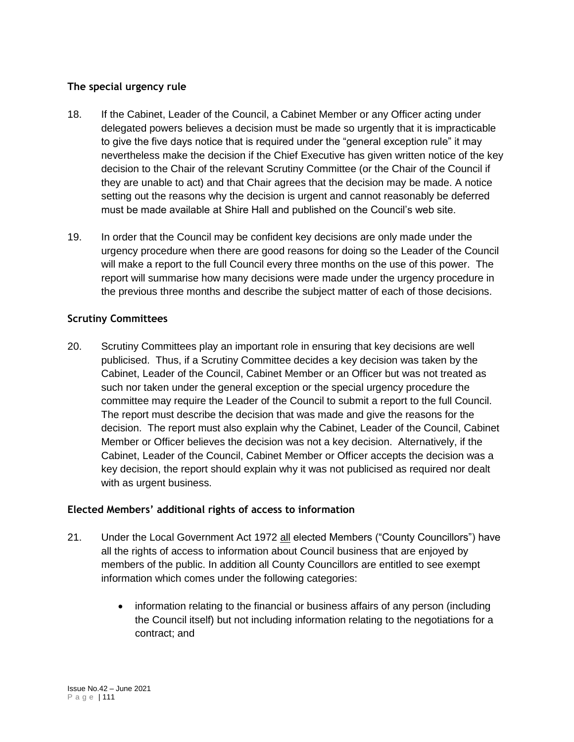## **The special urgency rule**

- 18. If the Cabinet, Leader of the Council, a Cabinet Member or any Officer acting under delegated powers believes a decision must be made so urgently that it is impracticable to give the five days notice that is required under the "general exception rule" it may nevertheless make the decision if the Chief Executive has given written notice of the key decision to the Chair of the relevant Scrutiny Committee (or the Chair of the Council if they are unable to act) and that Chair agrees that the decision may be made. A notice setting out the reasons why the decision is urgent and cannot reasonably be deferred must be made available at Shire Hall and published on the Council's web site.
- 19. In order that the Council may be confident key decisions are only made under the urgency procedure when there are good reasons for doing so the Leader of the Council will make a report to the full Council every three months on the use of this power. The report will summarise how many decisions were made under the urgency procedure in the previous three months and describe the subject matter of each of those decisions.

## **Scrutiny Committees**

20. Scrutiny Committees play an important role in ensuring that key decisions are well publicised. Thus, if a Scrutiny Committee decides a key decision was taken by the Cabinet, Leader of the Council, Cabinet Member or an Officer but was not treated as such nor taken under the general exception or the special urgency procedure the committee may require the Leader of the Council to submit a report to the full Council. The report must describe the decision that was made and give the reasons for the decision. The report must also explain why the Cabinet, Leader of the Council, Cabinet Member or Officer believes the decision was not a key decision. Alternatively, if the Cabinet, Leader of the Council, Cabinet Member or Officer accepts the decision was a key decision, the report should explain why it was not publicised as required nor dealt with as urgent business.

# **Elected Members' additional rights of access to information**

- 21. Under the Local Government Act 1972 all elected Members ("County Councillors") have all the rights of access to information about Council business that are enjoyed by members of the public. In addition all County Councillors are entitled to see exempt information which comes under the following categories:
	- information relating to the financial or business affairs of any person (including the Council itself) but not including information relating to the negotiations for a contract; and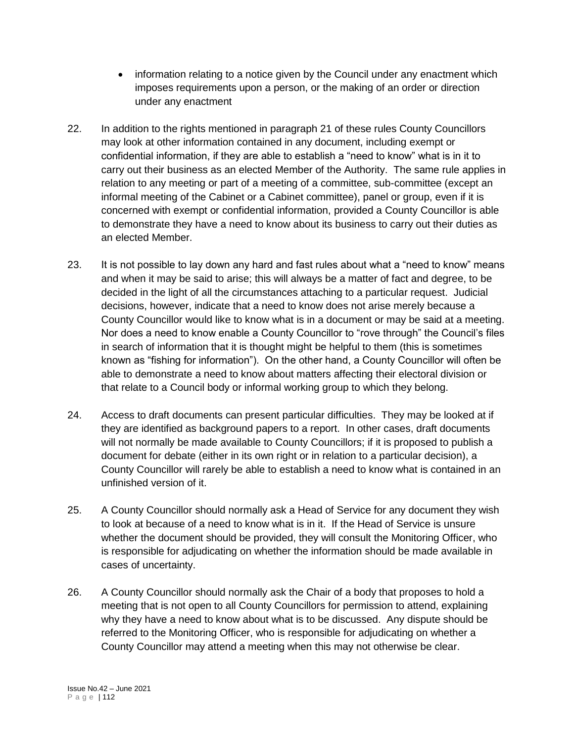- information relating to a notice given by the Council under any enactment which imposes requirements upon a person, or the making of an order or direction under any enactment
- 22. In addition to the rights mentioned in paragraph 21 of these rules County Councillors may look at other information contained in any document, including exempt or confidential information, if they are able to establish a "need to know" what is in it to carry out their business as an elected Member of the Authority. The same rule applies in relation to any meeting or part of a meeting of a committee, sub-committee (except an informal meeting of the Cabinet or a Cabinet committee), panel or group, even if it is concerned with exempt or confidential information, provided a County Councillor is able to demonstrate they have a need to know about its business to carry out their duties as an elected Member.
- 23. It is not possible to lay down any hard and fast rules about what a "need to know" means and when it may be said to arise; this will always be a matter of fact and degree, to be decided in the light of all the circumstances attaching to a particular request. Judicial decisions, however, indicate that a need to know does not arise merely because a County Councillor would like to know what is in a document or may be said at a meeting. Nor does a need to know enable a County Councillor to "rove through" the Council's files in search of information that it is thought might be helpful to them (this is sometimes known as "fishing for information"). On the other hand, a County Councillor will often be able to demonstrate a need to know about matters affecting their electoral division or that relate to a Council body or informal working group to which they belong.
- 24. Access to draft documents can present particular difficulties. They may be looked at if they are identified as background papers to a report. In other cases, draft documents will not normally be made available to County Councillors; if it is proposed to publish a document for debate (either in its own right or in relation to a particular decision), a County Councillor will rarely be able to establish a need to know what is contained in an unfinished version of it.
- 25. A County Councillor should normally ask a Head of Service for any document they wish to look at because of a need to know what is in it. If the Head of Service is unsure whether the document should be provided, they will consult the Monitoring Officer, who is responsible for adjudicating on whether the information should be made available in cases of uncertainty.
- 26. A County Councillor should normally ask the Chair of a body that proposes to hold a meeting that is not open to all County Councillors for permission to attend, explaining why they have a need to know about what is to be discussed. Any dispute should be referred to the Monitoring Officer, who is responsible for adjudicating on whether a County Councillor may attend a meeting when this may not otherwise be clear.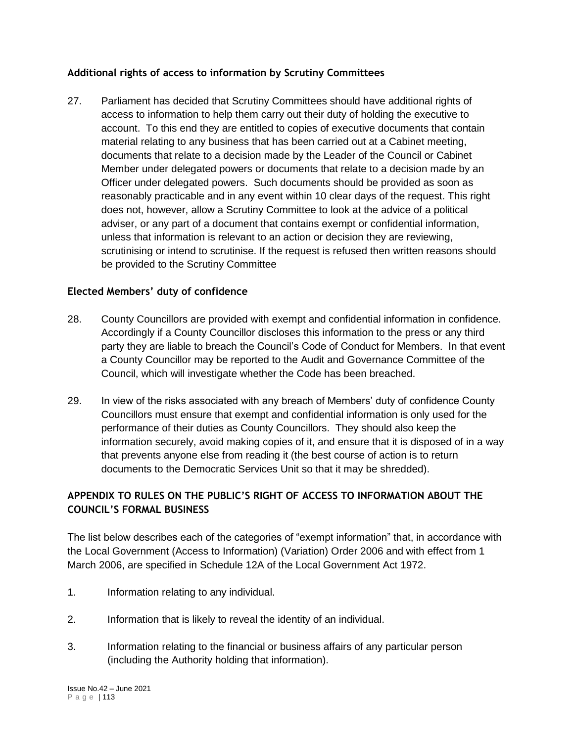# **Additional rights of access to information by Scrutiny Committees**

27. Parliament has decided that Scrutiny Committees should have additional rights of access to information to help them carry out their duty of holding the executive to account. To this end they are entitled to copies of executive documents that contain material relating to any business that has been carried out at a Cabinet meeting, documents that relate to a decision made by the Leader of the Council or Cabinet Member under delegated powers or documents that relate to a decision made by an Officer under delegated powers. Such documents should be provided as soon as reasonably practicable and in any event within 10 clear days of the request. This right does not, however, allow a Scrutiny Committee to look at the advice of a political adviser, or any part of a document that contains exempt or confidential information, unless that information is relevant to an action or decision they are reviewing, scrutinising or intend to scrutinise. If the request is refused then written reasons should be provided to the Scrutiny Committee

# **Elected Members' duty of confidence**

- 28. County Councillors are provided with exempt and confidential information in confidence. Accordingly if a County Councillor discloses this information to the press or any third party they are liable to breach the Council's Code of Conduct for Members. In that event a County Councillor may be reported to the Audit and Governance Committee of the Council, which will investigate whether the Code has been breached.
- 29. In view of the risks associated with any breach of Members' duty of confidence County Councillors must ensure that exempt and confidential information is only used for the performance of their duties as County Councillors. They should also keep the information securely, avoid making copies of it, and ensure that it is disposed of in a way that prevents anyone else from reading it (the best course of action is to return documents to the Democratic Services Unit so that it may be shredded).

# **APPENDIX TO RULES ON THE PUBLIC'S RIGHT OF ACCESS TO INFORMATION ABOUT THE COUNCIL'S FORMAL BUSINESS**

The list below describes each of the categories of "exempt information" that, in accordance with the Local Government (Access to Information) (Variation) Order 2006 and with effect from 1 March 2006, are specified in Schedule 12A of the Local Government Act 1972.

- 1. Information relating to any individual.
- 2. Information that is likely to reveal the identity of an individual.
- 3. Information relating to the financial or business affairs of any particular person (including the Authority holding that information).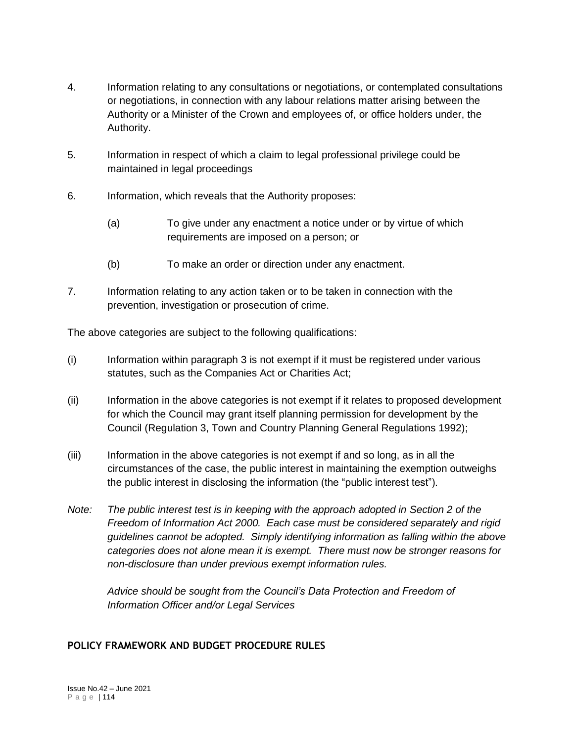- 4. Information relating to any consultations or negotiations, or contemplated consultations or negotiations, in connection with any labour relations matter arising between the Authority or a Minister of the Crown and employees of, or office holders under, the Authority.
- 5. Information in respect of which a claim to legal professional privilege could be maintained in legal proceedings
- 6. Information, which reveals that the Authority proposes:
	- (a) To give under any enactment a notice under or by virtue of which requirements are imposed on a person; or
	- (b) To make an order or direction under any enactment.
- 7. Information relating to any action taken or to be taken in connection with the prevention, investigation or prosecution of crime.

The above categories are subject to the following qualifications:

- (i) Information within paragraph 3 is not exempt if it must be registered under various statutes, such as the Companies Act or Charities Act;
- (ii) Information in the above categories is not exempt if it relates to proposed development for which the Council may grant itself planning permission for development by the Council (Regulation 3, Town and Country Planning General Regulations 1992);
- (iii) Information in the above categories is not exempt if and so long, as in all the circumstances of the case, the public interest in maintaining the exemption outweighs the public interest in disclosing the information (the "public interest test").
- *Note: The public interest test is in keeping with the approach adopted in Section 2 of the Freedom of Information Act 2000. Each case must be considered separately and rigid guidelines cannot be adopted. Simply identifying information as falling within the above categories does not alone mean it is exempt. There must now be stronger reasons for non-disclosure than under previous exempt information rules.*

*Advice should be sought from the Council's Data Protection and Freedom of Information Officer and/or Legal Services*

# **POLICY FRAMEWORK AND BUDGET PROCEDURE RULES**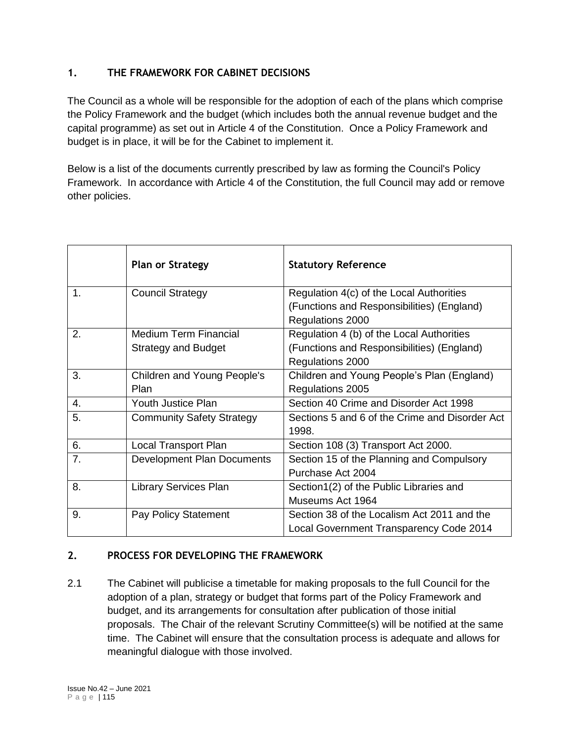# **1. THE FRAMEWORK FOR CABINET DECISIONS**

The Council as a whole will be responsible for the adoption of each of the plans which comprise the Policy Framework and the budget (which includes both the annual revenue budget and the capital programme) as set out in Article 4 of the Constitution. Once a Policy Framework and budget is in place, it will be for the Cabinet to implement it.

Below is a list of the documents currently prescribed by law as forming the Council's Policy Framework. In accordance with Article 4 of the Constitution, the full Council may add or remove other policies.

|               | <b>Plan or Strategy</b>          | <b>Statutory Reference</b>                     |
|---------------|----------------------------------|------------------------------------------------|
| $\mathbf 1$ . | <b>Council Strategy</b>          | Regulation 4(c) of the Local Authorities       |
|               |                                  | (Functions and Responsibilities) (England)     |
|               |                                  | Regulations 2000                               |
| 2.            | <b>Medium Term Financial</b>     | Regulation 4 (b) of the Local Authorities      |
|               | <b>Strategy and Budget</b>       | (Functions and Responsibilities) (England)     |
|               |                                  | Regulations 2000                               |
| 3.            | Children and Young People's      | Children and Young People's Plan (England)     |
|               | Plan                             | Regulations 2005                               |
| 4.            | Youth Justice Plan               | Section 40 Crime and Disorder Act 1998         |
| 5.            | <b>Community Safety Strategy</b> | Sections 5 and 6 of the Crime and Disorder Act |
|               |                                  | 1998.                                          |
| 6.            | Local Transport Plan             | Section 108 (3) Transport Act 2000.            |
| 7.            | Development Plan Documents       | Section 15 of the Planning and Compulsory      |
|               |                                  | Purchase Act 2004                              |
| 8.            | <b>Library Services Plan</b>     | Section1(2) of the Public Libraries and        |
|               |                                  | Museums Act 1964                               |
| 9.            | Pay Policy Statement             | Section 38 of the Localism Act 2011 and the    |
|               |                                  | Local Government Transparency Code 2014        |

## **2. PROCESS FOR DEVELOPING THE FRAMEWORK**

2.1 The Cabinet will publicise a timetable for making proposals to the full Council for the adoption of a plan, strategy or budget that forms part of the Policy Framework and budget, and its arrangements for consultation after publication of those initial proposals. The Chair of the relevant Scrutiny Committee(s) will be notified at the same time. The Cabinet will ensure that the consultation process is adequate and allows for meaningful dialogue with those involved.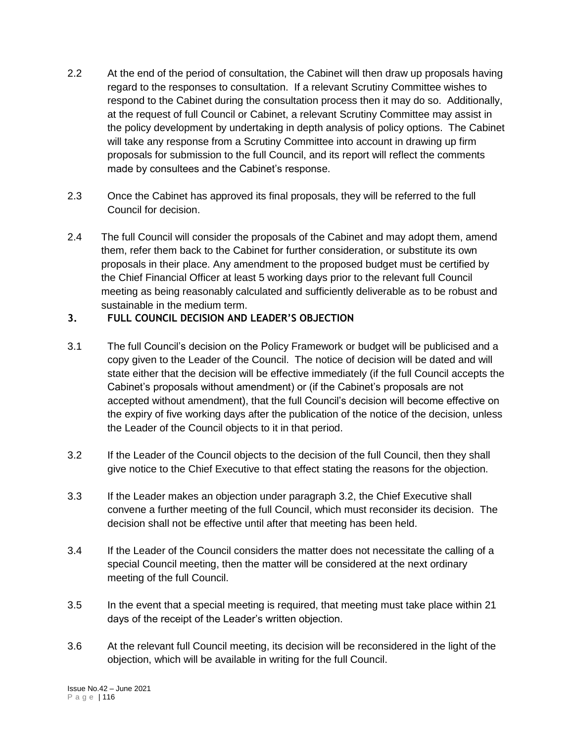- 2.2 At the end of the period of consultation, the Cabinet will then draw up proposals having regard to the responses to consultation. If a relevant Scrutiny Committee wishes to respond to the Cabinet during the consultation process then it may do so. Additionally, at the request of full Council or Cabinet, a relevant Scrutiny Committee may assist in the policy development by undertaking in depth analysis of policy options. The Cabinet will take any response from a Scrutiny Committee into account in drawing up firm proposals for submission to the full Council, and its report will reflect the comments made by consultees and the Cabinet's response.
- 2.3 Once the Cabinet has approved its final proposals, they will be referred to the full Council for decision.
- 2.4 The full Council will consider the proposals of the Cabinet and may adopt them, amend them, refer them back to the Cabinet for further consideration, or substitute its own proposals in their place. Any amendment to the proposed budget must be certified by the Chief Financial Officer at least 5 working days prior to the relevant full Council meeting as being reasonably calculated and sufficiently deliverable as to be robust and sustainable in the medium term.

# **3. FULL COUNCIL DECISION AND LEADER'S OBJECTION**

- 3.1 The full Council's decision on the Policy Framework or budget will be publicised and a copy given to the Leader of the Council. The notice of decision will be dated and will state either that the decision will be effective immediately (if the full Council accepts the Cabinet's proposals without amendment) or (if the Cabinet's proposals are not accepted without amendment), that the full Council's decision will become effective on the expiry of five working days after the publication of the notice of the decision, unless the Leader of the Council objects to it in that period.
- 3.2 If the Leader of the Council objects to the decision of the full Council, then they shall give notice to the Chief Executive to that effect stating the reasons for the objection.
- 3.3 If the Leader makes an objection under paragraph 3.2, the Chief Executive shall convene a further meeting of the full Council, which must reconsider its decision. The decision shall not be effective until after that meeting has been held.
- 3.4 If the Leader of the Council considers the matter does not necessitate the calling of a special Council meeting, then the matter will be considered at the next ordinary meeting of the full Council.
- 3.5 In the event that a special meeting is required, that meeting must take place within 21 days of the receipt of the Leader's written objection.
- 3.6 At the relevant full Council meeting, its decision will be reconsidered in the light of the objection, which will be available in writing for the full Council.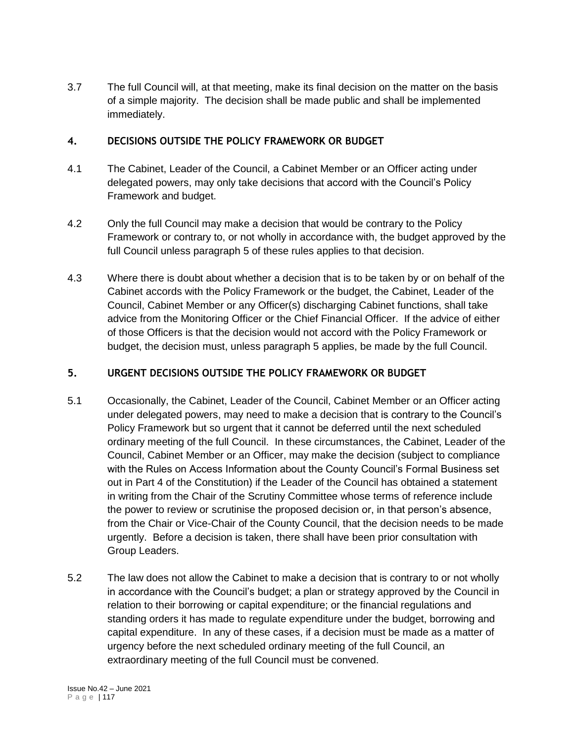3.7 The full Council will, at that meeting, make its final decision on the matter on the basis of a simple majority. The decision shall be made public and shall be implemented immediately.

## **4. DECISIONS OUTSIDE THE POLICY FRAMEWORK OR BUDGET**

- 4.1 The Cabinet, Leader of the Council, a Cabinet Member or an Officer acting under delegated powers, may only take decisions that accord with the Council's Policy Framework and budget.
- 4.2 Only the full Council may make a decision that would be contrary to the Policy Framework or contrary to, or not wholly in accordance with, the budget approved by the full Council unless paragraph 5 of these rules applies to that decision.
- 4.3 Where there is doubt about whether a decision that is to be taken by or on behalf of the Cabinet accords with the Policy Framework or the budget, the Cabinet, Leader of the Council, Cabinet Member or any Officer(s) discharging Cabinet functions, shall take advice from the Monitoring Officer or the Chief Financial Officer. If the advice of either of those Officers is that the decision would not accord with the Policy Framework or budget, the decision must, unless paragraph 5 applies, be made by the full Council.

# **5. URGENT DECISIONS OUTSIDE THE POLICY FRAMEWORK OR BUDGET**

- 5.1 Occasionally, the Cabinet, Leader of the Council, Cabinet Member or an Officer acting under delegated powers, may need to make a decision that is contrary to the Council's Policy Framework but so urgent that it cannot be deferred until the next scheduled ordinary meeting of the full Council. In these circumstances, the Cabinet, Leader of the Council, Cabinet Member or an Officer, may make the decision (subject to compliance with the Rules on Access Information about the County Council's Formal Business set out in Part 4 of the Constitution) if the Leader of the Council has obtained a statement in writing from the Chair of the Scrutiny Committee whose terms of reference include the power to review or scrutinise the proposed decision or, in that person's absence, from the Chair or Vice-Chair of the County Council, that the decision needs to be made urgently. Before a decision is taken, there shall have been prior consultation with Group Leaders.
- 5.2 The law does not allow the Cabinet to make a decision that is contrary to or not wholly in accordance with the Council's budget; a plan or strategy approved by the Council in relation to their borrowing or capital expenditure; or the financial regulations and standing orders it has made to regulate expenditure under the budget, borrowing and capital expenditure. In any of these cases, if a decision must be made as a matter of urgency before the next scheduled ordinary meeting of the full Council, an extraordinary meeting of the full Council must be convened.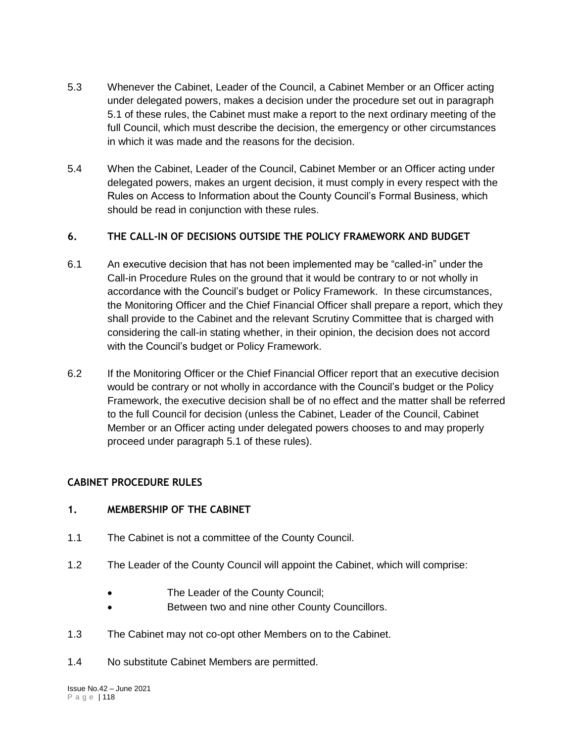- 5.3 Whenever the Cabinet, Leader of the Council, a Cabinet Member or an Officer acting under delegated powers, makes a decision under the procedure set out in paragraph 5.1 of these rules, the Cabinet must make a report to the next ordinary meeting of the full Council, which must describe the decision, the emergency or other circumstances in which it was made and the reasons for the decision.
- 5.4 When the Cabinet, Leader of the Council, Cabinet Member or an Officer acting under delegated powers, makes an urgent decision, it must comply in every respect with the Rules on Access to Information about the County Council's Formal Business, which should be read in conjunction with these rules.

# **6. THE CALL-IN OF DECISIONS OUTSIDE THE POLICY FRAMEWORK AND BUDGET**

- 6.1 An executive decision that has not been implemented may be "called-in" under the Call-in Procedure Rules on the ground that it would be contrary to or not wholly in accordance with the Council's budget or Policy Framework. In these circumstances, the Monitoring Officer and the Chief Financial Officer shall prepare a report, which they shall provide to the Cabinet and the relevant Scrutiny Committee that is charged with considering the call-in stating whether, in their opinion, the decision does not accord with the Council's budget or Policy Framework.
- 6.2 If the Monitoring Officer or the Chief Financial Officer report that an executive decision would be contrary or not wholly in accordance with the Council's budget or the Policy Framework, the executive decision shall be of no effect and the matter shall be referred to the full Council for decision (unless the Cabinet, Leader of the Council, Cabinet Member or an Officer acting under delegated powers chooses to and may properly proceed under paragraph 5.1 of these rules).

# **CABINET PROCEDURE RULES**

### **1. MEMBERSHIP OF THE CABINET**

- 1.1 The Cabinet is not a committee of the County Council.
- 1.2 The Leader of the County Council will appoint the Cabinet, which will comprise:
	- The Leader of the County Council;
	- Between two and nine other County Councillors.
- 1.3 The Cabinet may not co-opt other Members on to the Cabinet.
- 1.4 No substitute Cabinet Members are permitted.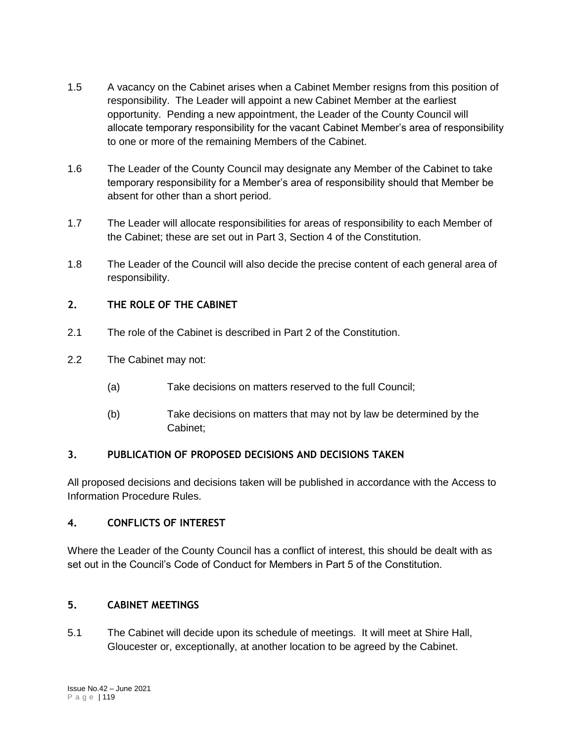- 1.5 A vacancy on the Cabinet arises when a Cabinet Member resigns from this position of responsibility. The Leader will appoint a new Cabinet Member at the earliest opportunity. Pending a new appointment, the Leader of the County Council will allocate temporary responsibility for the vacant Cabinet Member's area of responsibility to one or more of the remaining Members of the Cabinet.
- 1.6 The Leader of the County Council may designate any Member of the Cabinet to take temporary responsibility for a Member's area of responsibility should that Member be absent for other than a short period.
- 1.7 The Leader will allocate responsibilities for areas of responsibility to each Member of the Cabinet; these are set out in Part 3, Section 4 of the Constitution.
- 1.8 The Leader of the Council will also decide the precise content of each general area of responsibility.

# **2. THE ROLE OF THE CABINET**

- 2.1 The role of the Cabinet is described in Part 2 of the Constitution.
- 2.2 The Cabinet may not:
	- (a) Take decisions on matters reserved to the full Council;
	- (b) Take decisions on matters that may not by law be determined by the Cabinet;

# **3. PUBLICATION OF PROPOSED DECISIONS AND DECISIONS TAKEN**

All proposed decisions and decisions taken will be published in accordance with the Access to Information Procedure Rules.

# **4. CONFLICTS OF INTEREST**

Where the Leader of the County Council has a conflict of interest, this should be dealt with as set out in the Council's Code of Conduct for Members in Part 5 of the Constitution.

# **5. CABINET MEETINGS**

5.1 The Cabinet will decide upon its schedule of meetings. It will meet at Shire Hall, Gloucester or, exceptionally, at another location to be agreed by the Cabinet.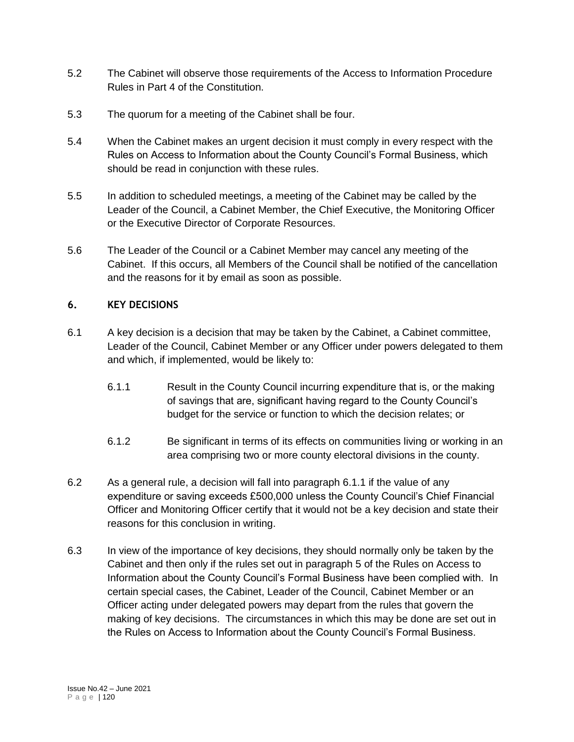- 5.2 The Cabinet will observe those requirements of the Access to Information Procedure Rules in Part 4 of the Constitution.
- 5.3 The quorum for a meeting of the Cabinet shall be four.
- 5.4 When the Cabinet makes an urgent decision it must comply in every respect with the Rules on Access to Information about the County Council's Formal Business, which should be read in conjunction with these rules.
- 5.5 In addition to scheduled meetings, a meeting of the Cabinet may be called by the Leader of the Council, a Cabinet Member, the Chief Executive, the Monitoring Officer or the Executive Director of Corporate Resources.
- 5.6 The Leader of the Council or a Cabinet Member may cancel any meeting of the Cabinet. If this occurs, all Members of the Council shall be notified of the cancellation and the reasons for it by email as soon as possible.

## **6. KEY DECISIONS**

- 6.1 A key decision is a decision that may be taken by the Cabinet, a Cabinet committee, Leader of the Council, Cabinet Member or any Officer under powers delegated to them and which, if implemented, would be likely to:
	- 6.1.1 Result in the County Council incurring expenditure that is, or the making of savings that are, significant having regard to the County Council's budget for the service or function to which the decision relates; or
	- 6.1.2 Be significant in terms of its effects on communities living or working in an area comprising two or more county electoral divisions in the county.
- 6.2 As a general rule, a decision will fall into paragraph 6.1.1 if the value of any expenditure or saving exceeds £500,000 unless the County Council's Chief Financial Officer and Monitoring Officer certify that it would not be a key decision and state their reasons for this conclusion in writing.
- 6.3 In view of the importance of key decisions, they should normally only be taken by the Cabinet and then only if the rules set out in paragraph 5 of the Rules on Access to Information about the County Council's Formal Business have been complied with. In certain special cases, the Cabinet, Leader of the Council, Cabinet Member or an Officer acting under delegated powers may depart from the rules that govern the making of key decisions. The circumstances in which this may be done are set out in the Rules on Access to Information about the County Council's Formal Business.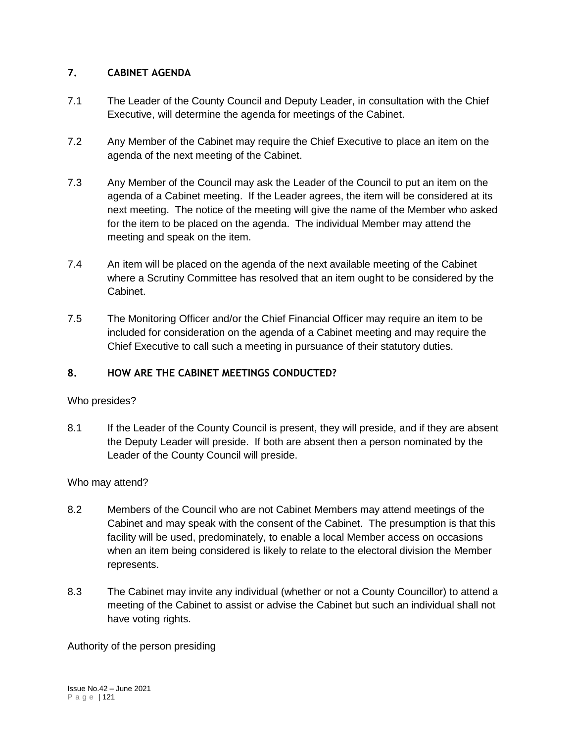# **7. CABINET AGENDA**

- 7.1 The Leader of the County Council and Deputy Leader, in consultation with the Chief Executive, will determine the agenda for meetings of the Cabinet.
- 7.2 Any Member of the Cabinet may require the Chief Executive to place an item on the agenda of the next meeting of the Cabinet.
- 7.3 Any Member of the Council may ask the Leader of the Council to put an item on the agenda of a Cabinet meeting. If the Leader agrees, the item will be considered at its next meeting. The notice of the meeting will give the name of the Member who asked for the item to be placed on the agenda. The individual Member may attend the meeting and speak on the item.
- 7.4 An item will be placed on the agenda of the next available meeting of the Cabinet where a Scrutiny Committee has resolved that an item ought to be considered by the Cabinet.
- 7.5 The Monitoring Officer and/or the Chief Financial Officer may require an item to be included for consideration on the agenda of a Cabinet meeting and may require the Chief Executive to call such a meeting in pursuance of their statutory duties.

# **8. HOW ARE THE CABINET MEETINGS CONDUCTED?**

# Who presides?

8.1 If the Leader of the County Council is present, they will preside, and if they are absent the Deputy Leader will preside. If both are absent then a person nominated by the Leader of the County Council will preside.

# Who may attend?

- 8.2 Members of the Council who are not Cabinet Members may attend meetings of the Cabinet and may speak with the consent of the Cabinet. The presumption is that this facility will be used, predominately, to enable a local Member access on occasions when an item being considered is likely to relate to the electoral division the Member represents.
- 8.3 The Cabinet may invite any individual (whether or not a County Councillor) to attend a meeting of the Cabinet to assist or advise the Cabinet but such an individual shall not have voting rights.

Authority of the person presiding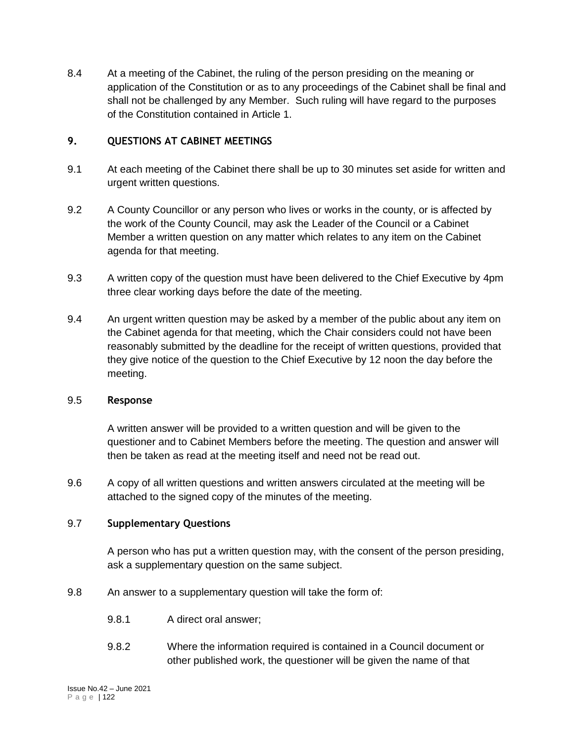8.4 At a meeting of the Cabinet, the ruling of the person presiding on the meaning or application of the Constitution or as to any proceedings of the Cabinet shall be final and shall not be challenged by any Member. Such ruling will have regard to the purposes of the Constitution contained in Article 1.

## **9. QUESTIONS AT CABINET MEETINGS**

- 9.1 At each meeting of the Cabinet there shall be up to 30 minutes set aside for written and urgent written questions.
- 9.2 A County Councillor or any person who lives or works in the county, or is affected by the work of the County Council, may ask the Leader of the Council or a Cabinet Member a written question on any matter which relates to any item on the Cabinet agenda for that meeting.
- 9.3 A written copy of the question must have been delivered to the Chief Executive by 4pm three clear working days before the date of the meeting.
- 9.4 An urgent written question may be asked by a member of the public about any item on the Cabinet agenda for that meeting, which the Chair considers could not have been reasonably submitted by the deadline for the receipt of written questions, provided that they give notice of the question to the Chief Executive by 12 noon the day before the meeting.

### 9.5 **Response**

A written answer will be provided to a written question and will be given to the questioner and to Cabinet Members before the meeting. The question and answer will then be taken as read at the meeting itself and need not be read out.

9.6 A copy of all written questions and written answers circulated at the meeting will be attached to the signed copy of the minutes of the meeting.

### 9.7 **Supplementary Questions**

A person who has put a written question may, with the consent of the person presiding, ask a supplementary question on the same subject.

- 9.8 An answer to a supplementary question will take the form of:
	- 9.8.1 A direct oral answer;
	- 9.8.2 Where the information required is contained in a Council document or other published work, the questioner will be given the name of that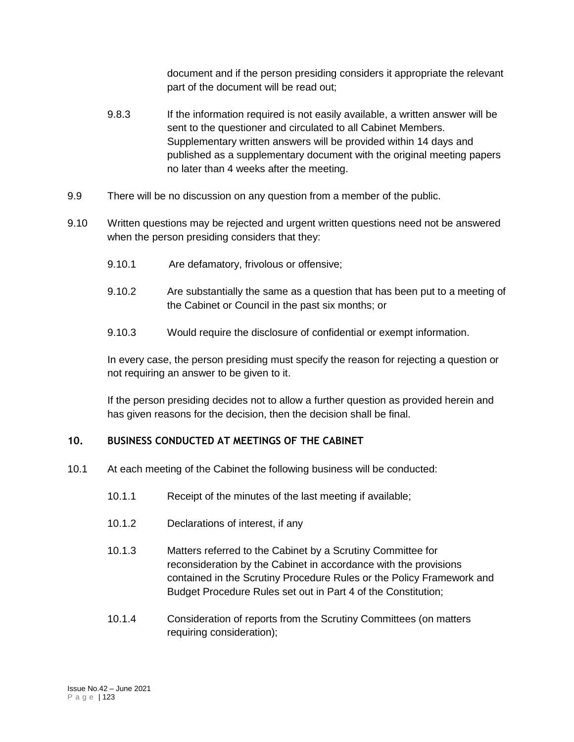document and if the person presiding considers it appropriate the relevant part of the document will be read out;

- 9.8.3 If the information required is not easily available, a written answer will be sent to the questioner and circulated to all Cabinet Members. Supplementary written answers will be provided within 14 days and published as a supplementary document with the original meeting papers no later than 4 weeks after the meeting.
- 9.9 There will be no discussion on any question from a member of the public.
- 9.10 Written questions may be rejected and urgent written questions need not be answered when the person presiding considers that they:
	- 9.10.1 Are defamatory, frivolous or offensive;
	- 9.10.2 Are substantially the same as a question that has been put to a meeting of the Cabinet or Council in the past six months; or
	- 9.10.3 Would require the disclosure of confidential or exempt information.

In every case, the person presiding must specify the reason for rejecting a question or not requiring an answer to be given to it.

If the person presiding decides not to allow a further question as provided herein and has given reasons for the decision, then the decision shall be final.

# **10. BUSINESS CONDUCTED AT MEETINGS OF THE CABINET**

- 10.1 At each meeting of the Cabinet the following business will be conducted:
	- 10.1.1 Receipt of the minutes of the last meeting if available;
	- 10.1.2 Declarations of interest, if any
	- 10.1.3 Matters referred to the Cabinet by a Scrutiny Committee for reconsideration by the Cabinet in accordance with the provisions contained in the Scrutiny Procedure Rules or the Policy Framework and Budget Procedure Rules set out in Part 4 of the Constitution;
	- 10.1.4 Consideration of reports from the Scrutiny Committees (on matters requiring consideration);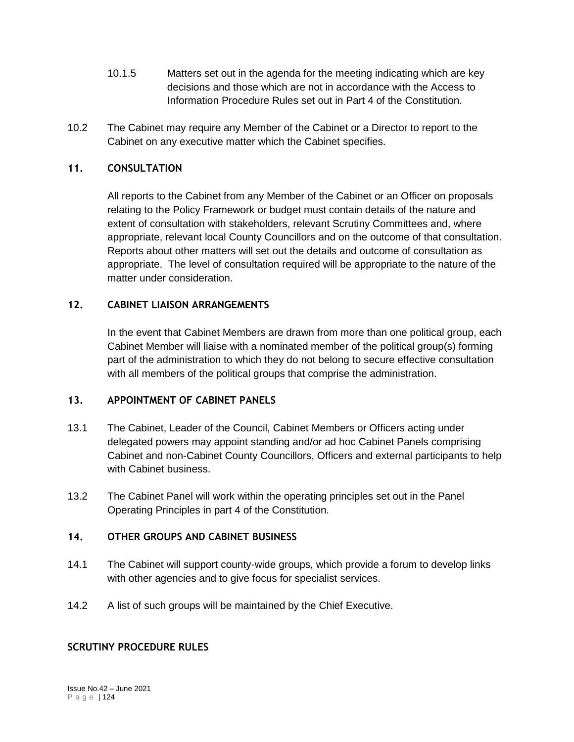- 10.1.5 Matters set out in the agenda for the meeting indicating which are key decisions and those which are not in accordance with the Access to Information Procedure Rules set out in Part 4 of the Constitution.
- 10.2 The Cabinet may require any Member of the Cabinet or a Director to report to the Cabinet on any executive matter which the Cabinet specifies.

# **11. CONSULTATION**

All reports to the Cabinet from any Member of the Cabinet or an Officer on proposals relating to the Policy Framework or budget must contain details of the nature and extent of consultation with stakeholders, relevant Scrutiny Committees and, where appropriate, relevant local County Councillors and on the outcome of that consultation. Reports about other matters will set out the details and outcome of consultation as appropriate. The level of consultation required will be appropriate to the nature of the matter under consideration.

## **12. CABINET LIAISON ARRANGEMENTS**

In the event that Cabinet Members are drawn from more than one political group, each Cabinet Member will liaise with a nominated member of the political group(s) forming part of the administration to which they do not belong to secure effective consultation with all members of the political groups that comprise the administration.

# **13. APPOINTMENT OF CABINET PANELS**

- 13.1 The Cabinet, Leader of the Council, Cabinet Members or Officers acting under delegated powers may appoint standing and/or ad hoc Cabinet Panels comprising Cabinet and non-Cabinet County Councillors, Officers and external participants to help with Cabinet business.
- 13.2 The Cabinet Panel will work within the operating principles set out in the Panel Operating Principles in part 4 of the Constitution.

# **14. OTHER GROUPS AND CABINET BUSINESS**

- 14.1 The Cabinet will support county-wide groups, which provide a forum to develop links with other agencies and to give focus for specialist services.
- 14.2 A list of such groups will be maintained by the Chief Executive.

# **SCRUTINY PROCEDURE RULES**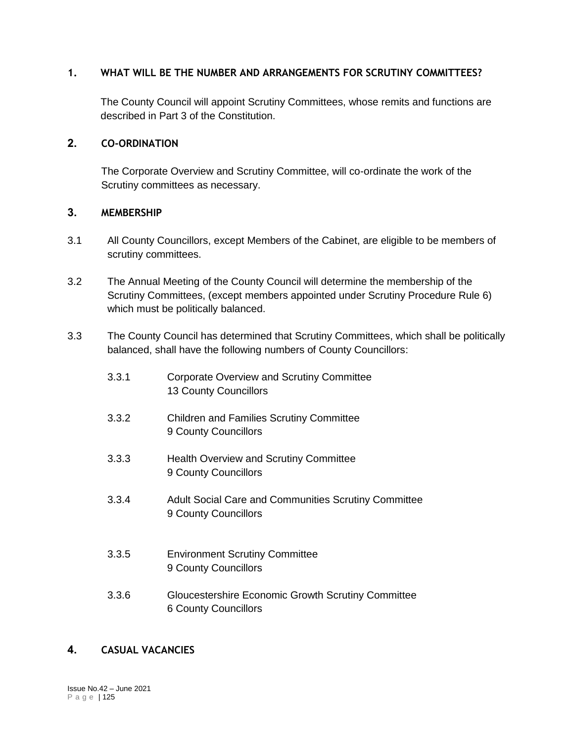### **1. WHAT WILL BE THE NUMBER AND ARRANGEMENTS FOR SCRUTINY COMMITTEES?**

The County Council will appoint Scrutiny Committees, whose remits and functions are described in Part 3 of the Constitution.

### **2. CO-ORDINATION**

The Corporate Overview and Scrutiny Committee, will co-ordinate the work of the Scrutiny committees as necessary.

### **3. MEMBERSHIP**

- 3.1 All County Councillors, except Members of the Cabinet, are eligible to be members of scrutiny committees.
- 3.2 The Annual Meeting of the County Council will determine the membership of the Scrutiny Committees, (except members appointed under Scrutiny Procedure Rule 6) which must be politically balanced.
- 3.3 The County Council has determined that Scrutiny Committees, which shall be politically balanced, shall have the following numbers of County Councillors:
	- 3.3.1 Corporate Overview and Scrutiny Committee 13 County Councillors
	- 3.3.2 Children and Families Scrutiny Committee 9 County Councillors
	- 3.3.3 Health Overview and Scrutiny Committee 9 County Councillors
	- 3.3.4 Adult Social Care and Communities Scrutiny Committee 9 County Councillors
	- 3.3.5 Environment Scrutiny Committee 9 County Councillors
	- 3.3.6 Gloucestershire Economic Growth Scrutiny Committee 6 County Councillors

### **4. CASUAL VACANCIES**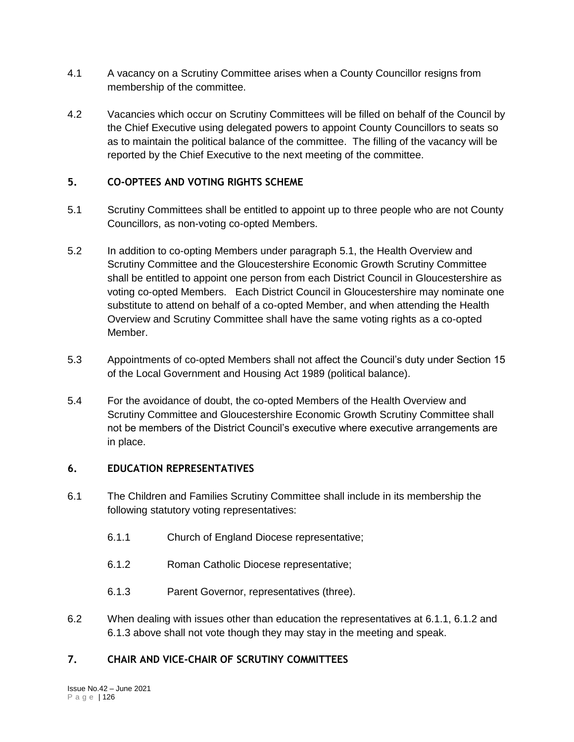- 4.1 A vacancy on a Scrutiny Committee arises when a County Councillor resigns from membership of the committee.
- 4.2 Vacancies which occur on Scrutiny Committees will be filled on behalf of the Council by the Chief Executive using delegated powers to appoint County Councillors to seats so as to maintain the political balance of the committee. The filling of the vacancy will be reported by the Chief Executive to the next meeting of the committee.

## **5. CO-OPTEES AND VOTING RIGHTS SCHEME**

- 5.1 Scrutiny Committees shall be entitled to appoint up to three people who are not County Councillors, as non-voting co-opted Members.
- 5.2 In addition to co-opting Members under paragraph 5.1, the Health Overview and Scrutiny Committee and the Gloucestershire Economic Growth Scrutiny Committee shall be entitled to appoint one person from each District Council in Gloucestershire as voting co-opted Members. Each District Council in Gloucestershire may nominate one substitute to attend on behalf of a co-opted Member, and when attending the Health Overview and Scrutiny Committee shall have the same voting rights as a co-opted Member.
- 5.3 Appointments of co-opted Members shall not affect the Council's duty under Section 15 of the Local Government and Housing Act 1989 (political balance).
- 5.4 For the avoidance of doubt, the co-opted Members of the Health Overview and Scrutiny Committee and Gloucestershire Economic Growth Scrutiny Committee shall not be members of the District Council's executive where executive arrangements are in place.

## **6. EDUCATION REPRESENTATIVES**

- 6.1 The Children and Families Scrutiny Committee shall include in its membership the following statutory voting representatives:
	- 6.1.1 Church of England Diocese representative;
	- 6.1.2 Roman Catholic Diocese representative;
	- 6.1.3 Parent Governor, representatives (three).
- 6.2 When dealing with issues other than education the representatives at 6.1.1, 6.1.2 and 6.1.3 above shall not vote though they may stay in the meeting and speak.

# **7. CHAIR AND VICE-CHAIR OF SCRUTINY COMMITTEES**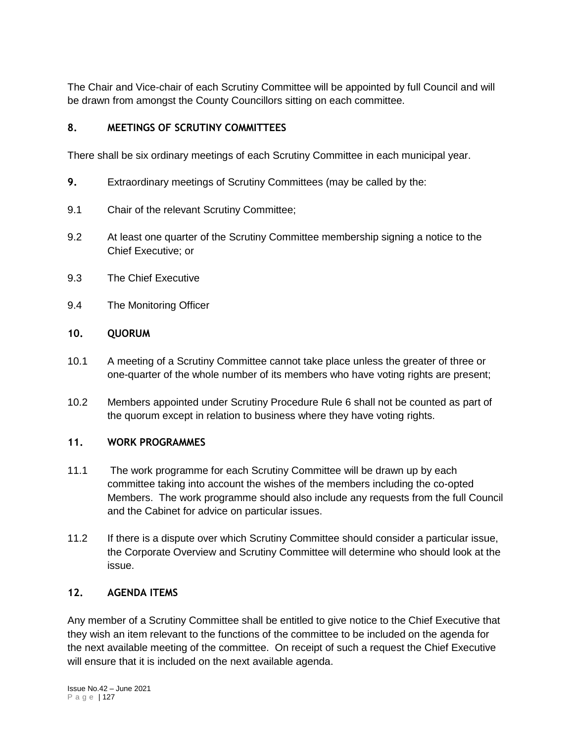The Chair and Vice-chair of each Scrutiny Committee will be appointed by full Council and will be drawn from amongst the County Councillors sitting on each committee.

# **8. MEETINGS OF SCRUTINY COMMITTEES**

There shall be six ordinary meetings of each Scrutiny Committee in each municipal year.

- **9.** Extraordinary meetings of Scrutiny Committees (may be called by the:
- 9.1 Chair of the relevant Scrutiny Committee;
- 9.2 At least one quarter of the Scrutiny Committee membership signing a notice to the Chief Executive; or
- 9.3 The Chief Executive
- 9.4 The Monitoring Officer

# **10. QUORUM**

- 10.1 A meeting of a Scrutiny Committee cannot take place unless the greater of three or one-quarter of the whole number of its members who have voting rights are present;
- 10.2 Members appointed under Scrutiny Procedure Rule 6 shall not be counted as part of the quorum except in relation to business where they have voting rights.

# **11. WORK PROGRAMMES**

- 11.1 The work programme for each Scrutiny Committee will be drawn up by each committee taking into account the wishes of the members including the co-opted Members. The work programme should also include any requests from the full Council and the Cabinet for advice on particular issues.
- 11.2 If there is a dispute over which Scrutiny Committee should consider a particular issue, the Corporate Overview and Scrutiny Committee will determine who should look at the issue.

# **12. AGENDA ITEMS**

Any member of a Scrutiny Committee shall be entitled to give notice to the Chief Executive that they wish an item relevant to the functions of the committee to be included on the agenda for the next available meeting of the committee. On receipt of such a request the Chief Executive will ensure that it is included on the next available agenda.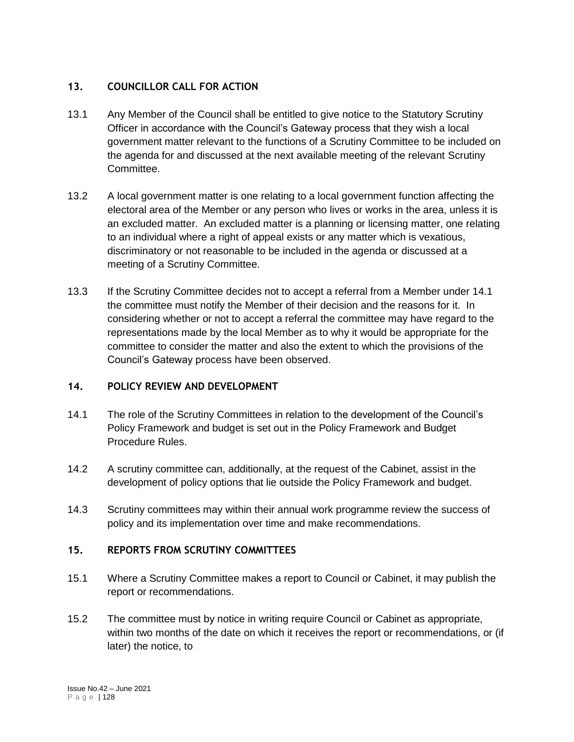# **13. COUNCILLOR CALL FOR ACTION**

- 13.1 Any Member of the Council shall be entitled to give notice to the Statutory Scrutiny Officer in accordance with the Council's Gateway process that they wish a local government matter relevant to the functions of a Scrutiny Committee to be included on the agenda for and discussed at the next available meeting of the relevant Scrutiny Committee.
- 13.2 A local government matter is one relating to a local government function affecting the electoral area of the Member or any person who lives or works in the area, unless it is an excluded matter. An excluded matter is a planning or licensing matter, one relating to an individual where a right of appeal exists or any matter which is vexatious, discriminatory or not reasonable to be included in the agenda or discussed at a meeting of a Scrutiny Committee.
- 13.3 If the Scrutiny Committee decides not to accept a referral from a Member under 14.1 the committee must notify the Member of their decision and the reasons for it. In considering whether or not to accept a referral the committee may have regard to the representations made by the local Member as to why it would be appropriate for the committee to consider the matter and also the extent to which the provisions of the Council's Gateway process have been observed.

### **14. POLICY REVIEW AND DEVELOPMENT**

- 14.1 The role of the Scrutiny Committees in relation to the development of the Council's Policy Framework and budget is set out in the Policy Framework and Budget Procedure Rules.
- 14.2 A scrutiny committee can, additionally, at the request of the Cabinet, assist in the development of policy options that lie outside the Policy Framework and budget.
- 14.3 Scrutiny committees may within their annual work programme review the success of policy and its implementation over time and make recommendations.

### **15. REPORTS FROM SCRUTINY COMMITTEES**

- 15.1 Where a Scrutiny Committee makes a report to Council or Cabinet, it may publish the report or recommendations.
- 15.2 The committee must by notice in writing require Council or Cabinet as appropriate, within two months of the date on which it receives the report or recommendations, or (if later) the notice, to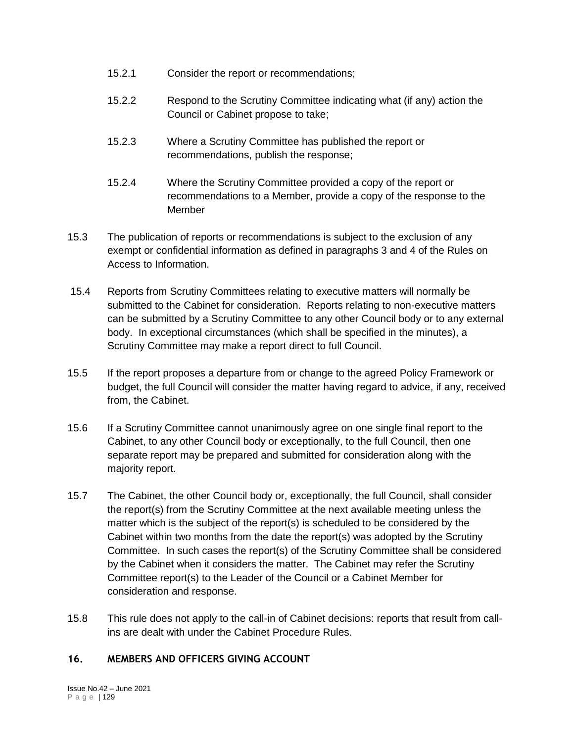- 15.2.1 Consider the report or recommendations;
- 15.2.2 Respond to the Scrutiny Committee indicating what (if any) action the Council or Cabinet propose to take;
- 15.2.3 Where a Scrutiny Committee has published the report or recommendations, publish the response;
- 15.2.4 Where the Scrutiny Committee provided a copy of the report or recommendations to a Member, provide a copy of the response to the Member
- 15.3 The publication of reports or recommendations is subject to the exclusion of any exempt or confidential information as defined in paragraphs 3 and 4 of the Rules on Access to Information.
- 15.4 Reports from Scrutiny Committees relating to executive matters will normally be submitted to the Cabinet for consideration. Reports relating to non-executive matters can be submitted by a Scrutiny Committee to any other Council body or to any external body. In exceptional circumstances (which shall be specified in the minutes), a Scrutiny Committee may make a report direct to full Council.
- 15.5 If the report proposes a departure from or change to the agreed Policy Framework or budget, the full Council will consider the matter having regard to advice, if any, received from, the Cabinet.
- 15.6 If a Scrutiny Committee cannot unanimously agree on one single final report to the Cabinet, to any other Council body or exceptionally, to the full Council, then one separate report may be prepared and submitted for consideration along with the majority report.
- 15.7 The Cabinet, the other Council body or, exceptionally, the full Council, shall consider the report(s) from the Scrutiny Committee at the next available meeting unless the matter which is the subject of the report(s) is scheduled to be considered by the Cabinet within two months from the date the report(s) was adopted by the Scrutiny Committee. In such cases the report(s) of the Scrutiny Committee shall be considered by the Cabinet when it considers the matter. The Cabinet may refer the Scrutiny Committee report(s) to the Leader of the Council or a Cabinet Member for consideration and response.
- 15.8 This rule does not apply to the call-in of Cabinet decisions: reports that result from callins are dealt with under the Cabinet Procedure Rules.

### **16. MEMBERS AND OFFICERS GIVING ACCOUNT**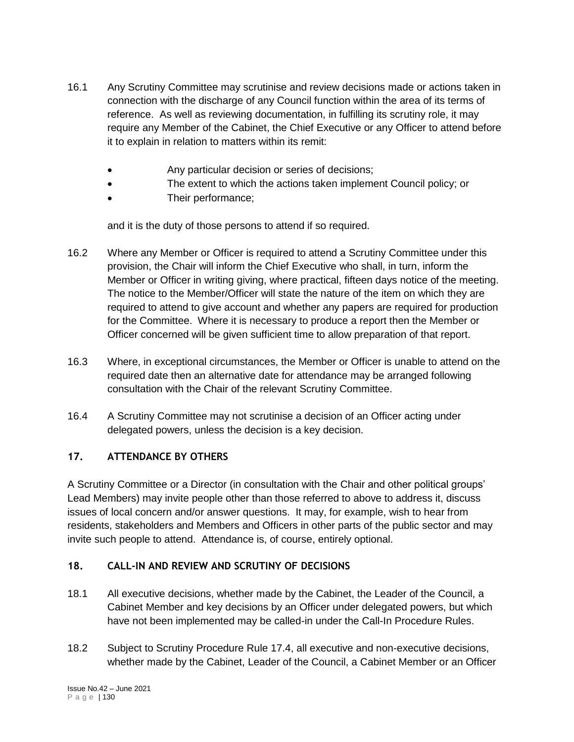- 16.1 Any Scrutiny Committee may scrutinise and review decisions made or actions taken in connection with the discharge of any Council function within the area of its terms of reference. As well as reviewing documentation, in fulfilling its scrutiny role, it may require any Member of the Cabinet, the Chief Executive or any Officer to attend before it to explain in relation to matters within its remit:
	- Any particular decision or series of decisions;
	- The extent to which the actions taken implement Council policy; or
	- Their performance;

and it is the duty of those persons to attend if so required.

- 16.2 Where any Member or Officer is required to attend a Scrutiny Committee under this provision, the Chair will inform the Chief Executive who shall, in turn, inform the Member or Officer in writing giving, where practical, fifteen days notice of the meeting. The notice to the Member/Officer will state the nature of the item on which they are required to attend to give account and whether any papers are required for production for the Committee. Where it is necessary to produce a report then the Member or Officer concerned will be given sufficient time to allow preparation of that report.
- 16.3 Where, in exceptional circumstances, the Member or Officer is unable to attend on the required date then an alternative date for attendance may be arranged following consultation with the Chair of the relevant Scrutiny Committee.
- 16.4 A Scrutiny Committee may not scrutinise a decision of an Officer acting under delegated powers, unless the decision is a key decision.

# **17. ATTENDANCE BY OTHERS**

A Scrutiny Committee or a Director (in consultation with the Chair and other political groups' Lead Members) may invite people other than those referred to above to address it, discuss issues of local concern and/or answer questions. It may, for example, wish to hear from residents, stakeholders and Members and Officers in other parts of the public sector and may invite such people to attend. Attendance is, of course, entirely optional.

# **18. CALL-IN AND REVIEW AND SCRUTINY OF DECISIONS**

- 18.1 All executive decisions, whether made by the Cabinet, the Leader of the Council, a Cabinet Member and key decisions by an Officer under delegated powers, but which have not been implemented may be called-in under the Call-In Procedure Rules.
- 18.2 Subject to Scrutiny Procedure Rule 17.4, all executive and non-executive decisions, whether made by the Cabinet, Leader of the Council, a Cabinet Member or an Officer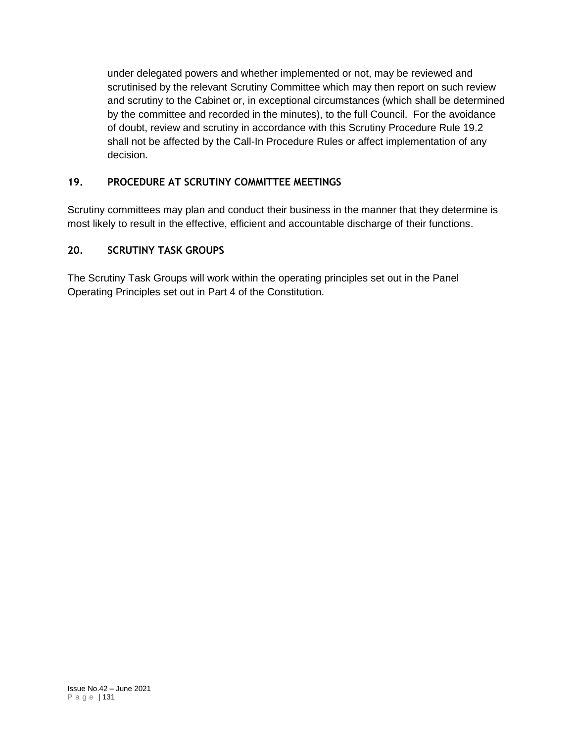under delegated powers and whether implemented or not, may be reviewed and scrutinised by the relevant Scrutiny Committee which may then report on such review and scrutiny to the Cabinet or, in exceptional circumstances (which shall be determined by the committee and recorded in the minutes), to the full Council. For the avoidance of doubt, review and scrutiny in accordance with this Scrutiny Procedure Rule 19.2 shall not be affected by the Call-In Procedure Rules or affect implementation of any decision.

# **19. PROCEDURE AT SCRUTINY COMMITTEE MEETINGS**

Scrutiny committees may plan and conduct their business in the manner that they determine is most likely to result in the effective, efficient and accountable discharge of their functions.

# **20. SCRUTINY TASK GROUPS**

The Scrutiny Task Groups will work within the operating principles set out in the Panel Operating Principles set out in Part 4 of the Constitution.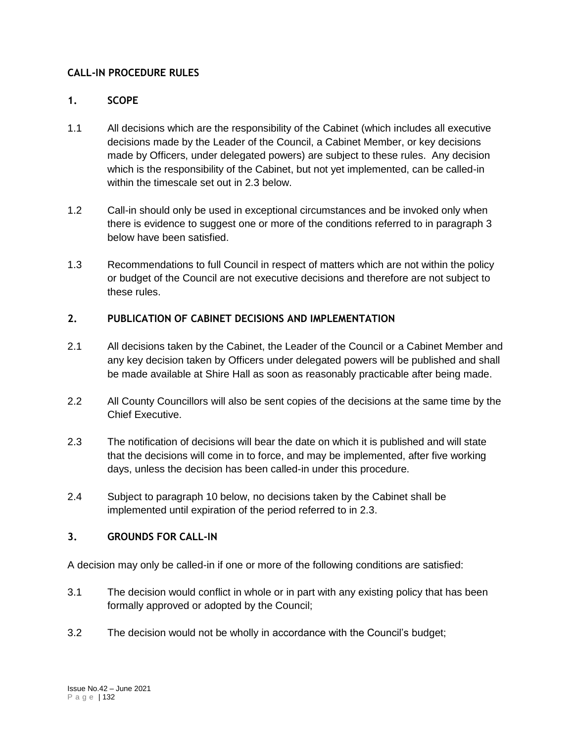## **CALL-IN PROCEDURE RULES**

## **1. SCOPE**

- 1.1 All decisions which are the responsibility of the Cabinet (which includes all executive decisions made by the Leader of the Council, a Cabinet Member, or key decisions made by Officers, under delegated powers) are subject to these rules. Any decision which is the responsibility of the Cabinet, but not yet implemented, can be called-in within the timescale set out in 2.3 below.
- 1.2 Call-in should only be used in exceptional circumstances and be invoked only when there is evidence to suggest one or more of the conditions referred to in paragraph 3 below have been satisfied.
- 1.3 Recommendations to full Council in respect of matters which are not within the policy or budget of the Council are not executive decisions and therefore are not subject to these rules.

## **2. PUBLICATION OF CABINET DECISIONS AND IMPLEMENTATION**

- 2.1 All decisions taken by the Cabinet, the Leader of the Council or a Cabinet Member and any key decision taken by Officers under delegated powers will be published and shall be made available at Shire Hall as soon as reasonably practicable after being made.
- 2.2 All County Councillors will also be sent copies of the decisions at the same time by the Chief Executive.
- 2.3 The notification of decisions will bear the date on which it is published and will state that the decisions will come in to force, and may be implemented, after five working days, unless the decision has been called-in under this procedure.
- 2.4 Subject to paragraph 10 below, no decisions taken by the Cabinet shall be implemented until expiration of the period referred to in 2.3.

## **3. GROUNDS FOR CALL-IN**

A decision may only be called-in if one or more of the following conditions are satisfied:

- 3.1 The decision would conflict in whole or in part with any existing policy that has been formally approved or adopted by the Council;
- 3.2 The decision would not be wholly in accordance with the Council's budget;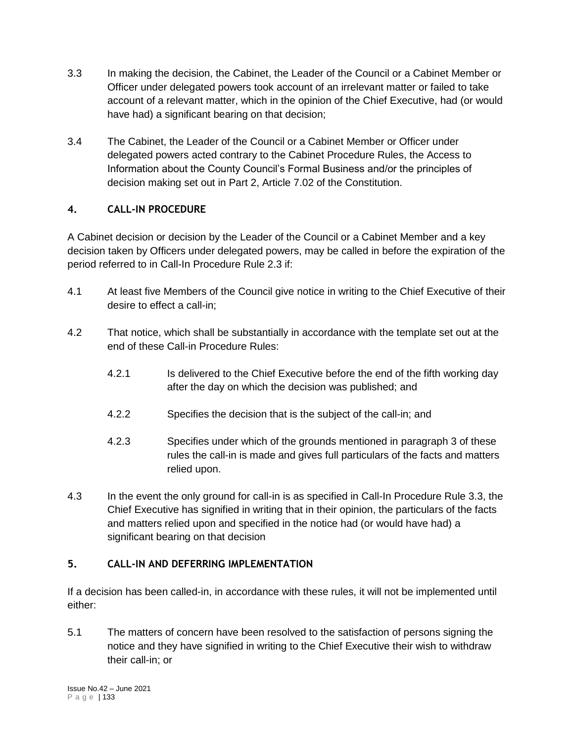- 3.3 In making the decision, the Cabinet, the Leader of the Council or a Cabinet Member or Officer under delegated powers took account of an irrelevant matter or failed to take account of a relevant matter, which in the opinion of the Chief Executive, had (or would have had) a significant bearing on that decision:
- 3.4 The Cabinet, the Leader of the Council or a Cabinet Member or Officer under delegated powers acted contrary to the Cabinet Procedure Rules, the Access to Information about the County Council's Formal Business and/or the principles of decision making set out in Part 2, Article 7.02 of the Constitution.

# **4. CALL-IN PROCEDURE**

A Cabinet decision or decision by the Leader of the Council or a Cabinet Member and a key decision taken by Officers under delegated powers, may be called in before the expiration of the period referred to in Call-In Procedure Rule 2.3 if:

- 4.1 At least five Members of the Council give notice in writing to the Chief Executive of their desire to effect a call-in;
- 4.2 That notice, which shall be substantially in accordance with the template set out at the end of these Call-in Procedure Rules:
	- 4.2.1 Is delivered to the Chief Executive before the end of the fifth working day after the day on which the decision was published; and
	- 4.2.2 Specifies the decision that is the subject of the call-in; and
	- 4.2.3 Specifies under which of the grounds mentioned in paragraph 3 of these rules the call-in is made and gives full particulars of the facts and matters relied upon.
- 4.3 In the event the only ground for call-in is as specified in Call-In Procedure Rule 3.3, the Chief Executive has signified in writing that in their opinion, the particulars of the facts and matters relied upon and specified in the notice had (or would have had) a significant bearing on that decision

# **5. CALL-IN AND DEFERRING IMPLEMENTATION**

If a decision has been called-in, in accordance with these rules, it will not be implemented until either:

5.1 The matters of concern have been resolved to the satisfaction of persons signing the notice and they have signified in writing to the Chief Executive their wish to withdraw their call-in; or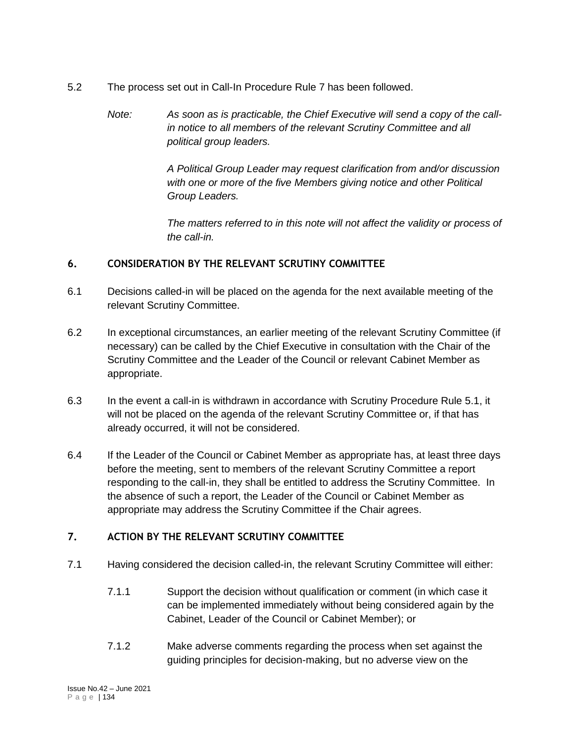- 5.2 The process set out in Call-In Procedure Rule 7 has been followed.
	- *Note: As soon as is practicable, the Chief Executive will send a copy of the callin notice to all members of the relevant Scrutiny Committee and all political group leaders.*

*A Political Group Leader may request clarification from and/or discussion with one or more of the five Members giving notice and other Political Group Leaders.*

*The matters referred to in this note will not affect the validity or process of the call-in.*

## **6. CONSIDERATION BY THE RELEVANT SCRUTINY COMMITTEE**

- 6.1 Decisions called-in will be placed on the agenda for the next available meeting of the relevant Scrutiny Committee.
- 6.2 In exceptional circumstances, an earlier meeting of the relevant Scrutiny Committee (if necessary) can be called by the Chief Executive in consultation with the Chair of the Scrutiny Committee and the Leader of the Council or relevant Cabinet Member as appropriate.
- 6.3 In the event a call-in is withdrawn in accordance with Scrutiny Procedure Rule 5.1, it will not be placed on the agenda of the relevant Scrutiny Committee or, if that has already occurred, it will not be considered.
- 6.4 If the Leader of the Council or Cabinet Member as appropriate has, at least three days before the meeting, sent to members of the relevant Scrutiny Committee a report responding to the call-in, they shall be entitled to address the Scrutiny Committee. In the absence of such a report, the Leader of the Council or Cabinet Member as appropriate may address the Scrutiny Committee if the Chair agrees.

# **7. ACTION BY THE RELEVANT SCRUTINY COMMITTEE**

- 7.1 Having considered the decision called-in, the relevant Scrutiny Committee will either:
	- 7.1.1 Support the decision without qualification or comment (in which case it can be implemented immediately without being considered again by the Cabinet, Leader of the Council or Cabinet Member); or
	- 7.1.2 Make adverse comments regarding the process when set against the guiding principles for decision-making, but no adverse view on the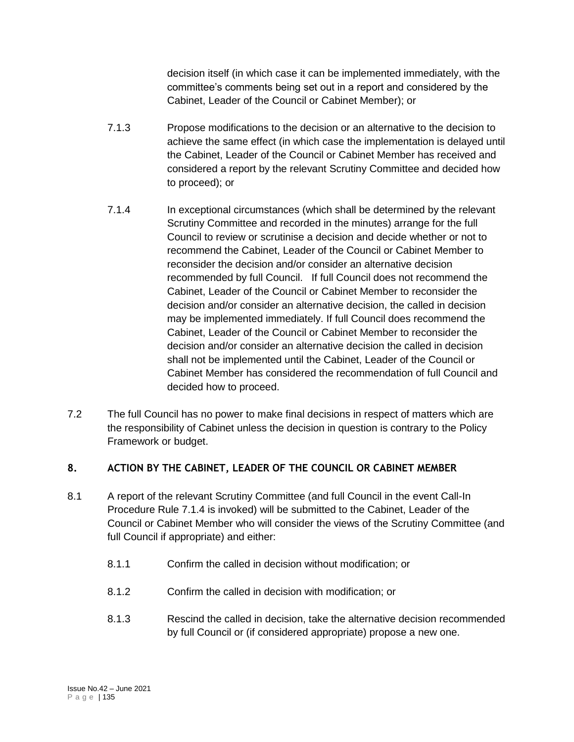decision itself (in which case it can be implemented immediately, with the committee's comments being set out in a report and considered by the Cabinet, Leader of the Council or Cabinet Member); or

- 7.1.3 Propose modifications to the decision or an alternative to the decision to achieve the same effect (in which case the implementation is delayed until the Cabinet, Leader of the Council or Cabinet Member has received and considered a report by the relevant Scrutiny Committee and decided how to proceed); or
- 7.1.4 In exceptional circumstances (which shall be determined by the relevant Scrutiny Committee and recorded in the minutes) arrange for the full Council to review or scrutinise a decision and decide whether or not to recommend the Cabinet, Leader of the Council or Cabinet Member to reconsider the decision and/or consider an alternative decision recommended by full Council. If full Council does not recommend the Cabinet, Leader of the Council or Cabinet Member to reconsider the decision and/or consider an alternative decision, the called in decision may be implemented immediately. If full Council does recommend the Cabinet, Leader of the Council or Cabinet Member to reconsider the decision and/or consider an alternative decision the called in decision shall not be implemented until the Cabinet, Leader of the Council or Cabinet Member has considered the recommendation of full Council and decided how to proceed.
- 7.2 The full Council has no power to make final decisions in respect of matters which are the responsibility of Cabinet unless the decision in question is contrary to the Policy Framework or budget.

# **8. ACTION BY THE CABINET, LEADER OF THE COUNCIL OR CABINET MEMBER**

- 8.1 A report of the relevant Scrutiny Committee (and full Council in the event Call-In Procedure Rule 7.1.4 is invoked) will be submitted to the Cabinet, Leader of the Council or Cabinet Member who will consider the views of the Scrutiny Committee (and full Council if appropriate) and either:
	- 8.1.1 Confirm the called in decision without modification; or
	- 8.1.2 Confirm the called in decision with modification; or
	- 8.1.3 Rescind the called in decision, take the alternative decision recommended by full Council or (if considered appropriate) propose a new one.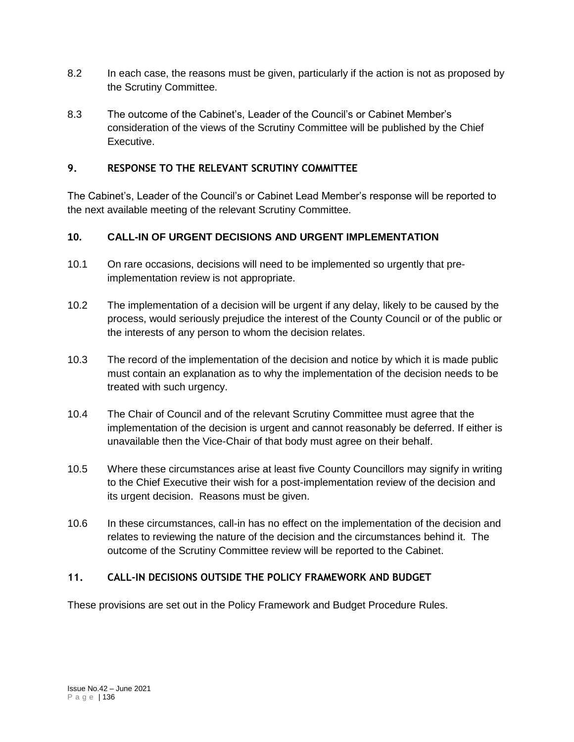- 8.2 In each case, the reasons must be given, particularly if the action is not as proposed by the Scrutiny Committee.
- 8.3 The outcome of the Cabinet's, Leader of the Council's or Cabinet Member's consideration of the views of the Scrutiny Committee will be published by the Chief Executive.

## **9. RESPONSE TO THE RELEVANT SCRUTINY COMMITTEE**

The Cabinet's, Leader of the Council's or Cabinet Lead Member's response will be reported to the next available meeting of the relevant Scrutiny Committee.

# **10. CALL-IN OF URGENT DECISIONS AND URGENT IMPLEMENTATION**

- 10.1 On rare occasions, decisions will need to be implemented so urgently that preimplementation review is not appropriate.
- 10.2 The implementation of a decision will be urgent if any delay, likely to be caused by the process, would seriously prejudice the interest of the County Council or of the public or the interests of any person to whom the decision relates.
- 10.3 The record of the implementation of the decision and notice by which it is made public must contain an explanation as to why the implementation of the decision needs to be treated with such urgency.
- 10.4 The Chair of Council and of the relevant Scrutiny Committee must agree that the implementation of the decision is urgent and cannot reasonably be deferred. If either is unavailable then the Vice-Chair of that body must agree on their behalf.
- 10.5 Where these circumstances arise at least five County Councillors may signify in writing to the Chief Executive their wish for a post-implementation review of the decision and its urgent decision. Reasons must be given.
- 10.6 In these circumstances, call-in has no effect on the implementation of the decision and relates to reviewing the nature of the decision and the circumstances behind it. The outcome of the Scrutiny Committee review will be reported to the Cabinet.

### **11. CALL-IN DECISIONS OUTSIDE THE POLICY FRAMEWORK AND BUDGET**

These provisions are set out in the Policy Framework and Budget Procedure Rules.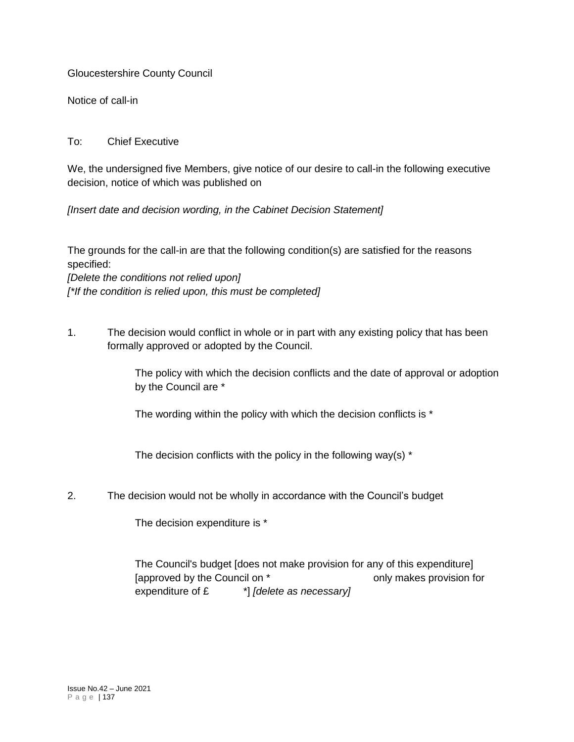Gloucestershire County Council

Notice of call-in

## To: Chief Executive

We, the undersigned five Members, give notice of our desire to call-in the following executive decision, notice of which was published on

*[Insert date and decision wording, in the Cabinet Decision Statement]*

The grounds for the call-in are that the following condition(s) are satisfied for the reasons specified:

*[Delete the conditions not relied upon] [\*If the condition is relied upon, this must be completed]*

1. The decision would conflict in whole or in part with any existing policy that has been formally approved or adopted by the Council.

> The policy with which the decision conflicts and the date of approval or adoption by the Council are \*

The wording within the policy with which the decision conflicts is \*

The decision conflicts with the policy in the following way(s)  $*$ 

2. The decision would not be wholly in accordance with the Council's budget

The decision expenditure is \*

The Council's budget [does not make provision for any of this expenditure] [approved by the Council on \* The state only makes provision for expenditure of £ \*] *[delete as necessary]*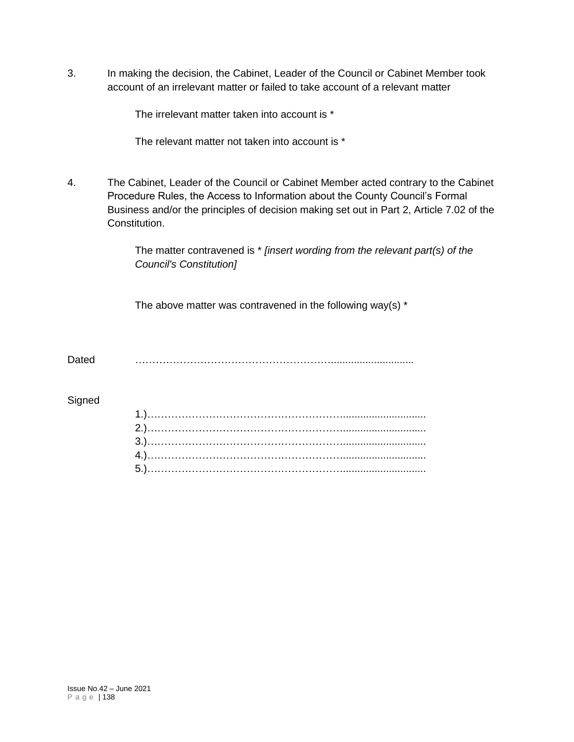3. In making the decision, the Cabinet, Leader of the Council or Cabinet Member took account of an irrelevant matter or failed to take account of a relevant matter

The irrelevant matter taken into account is \*

The relevant matter not taken into account is \*

4. The Cabinet, Leader of the Council or Cabinet Member acted contrary to the Cabinet Procedure Rules, the Access to Information about the County Council's Formal Business and/or the principles of decision making set out in Part 2, Article 7.02 of the Constitution.

> The matter contravened is \* *[insert wording from the relevant part(s) of the Council's Constitution]*

The above matter was contravened in the following way(s)  $*$ 

Dated ………………………………………………….............................

#### **Signed**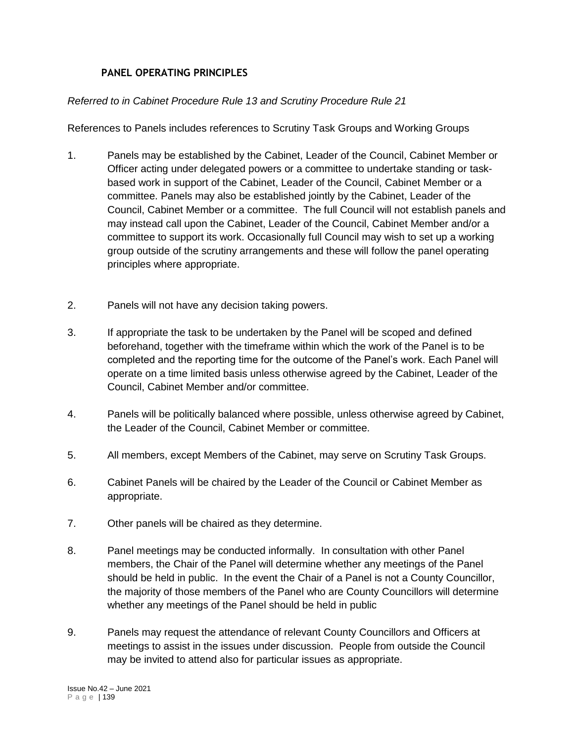## **PANEL OPERATING PRINCIPLES**

### *Referred to in Cabinet Procedure Rule 13 and Scrutiny Procedure Rule 21*

References to Panels includes references to Scrutiny Task Groups and Working Groups

- 1. Panels may be established by the Cabinet, Leader of the Council, Cabinet Member or Officer acting under delegated powers or a committee to undertake standing or taskbased work in support of the Cabinet, Leader of the Council, Cabinet Member or a committee. Panels may also be established jointly by the Cabinet, Leader of the Council, Cabinet Member or a committee. The full Council will not establish panels and may instead call upon the Cabinet, Leader of the Council, Cabinet Member and/or a committee to support its work. Occasionally full Council may wish to set up a working group outside of the scrutiny arrangements and these will follow the panel operating principles where appropriate.
- 2. Panels will not have any decision taking powers.
- 3. If appropriate the task to be undertaken by the Panel will be scoped and defined beforehand, together with the timeframe within which the work of the Panel is to be completed and the reporting time for the outcome of the Panel's work. Each Panel will operate on a time limited basis unless otherwise agreed by the Cabinet, Leader of the Council, Cabinet Member and/or committee.
- 4. Panels will be politically balanced where possible, unless otherwise agreed by Cabinet, the Leader of the Council, Cabinet Member or committee.
- 5. All members, except Members of the Cabinet, may serve on Scrutiny Task Groups.
- 6. Cabinet Panels will be chaired by the Leader of the Council or Cabinet Member as appropriate.
- 7. Other panels will be chaired as they determine.
- 8. Panel meetings may be conducted informally. In consultation with other Panel members, the Chair of the Panel will determine whether any meetings of the Panel should be held in public. In the event the Chair of a Panel is not a County Councillor, the majority of those members of the Panel who are County Councillors will determine whether any meetings of the Panel should be held in public
- 9. Panels may request the attendance of relevant County Councillors and Officers at meetings to assist in the issues under discussion. People from outside the Council may be invited to attend also for particular issues as appropriate.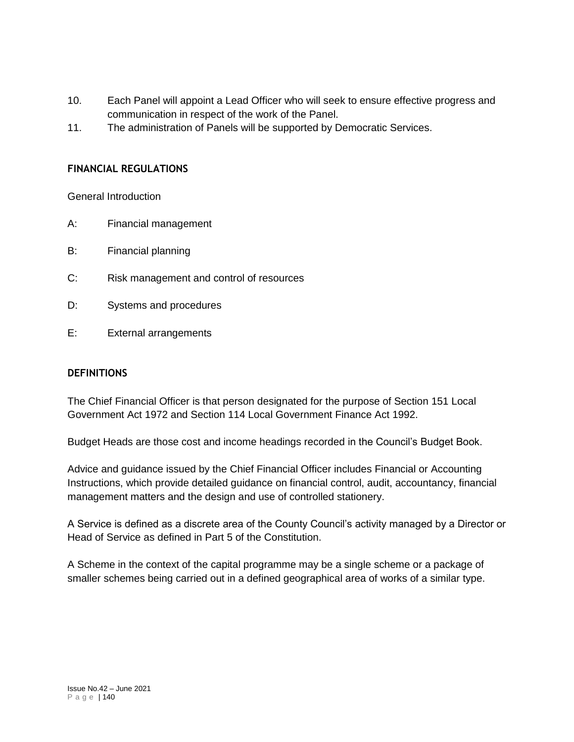- 10. Each Panel will appoint a Lead Officer who will seek to ensure effective progress and communication in respect of the work of the Panel.
- 11. The administration of Panels will be supported by Democratic Services.

### **FINANCIAL REGULATIONS**

General Introduction

- A: Financial management
- B: Financial planning
- C: Risk management and control of resources
- D: Systems and procedures
- E: External arrangements

### **DEFINITIONS**

The Chief Financial Officer is that person designated for the purpose of Section 151 Local Government Act 1972 and Section 114 Local Government Finance Act 1992.

Budget Heads are those cost and income headings recorded in the Council's Budget Book.

Advice and guidance issued by the Chief Financial Officer includes Financial or Accounting Instructions, which provide detailed guidance on financial control, audit, accountancy, financial management matters and the design and use of controlled stationery.

A Service is defined as a discrete area of the County Council's activity managed by a Director or Head of Service as defined in Part 5 of the Constitution.

A Scheme in the context of the capital programme may be a single scheme or a package of smaller schemes being carried out in a defined geographical area of works of a similar type.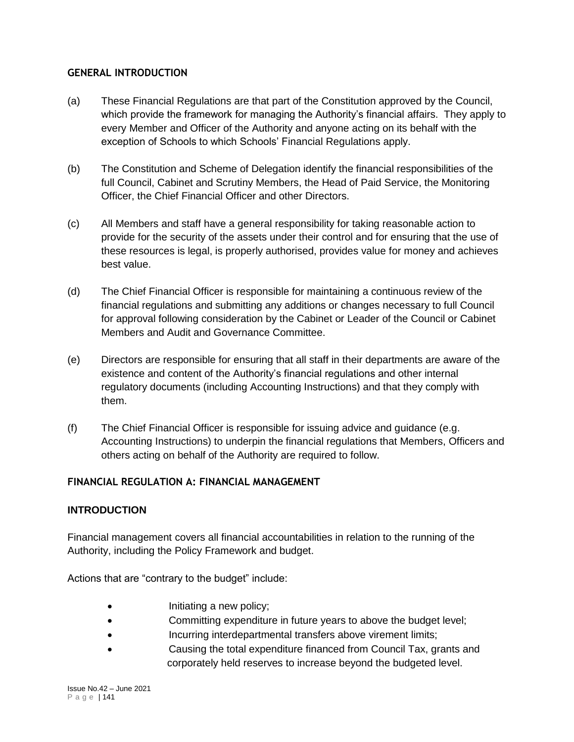## **GENERAL INTRODUCTION**

- (a) These Financial Regulations are that part of the Constitution approved by the Council, which provide the framework for managing the Authority's financial affairs. They apply to every Member and Officer of the Authority and anyone acting on its behalf with the exception of Schools to which Schools' Financial Regulations apply.
- (b) The Constitution and Scheme of Delegation identify the financial responsibilities of the full Council, Cabinet and Scrutiny Members, the Head of Paid Service, the Monitoring Officer, the Chief Financial Officer and other Directors.
- (c) All Members and staff have a general responsibility for taking reasonable action to provide for the security of the assets under their control and for ensuring that the use of these resources is legal, is properly authorised, provides value for money and achieves best value.
- (d) The Chief Financial Officer is responsible for maintaining a continuous review of the financial regulations and submitting any additions or changes necessary to full Council for approval following consideration by the Cabinet or Leader of the Council or Cabinet Members and Audit and Governance Committee.
- (e) Directors are responsible for ensuring that all staff in their departments are aware of the existence and content of the Authority's financial regulations and other internal regulatory documents (including Accounting Instructions) and that they comply with them.
- (f) The Chief Financial Officer is responsible for issuing advice and guidance (e.g. Accounting Instructions) to underpin the financial regulations that Members, Officers and others acting on behalf of the Authority are required to follow.

# **FINANCIAL REGULATION A: FINANCIAL MANAGEMENT**

# **INTRODUCTION**

Financial management covers all financial accountabilities in relation to the running of the Authority, including the Policy Framework and budget.

Actions that are "contrary to the budget" include:

- Initiating a new policy;
- Committing expenditure in future years to above the budget level;
- Incurring interdepartmental transfers above virement limits;
- Causing the total expenditure financed from Council Tax, grants and corporately held reserves to increase beyond the budgeted level.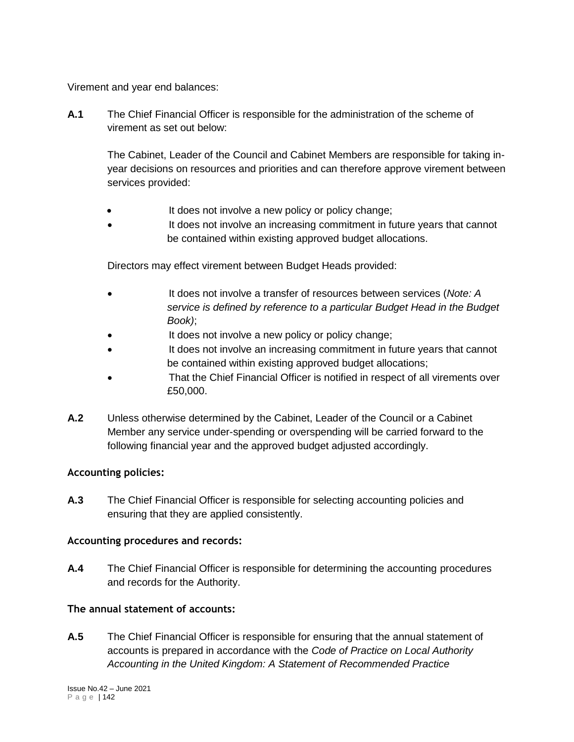Virement and year end balances:

**A.1** The Chief Financial Officer is responsible for the administration of the scheme of virement as set out below:

The Cabinet, Leader of the Council and Cabinet Members are responsible for taking inyear decisions on resources and priorities and can therefore approve virement between services provided:

- It does not involve a new policy or policy change;
- It does not involve an increasing commitment in future years that cannot be contained within existing approved budget allocations.

Directors may effect virement between Budget Heads provided:

- It does not involve a transfer of resources between services (*Note: A service is defined by reference to a particular Budget Head in the Budget Book)*;
- It does not involve a new policy or policy change;
- It does not involve an increasing commitment in future years that cannot be contained within existing approved budget allocations;
- That the Chief Financial Officer is notified in respect of all virements over £50,000.
- **A.2** Unless otherwise determined by the Cabinet, Leader of the Council or a Cabinet Member any service under-spending or overspending will be carried forward to the following financial year and the approved budget adjusted accordingly.

# **Accounting policies:**

**A.3** The Chief Financial Officer is responsible for selecting accounting policies and ensuring that they are applied consistently.

# **Accounting procedures and records:**

**A.4** The Chief Financial Officer is responsible for determining the accounting procedures and records for the Authority.

# **The annual statement of accounts:**

**A.5** The Chief Financial Officer is responsible for ensuring that the annual statement of accounts is prepared in accordance with the *Code of Practice on Local Authority Accounting in the United Kingdom: A Statement of Recommended Practice*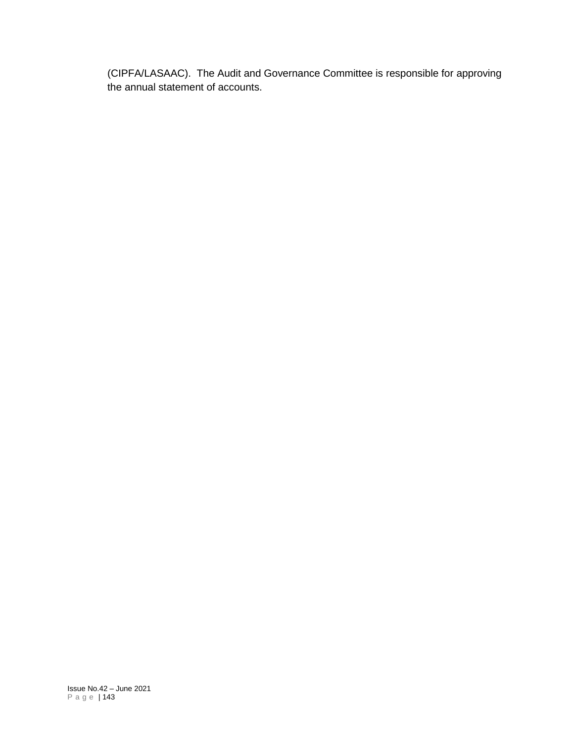(CIPFA/LASAAC). The Audit and Governance Committee is responsible for approving the annual statement of accounts.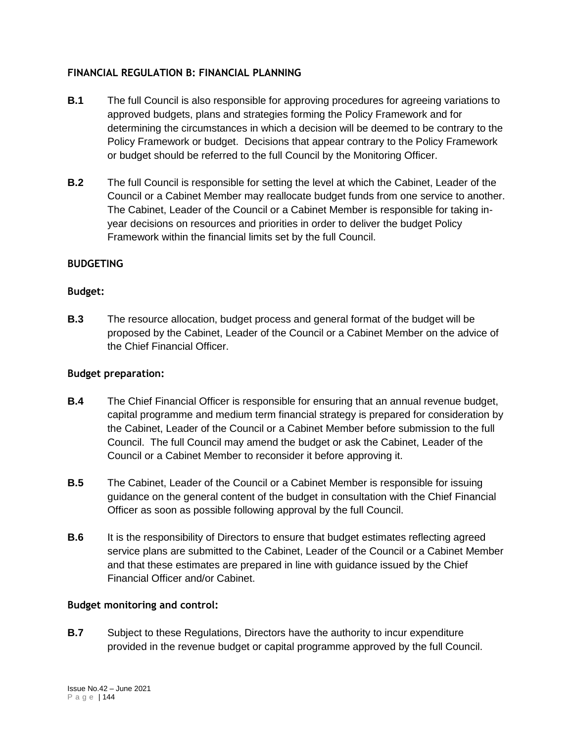## **FINANCIAL REGULATION B: FINANCIAL PLANNING**

- **B.1** The full Council is also responsible for approving procedures for agreeing variations to approved budgets, plans and strategies forming the Policy Framework and for determining the circumstances in which a decision will be deemed to be contrary to the Policy Framework or budget. Decisions that appear contrary to the Policy Framework or budget should be referred to the full Council by the Monitoring Officer.
- **B.2** The full Council is responsible for setting the level at which the Cabinet, Leader of the Council or a Cabinet Member may reallocate budget funds from one service to another. The Cabinet, Leader of the Council or a Cabinet Member is responsible for taking inyear decisions on resources and priorities in order to deliver the budget Policy Framework within the financial limits set by the full Council.

## **BUDGETING**

## **Budget:**

**B.3** The resource allocation, budget process and general format of the budget will be proposed by the Cabinet, Leader of the Council or a Cabinet Member on the advice of the Chief Financial Officer.

### **Budget preparation:**

- **B.4** The Chief Financial Officer is responsible for ensuring that an annual revenue budget, capital programme and medium term financial strategy is prepared for consideration by the Cabinet, Leader of the Council or a Cabinet Member before submission to the full Council. The full Council may amend the budget or ask the Cabinet, Leader of the Council or a Cabinet Member to reconsider it before approving it.
- **B.5** The Cabinet, Leader of the Council or a Cabinet Member is responsible for issuing guidance on the general content of the budget in consultation with the Chief Financial Officer as soon as possible following approval by the full Council.
- **B.6** It is the responsibility of Directors to ensure that budget estimates reflecting agreed service plans are submitted to the Cabinet, Leader of the Council or a Cabinet Member and that these estimates are prepared in line with guidance issued by the Chief Financial Officer and/or Cabinet.

### **Budget monitoring and control:**

**B.7** Subject to these Regulations, Directors have the authority to incur expenditure provided in the revenue budget or capital programme approved by the full Council.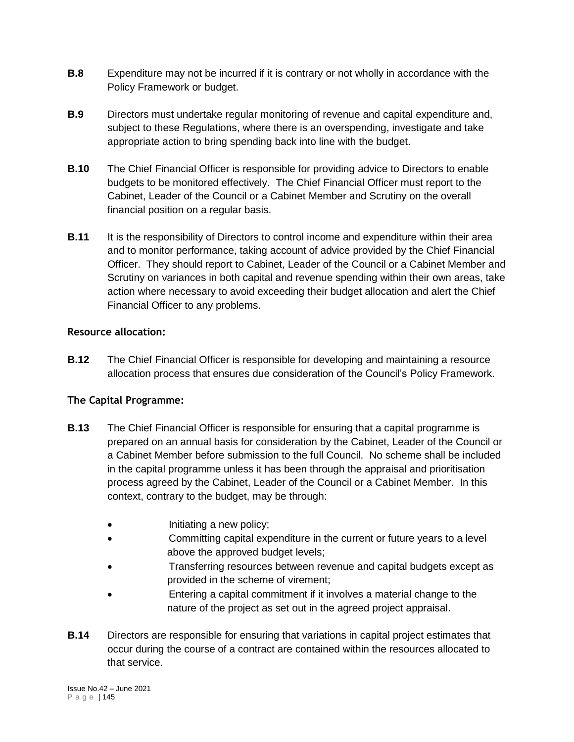- **B.8** Expenditure may not be incurred if it is contrary or not wholly in accordance with the Policy Framework or budget.
- **B.9** Directors must undertake regular monitoring of revenue and capital expenditure and, subject to these Regulations, where there is an overspending, investigate and take appropriate action to bring spending back into line with the budget.
- **B.10** The Chief Financial Officer is responsible for providing advice to Directors to enable budgets to be monitored effectively. The Chief Financial Officer must report to the Cabinet, Leader of the Council or a Cabinet Member and Scrutiny on the overall financial position on a regular basis.
- **B.11** It is the responsibility of Directors to control income and expenditure within their area and to monitor performance, taking account of advice provided by the Chief Financial Officer. They should report to Cabinet, Leader of the Council or a Cabinet Member and Scrutiny on variances in both capital and revenue spending within their own areas, take action where necessary to avoid exceeding their budget allocation and alert the Chief Financial Officer to any problems.

# **Resource allocation:**

**B.12** The Chief Financial Officer is responsible for developing and maintaining a resource allocation process that ensures due consideration of the Council's Policy Framework.

# **The Capital Programme:**

- **B.13** The Chief Financial Officer is responsible for ensuring that a capital programme is prepared on an annual basis for consideration by the Cabinet, Leader of the Council or a Cabinet Member before submission to the full Council. No scheme shall be included in the capital programme unless it has been through the appraisal and prioritisation process agreed by the Cabinet, Leader of the Council or a Cabinet Member. In this context, contrary to the budget, may be through:
	- Initiating a new policy;
	- Committing capital expenditure in the current or future years to a level above the approved budget levels;
	- Transferring resources between revenue and capital budgets except as provided in the scheme of virement;
	- Entering a capital commitment if it involves a material change to the nature of the project as set out in the agreed project appraisal.
- **B.14** Directors are responsible for ensuring that variations in capital project estimates that occur during the course of a contract are contained within the resources allocated to that service.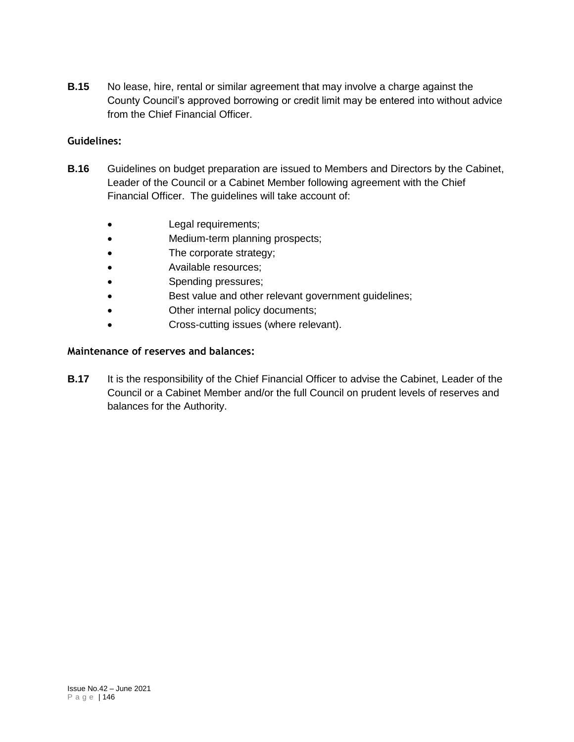**B.15** No lease, hire, rental or similar agreement that may involve a charge against the County Council's approved borrowing or credit limit may be entered into without advice from the Chief Financial Officer.

## **Guidelines:**

- **B.16** Guidelines on budget preparation are issued to Members and Directors by the Cabinet, Leader of the Council or a Cabinet Member following agreement with the Chief Financial Officer. The guidelines will take account of:
	- Legal requirements;
	- Medium-term planning prospects;
	- The corporate strategy;
	- Available resources;
	- Spending pressures;
	- Best value and other relevant government guidelines;
	- Other internal policy documents;
	- Cross-cutting issues (where relevant).

### **Maintenance of reserves and balances:**

**B.17** It is the responsibility of the Chief Financial Officer to advise the Cabinet, Leader of the Council or a Cabinet Member and/or the full Council on prudent levels of reserves and balances for the Authority.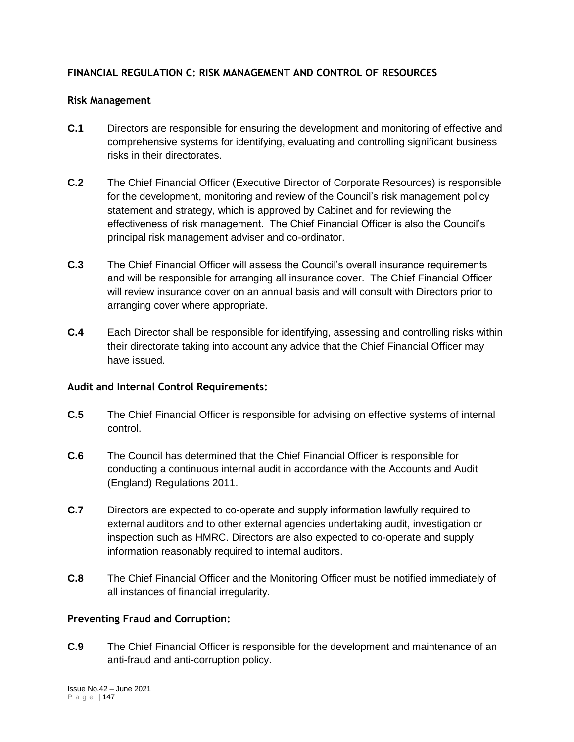## **FINANCIAL REGULATION C: RISK MANAGEMENT AND CONTROL OF RESOURCES**

#### **Risk Management**

- **C.1** Directors are responsible for ensuring the development and monitoring of effective and comprehensive systems for identifying, evaluating and controlling significant business risks in their directorates.
- **C.2** The Chief Financial Officer (Executive Director of Corporate Resources) is responsible for the development, monitoring and review of the Council's risk management policy statement and strategy, which is approved by Cabinet and for reviewing the effectiveness of risk management. The Chief Financial Officer is also the Council's principal risk management adviser and co-ordinator.
- **C.3** The Chief Financial Officer will assess the Council's overall insurance requirements and will be responsible for arranging all insurance cover. The Chief Financial Officer will review insurance cover on an annual basis and will consult with Directors prior to arranging cover where appropriate.
- **C.4** Each Director shall be responsible for identifying, assessing and controlling risks within their directorate taking into account any advice that the Chief Financial Officer may have issued.

### **Audit and Internal Control Requirements:**

- **C.5** The Chief Financial Officer is responsible for advising on effective systems of internal control.
- **C.6** The Council has determined that the Chief Financial Officer is responsible for conducting a continuous internal audit in accordance with the Accounts and Audit (England) Regulations 2011.
- **C.7** Directors are expected to co-operate and supply information lawfully required to external auditors and to other external agencies undertaking audit, investigation or inspection such as HMRC. Directors are also expected to co-operate and supply information reasonably required to internal auditors.
- **C.8** The Chief Financial Officer and the Monitoring Officer must be notified immediately of all instances of financial irregularity.

### **Preventing Fraud and Corruption:**

**C.9** The Chief Financial Officer is responsible for the development and maintenance of an anti-fraud and anti-corruption policy.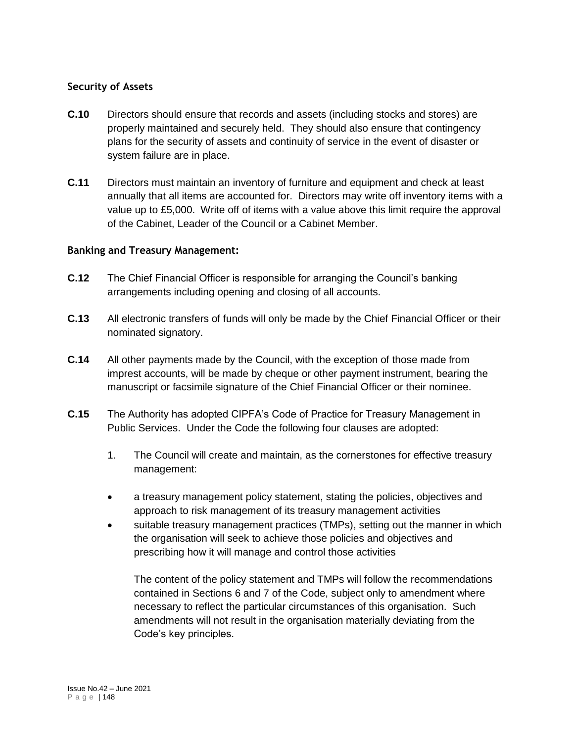### **Security of Assets**

- **C.10** Directors should ensure that records and assets (including stocks and stores) are properly maintained and securely held. They should also ensure that contingency plans for the security of assets and continuity of service in the event of disaster or system failure are in place.
- **C.11** Directors must maintain an inventory of furniture and equipment and check at least annually that all items are accounted for. Directors may write off inventory items with a value up to £5,000. Write off of items with a value above this limit require the approval of the Cabinet, Leader of the Council or a Cabinet Member.

### **Banking and Treasury Management:**

- **C.12** The Chief Financial Officer is responsible for arranging the Council's banking arrangements including opening and closing of all accounts.
- **C.13** All electronic transfers of funds will only be made by the Chief Financial Officer or their nominated signatory.
- **C.14** All other payments made by the Council, with the exception of those made from imprest accounts, will be made by cheque or other payment instrument, bearing the manuscript or facsimile signature of the Chief Financial Officer or their nominee.
- **C.15** The Authority has adopted CIPFA's Code of Practice for Treasury Management in Public Services. Under the Code the following four clauses are adopted:
	- 1. The Council will create and maintain, as the cornerstones for effective treasury management:
	- a treasury management policy statement, stating the policies, objectives and approach to risk management of its treasury management activities
	- suitable treasury management practices (TMPs), setting out the manner in which the organisation will seek to achieve those policies and objectives and prescribing how it will manage and control those activities

The content of the policy statement and TMPs will follow the recommendations contained in Sections 6 and 7 of the Code, subject only to amendment where necessary to reflect the particular circumstances of this organisation. Such amendments will not result in the organisation materially deviating from the Code's key principles.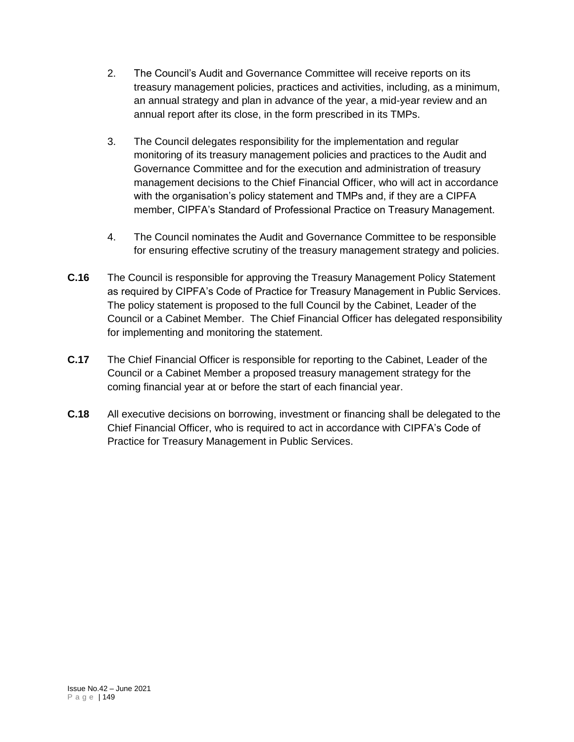- 2. The Council's Audit and Governance Committee will receive reports on its treasury management policies, practices and activities, including, as a minimum, an annual strategy and plan in advance of the year, a mid-year review and an annual report after its close, in the form prescribed in its TMPs.
- 3. The Council delegates responsibility for the implementation and regular monitoring of its treasury management policies and practices to the Audit and Governance Committee and for the execution and administration of treasury management decisions to the Chief Financial Officer, who will act in accordance with the organisation's policy statement and TMPs and, if they are a CIPFA member, CIPFA's Standard of Professional Practice on Treasury Management.
- 4. The Council nominates the Audit and Governance Committee to be responsible for ensuring effective scrutiny of the treasury management strategy and policies.
- **C.16** The Council is responsible for approving the Treasury Management Policy Statement as required by CIPFA's Code of Practice for Treasury Management in Public Services. The policy statement is proposed to the full Council by the Cabinet, Leader of the Council or a Cabinet Member. The Chief Financial Officer has delegated responsibility for implementing and monitoring the statement.
- **C.17** The Chief Financial Officer is responsible for reporting to the Cabinet, Leader of the Council or a Cabinet Member a proposed treasury management strategy for the coming financial year at or before the start of each financial year.
- **C.18** All executive decisions on borrowing, investment or financing shall be delegated to the Chief Financial Officer, who is required to act in accordance with CIPFA's Code of Practice for Treasury Management in Public Services.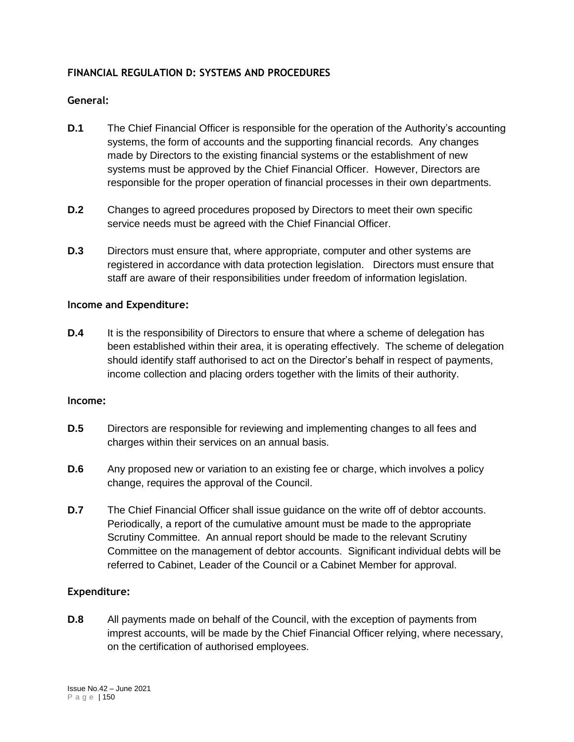## **FINANCIAL REGULATION D: SYSTEMS AND PROCEDURES**

## **General:**

- **D.1** The Chief Financial Officer is responsible for the operation of the Authority's accounting systems, the form of accounts and the supporting financial records. Any changes made by Directors to the existing financial systems or the establishment of new systems must be approved by the Chief Financial Officer. However, Directors are responsible for the proper operation of financial processes in their own departments.
- **D.2** Changes to agreed procedures proposed by Directors to meet their own specific service needs must be agreed with the Chief Financial Officer.
- **D.3** Directors must ensure that, where appropriate, computer and other systems are registered in accordance with data protection legislation. Directors must ensure that staff are aware of their responsibilities under freedom of information legislation.

#### **Income and Expenditure:**

**D.4** It is the responsibility of Directors to ensure that where a scheme of delegation has been established within their area, it is operating effectively. The scheme of delegation should identify staff authorised to act on the Director's behalf in respect of payments, income collection and placing orders together with the limits of their authority.

#### **Income:**

- **D.5** Directors are responsible for reviewing and implementing changes to all fees and charges within their services on an annual basis.
- **D.6** Any proposed new or variation to an existing fee or charge, which involves a policy change, requires the approval of the Council.
- **D.7** The Chief Financial Officer shall issue guidance on the write off of debtor accounts. Periodically, a report of the cumulative amount must be made to the appropriate Scrutiny Committee. An annual report should be made to the relevant Scrutiny Committee on the management of debtor accounts. Significant individual debts will be referred to Cabinet, Leader of the Council or a Cabinet Member for approval.

### **Expenditure:**

**D.8** All payments made on behalf of the Council, with the exception of payments from imprest accounts, will be made by the Chief Financial Officer relying, where necessary, on the certification of authorised employees.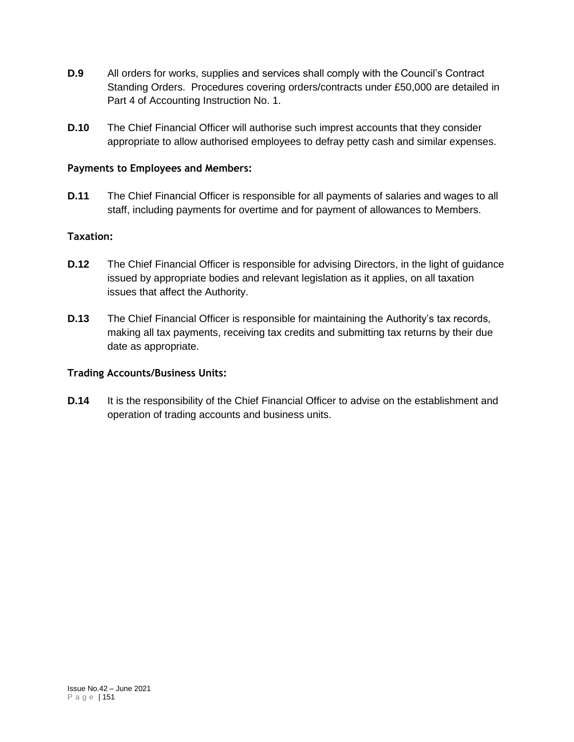- **D.9** All orders for works, supplies and services shall comply with the Council's Contract Standing Orders. Procedures covering orders/contracts under £50,000 are detailed in Part 4 of Accounting Instruction No. 1.
- **D.10** The Chief Financial Officer will authorise such imprest accounts that they consider appropriate to allow authorised employees to defray petty cash and similar expenses.

### **Payments to Employees and Members:**

**D.11** The Chief Financial Officer is responsible for all payments of salaries and wages to all staff, including payments for overtime and for payment of allowances to Members.

### **Taxation:**

- **D.12** The Chief Financial Officer is responsible for advising Directors, in the light of guidance issued by appropriate bodies and relevant legislation as it applies, on all taxation issues that affect the Authority.
- **D.13** The Chief Financial Officer is responsible for maintaining the Authority's tax records, making all tax payments, receiving tax credits and submitting tax returns by their due date as appropriate.

### **Trading Accounts/Business Units:**

**D.14** It is the responsibility of the Chief Financial Officer to advise on the establishment and operation of trading accounts and business units.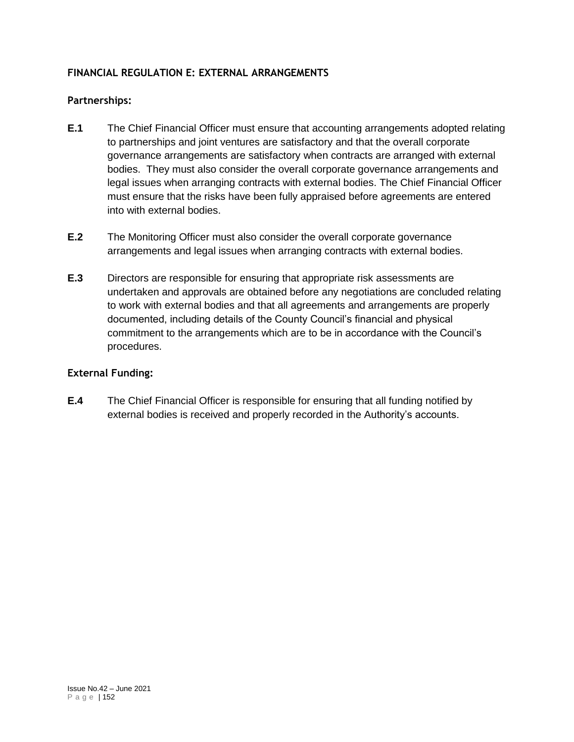## **FINANCIAL REGULATION E: EXTERNAL ARRANGEMENTS**

### **Partnerships:**

- **E.1** The Chief Financial Officer must ensure that accounting arrangements adopted relating to partnerships and joint ventures are satisfactory and that the overall corporate governance arrangements are satisfactory when contracts are arranged with external bodies. They must also consider the overall corporate governance arrangements and legal issues when arranging contracts with external bodies. The Chief Financial Officer must ensure that the risks have been fully appraised before agreements are entered into with external bodies.
- **E.2** The Monitoring Officer must also consider the overall corporate governance arrangements and legal issues when arranging contracts with external bodies.
- **E.3** Directors are responsible for ensuring that appropriate risk assessments are undertaken and approvals are obtained before any negotiations are concluded relating to work with external bodies and that all agreements and arrangements are properly documented, including details of the County Council's financial and physical commitment to the arrangements which are to be in accordance with the Council's procedures.

### **External Funding:**

**E.4** The Chief Financial Officer is responsible for ensuring that all funding notified by external bodies is received and properly recorded in the Authority's accounts.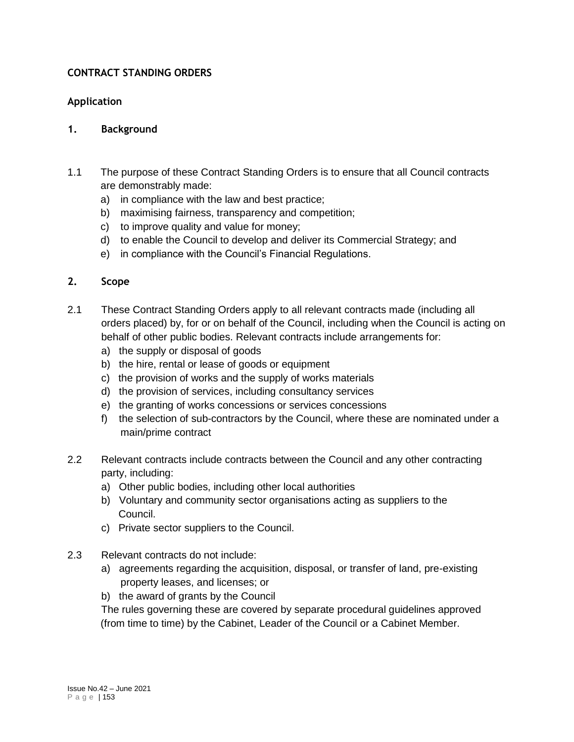## **CONTRACT STANDING ORDERS**

#### **Application**

#### **1. Background**

- 1.1 The purpose of these Contract Standing Orders is to ensure that all Council contracts are demonstrably made:
	- a) in compliance with the law and best practice;
	- b) maximising fairness, transparency and competition;
	- c) to improve quality and value for money;
	- d) to enable the Council to develop and deliver its Commercial Strategy; and
	- e) in compliance with the Council's Financial Regulations.

#### **2. Scope**

- 2.1 These Contract Standing Orders apply to all relevant contracts made (including all orders placed) by, for or on behalf of the Council, including when the Council is acting on behalf of other public bodies. Relevant contracts include arrangements for:
	- a) the supply or disposal of goods
	- b) the hire, rental or lease of goods or equipment
	- c) the provision of works and the supply of works materials
	- d) the provision of services, including consultancy services
	- e) the granting of works concessions or services concessions
	- f) the selection of sub-contractors by the Council, where these are nominated under a main/prime contract
- 2.2 Relevant contracts include contracts between the Council and any other contracting party, including:
	- a) Other public bodies, including other local authorities
	- b) Voluntary and community sector organisations acting as suppliers to the Council.
	- c) Private sector suppliers to the Council.
- 2.3 Relevant contracts do not include:
	- a) agreements regarding the acquisition, disposal, or transfer of land, pre-existing property leases, and licenses; or
	- b) the award of grants by the Council

The rules governing these are covered by separate procedural guidelines approved (from time to time) by the Cabinet, Leader of the Council or a Cabinet Member.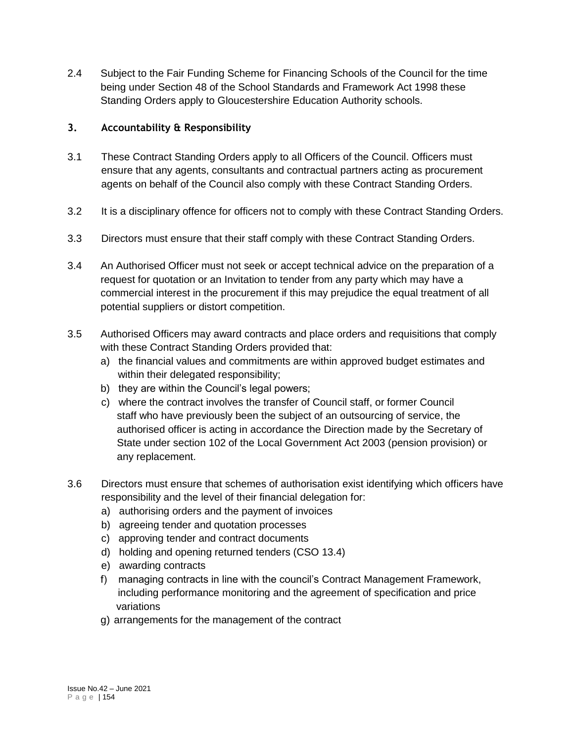2.4 Subject to the Fair Funding Scheme for Financing Schools of the Council for the time being under Section 48 of the School Standards and Framework Act 1998 these Standing Orders apply to Gloucestershire Education Authority schools.

## **3. Accountability & Responsibility**

- 3.1 These Contract Standing Orders apply to all Officers of the Council. Officers must ensure that any agents, consultants and contractual partners acting as procurement agents on behalf of the Council also comply with these Contract Standing Orders.
- 3.2 It is a disciplinary offence for officers not to comply with these Contract Standing Orders.
- 3.3 Directors must ensure that their staff comply with these Contract Standing Orders.
- 3.4 An Authorised Officer must not seek or accept technical advice on the preparation of a request for quotation or an Invitation to tender from any party which may have a commercial interest in the procurement if this may prejudice the equal treatment of all potential suppliers or distort competition.
- 3.5 Authorised Officers may award contracts and place orders and requisitions that comply with these Contract Standing Orders provided that:
	- a) the financial values and commitments are within approved budget estimates and within their delegated responsibility;
	- b) they are within the Council's legal powers;
	- c) where the contract involves the transfer of Council staff, or former Council staff who have previously been the subject of an outsourcing of service, the authorised officer is acting in accordance the Direction made by the Secretary of State under section 102 of the Local Government Act 2003 (pension provision) or any replacement.
- 3.6 Directors must ensure that schemes of authorisation exist identifying which officers have responsibility and the level of their financial delegation for:
	- a) authorising orders and the payment of invoices
	- b) agreeing tender and quotation processes
	- c) approving tender and contract documents
	- d) holding and opening returned tenders (CSO 13.4)
	- e) awarding contracts
	- f) managing contracts in line with the council's Contract Management Framework, including performance monitoring and the agreement of specification and price variations
	- g) arrangements for the management of the contract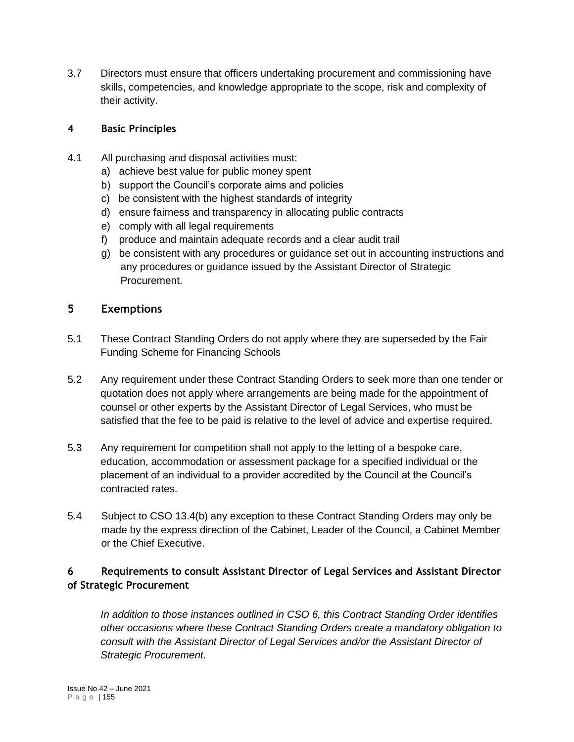3.7 Directors must ensure that officers undertaking procurement and commissioning have skills, competencies, and knowledge appropriate to the scope, risk and complexity of their activity.

### **4 Basic Principles**

- 4.1 All purchasing and disposal activities must:
	- a) achieve best value for public money spent
	- b) support the Council's corporate aims and policies
	- c) be consistent with the highest standards of integrity
	- d) ensure fairness and transparency in allocating public contracts
	- e) comply with all legal requirements
	- f) produce and maintain adequate records and a clear audit trail
	- g) be consistent with any procedures or guidance set out in accounting instructions and any procedures or guidance issued by the Assistant Director of Strategic Procurement.

## **5 Exemptions**

- 5.1 These Contract Standing Orders do not apply where they are superseded by the Fair Funding Scheme for Financing Schools
- 5.2 Any requirement under these Contract Standing Orders to seek more than one tender or quotation does not apply where arrangements are being made for the appointment of counsel or other experts by the Assistant Director of Legal Services, who must be satisfied that the fee to be paid is relative to the level of advice and expertise required.
- 5.3 Any requirement for competition shall not apply to the letting of a bespoke care, education, accommodation or assessment package for a specified individual or the placement of an individual to a provider accredited by the Council at the Council's contracted rates.
- 5.4 Subject to CSO 13.4(b) any exception to these Contract Standing Orders may only be made by the express direction of the Cabinet, Leader of the Council, a Cabinet Member or the Chief Executive.

# **6 Requirements to consult Assistant Director of Legal Services and Assistant Director of Strategic Procurement**

*In addition to those instances outlined in CSO 6, this Contract Standing Order identifies other occasions where these Contract Standing Orders create a mandatory obligation to consult with the Assistant Director of Legal Services and/or the Assistant Director of Strategic Procurement.*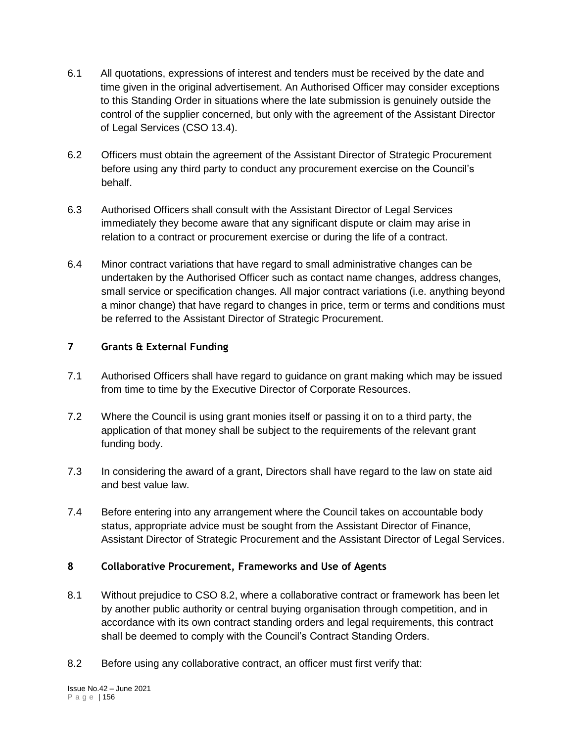- 6.1 All quotations, expressions of interest and tenders must be received by the date and time given in the original advertisement. An Authorised Officer may consider exceptions to this Standing Order in situations where the late submission is genuinely outside the control of the supplier concerned, but only with the agreement of the Assistant Director of Legal Services (CSO 13.4).
- 6.2 Officers must obtain the agreement of the Assistant Director of Strategic Procurement before using any third party to conduct any procurement exercise on the Council's behalf.
- 6.3 Authorised Officers shall consult with the Assistant Director of Legal Services immediately they become aware that any significant dispute or claim may arise in relation to a contract or procurement exercise or during the life of a contract.
- 6.4 Minor contract variations that have regard to small administrative changes can be undertaken by the Authorised Officer such as contact name changes, address changes, small service or specification changes. All major contract variations (i.e. anything beyond a minor change) that have regard to changes in price, term or terms and conditions must be referred to the Assistant Director of Strategic Procurement.

# **7 Grants & External Funding**

- 7.1 Authorised Officers shall have regard to guidance on grant making which may be issued from time to time by the Executive Director of Corporate Resources.
- 7.2 Where the Council is using grant monies itself or passing it on to a third party, the application of that money shall be subject to the requirements of the relevant grant funding body.
- 7.3 In considering the award of a grant, Directors shall have regard to the law on state aid and best value law.
- 7.4 Before entering into any arrangement where the Council takes on accountable body status, appropriate advice must be sought from the Assistant Director of Finance, Assistant Director of Strategic Procurement and the Assistant Director of Legal Services.

#### **8 Collaborative Procurement, Frameworks and Use of Agents**

- 8.1 Without prejudice to CSO 8.2, where a collaborative contract or framework has been let by another public authority or central buying organisation through competition, and in accordance with its own contract standing orders and legal requirements, this contract shall be deemed to comply with the Council's Contract Standing Orders.
- 8.2 Before using any collaborative contract, an officer must first verify that: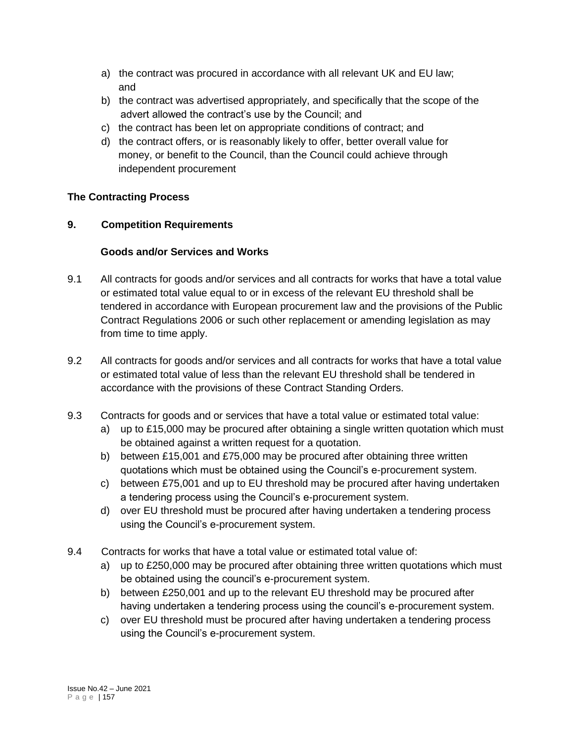- a) the contract was procured in accordance with all relevant UK and EU law; and
- b) the contract was advertised appropriately, and specifically that the scope of the advert allowed the contract's use by the Council; and
- c) the contract has been let on appropriate conditions of contract; and
- d) the contract offers, or is reasonably likely to offer, better overall value for money, or benefit to the Council, than the Council could achieve through independent procurement

# **The Contracting Process**

# **9. Competition Requirements**

# **Goods and/or Services and Works**

- 9.1 All contracts for goods and/or services and all contracts for works that have a total value or estimated total value equal to or in excess of the relevant EU threshold shall be tendered in accordance with European procurement law and the provisions of the Public Contract Regulations 2006 or such other replacement or amending legislation as may from time to time apply.
- 9.2 All contracts for goods and/or services and all contracts for works that have a total value or estimated total value of less than the relevant EU threshold shall be tendered in accordance with the provisions of these Contract Standing Orders.
- 9.3 Contracts for goods and or services that have a total value or estimated total value:
	- a) up to £15,000 may be procured after obtaining a single written quotation which must be obtained against a written request for a quotation.
	- b) between £15,001 and £75,000 may be procured after obtaining three written quotations which must be obtained using the Council's e-procurement system.
	- c) between £75,001 and up to EU threshold may be procured after having undertaken a tendering process using the Council's e-procurement system.
	- d) over EU threshold must be procured after having undertaken a tendering process using the Council's e-procurement system.
- 9.4 Contracts for works that have a total value or estimated total value of:
	- a) up to £250,000 may be procured after obtaining three written quotations which must be obtained using the council's e-procurement system.
	- b) between £250,001 and up to the relevant EU threshold may be procured after having undertaken a tendering process using the council's e-procurement system.
	- c) over EU threshold must be procured after having undertaken a tendering process using the Council's e-procurement system.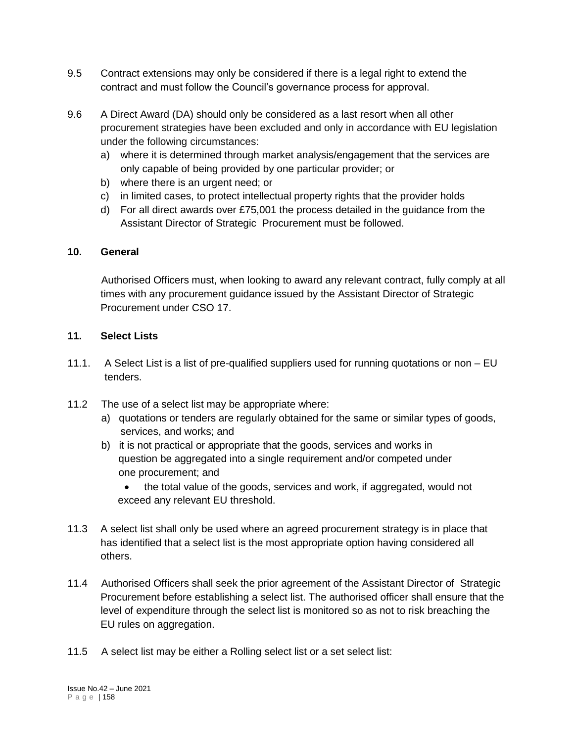- 9.5 Contract extensions may only be considered if there is a legal right to extend the contract and must follow the Council's governance process for approval.
- 9.6 A Direct Award (DA) should only be considered as a last resort when all other procurement strategies have been excluded and only in accordance with EU legislation under the following circumstances:
	- a) where it is determined through market analysis/engagement that the services are only capable of being provided by one particular provider; or
	- b) where there is an urgent need; or
	- c) in limited cases, to protect intellectual property rights that the provider holds
	- d) For all direct awards over £75,001 the process detailed in the guidance from the Assistant Director of Strategic Procurement must be followed.

#### **10. General**

Authorised Officers must, when looking to award any relevant contract, fully comply at all times with any procurement guidance issued by the Assistant Director of Strategic Procurement under CSO 17.

#### **11. Select Lists**

- 11.1. A Select List is a list of pre-qualified suppliers used for running quotations or non EU tenders.
- 11.2 The use of a select list may be appropriate where:
	- a) quotations or tenders are regularly obtained for the same or similar types of goods, services, and works; and
	- b) it is not practical or appropriate that the goods, services and works in question be aggregated into a single requirement and/or competed under one procurement; and
		- the total value of the goods, services and work, if aggregated, would not exceed any relevant EU threshold.
- 11.3 A select list shall only be used where an agreed procurement strategy is in place that has identified that a select list is the most appropriate option having considered all others.
- 11.4 Authorised Officers shall seek the prior agreement of the Assistant Director of Strategic Procurement before establishing a select list. The authorised officer shall ensure that the level of expenditure through the select list is monitored so as not to risk breaching the EU rules on aggregation.
- 11.5 A select list may be either a Rolling select list or a set select list: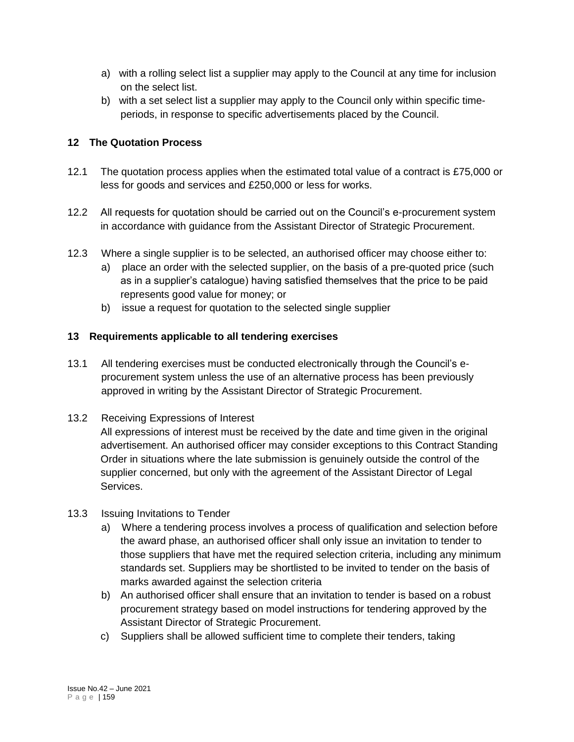- a) with a rolling select list a supplier may apply to the Council at any time for inclusion on the select list.
- b) with a set select list a supplier may apply to the Council only within specific timeperiods, in response to specific advertisements placed by the Council.

## **12 The Quotation Process**

- 12.1 The quotation process applies when the estimated total value of a contract is £75,000 or less for goods and services and £250,000 or less for works.
- 12.2 All requests for quotation should be carried out on the Council's e-procurement system in accordance with guidance from the Assistant Director of Strategic Procurement.
- 12.3 Where a single supplier is to be selected, an authorised officer may choose either to:
	- a) place an order with the selected supplier, on the basis of a pre-quoted price (such as in a supplier's catalogue) having satisfied themselves that the price to be paid represents good value for money; or
	- b) issue a request for quotation to the selected single supplier

# **13 Requirements applicable to all tendering exercises**

- 13.1 All tendering exercises must be conducted electronically through the Council's eprocurement system unless the use of an alternative process has been previously approved in writing by the Assistant Director of Strategic Procurement.
- 13.2 Receiving Expressions of Interest

All expressions of interest must be received by the date and time given in the original advertisement. An authorised officer may consider exceptions to this Contract Standing Order in situations where the late submission is genuinely outside the control of the supplier concerned, but only with the agreement of the Assistant Director of Legal Services.

- 13.3 Issuing Invitations to Tender
	- a) Where a tendering process involves a process of qualification and selection before the award phase, an authorised officer shall only issue an invitation to tender to those suppliers that have met the required selection criteria, including any minimum standards set. Suppliers may be shortlisted to be invited to tender on the basis of marks awarded against the selection criteria
	- b) An authorised officer shall ensure that an invitation to tender is based on a robust procurement strategy based on model instructions for tendering approved by the Assistant Director of Strategic Procurement.
	- c) Suppliers shall be allowed sufficient time to complete their tenders, taking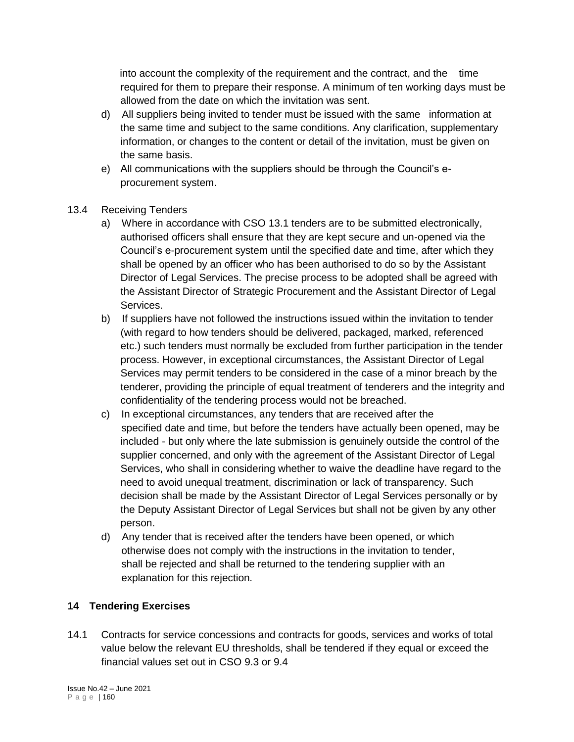into account the complexity of the requirement and the contract, and the time required for them to prepare their response. A minimum of ten working days must be allowed from the date on which the invitation was sent.

- d) All suppliers being invited to tender must be issued with the same information at the same time and subject to the same conditions. Any clarification, supplementary information, or changes to the content or detail of the invitation, must be given on the same basis.
- e) All communications with the suppliers should be through the Council's eprocurement system.
- 13.4 Receiving Tenders
	- a) Where in accordance with CSO 13.1 tenders are to be submitted electronically, authorised officers shall ensure that they are kept secure and un-opened via the Council's e-procurement system until the specified date and time, after which they shall be opened by an officer who has been authorised to do so by the Assistant Director of Legal Services. The precise process to be adopted shall be agreed with the Assistant Director of Strategic Procurement and the Assistant Director of Legal Services.
	- b) If suppliers have not followed the instructions issued within the invitation to tender (with regard to how tenders should be delivered, packaged, marked, referenced etc.) such tenders must normally be excluded from further participation in the tender process. However, in exceptional circumstances, the Assistant Director of Legal Services may permit tenders to be considered in the case of a minor breach by the tenderer, providing the principle of equal treatment of tenderers and the integrity and confidentiality of the tendering process would not be breached.
	- c) In exceptional circumstances, any tenders that are received after the specified date and time, but before the tenders have actually been opened, may be included - but only where the late submission is genuinely outside the control of the supplier concerned, and only with the agreement of the Assistant Director of Legal Services, who shall in considering whether to waive the deadline have regard to the need to avoid unequal treatment, discrimination or lack of transparency. Such decision shall be made by the Assistant Director of Legal Services personally or by the Deputy Assistant Director of Legal Services but shall not be given by any other person.
	- d) Any tender that is received after the tenders have been opened, or which otherwise does not comply with the instructions in the invitation to tender, shall be rejected and shall be returned to the tendering supplier with an explanation for this rejection.

## **14 Tendering Exercises**

14.1 Contracts for service concessions and contracts for goods, services and works of total value below the relevant EU thresholds, shall be tendered if they equal or exceed the financial values set out in CSO 9.3 or 9.4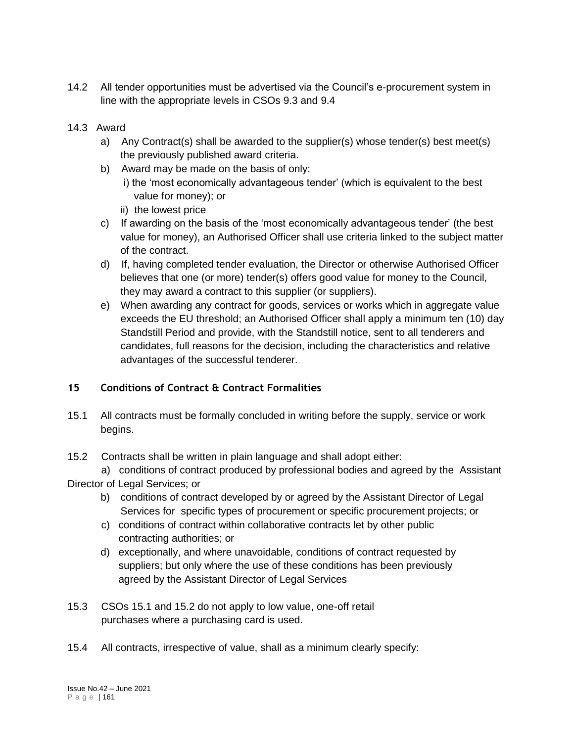14.2 All tender opportunities must be advertised via the Council's e-procurement system in line with the appropriate levels in CSOs 9.3 and 9.4

## 14.3 Award

- a) Any Contract(s) shall be awarded to the supplier(s) whose tender(s) best meet(s) the previously published award criteria.
- b) Award may be made on the basis of only:
	- i) the 'most economically advantageous tender' (which is equivalent to the best value for money); or
	- ii) the lowest price
- c) If awarding on the basis of the 'most economically advantageous tender' (the best value for money), an Authorised Officer shall use criteria linked to the subject matter of the contract.
- d) If, having completed tender evaluation, the Director or otherwise Authorised Officer believes that one (or more) tender(s) offers good value for money to the Council, they may award a contract to this supplier (or suppliers).
- e) When awarding any contract for goods, services or works which in aggregate value exceeds the EU threshold; an Authorised Officer shall apply a minimum ten (10) day Standstill Period and provide, with the Standstill notice, sent to all tenderers and candidates, full reasons for the decision, including the characteristics and relative advantages of the successful tenderer.

## **15 Conditions of Contract & Contract Formalities**

- 15.1 All contracts must be formally concluded in writing before the supply, service or work begins.
- 15.2 Contracts shall be written in plain language and shall adopt either:
- a) conditions of contract produced by professional bodies and agreed by the Assistant Director of Legal Services; or
	- b) conditions of contract developed by or agreed by the Assistant Director of Legal Services for specific types of procurement or specific procurement projects; or
	- c) conditions of contract within collaborative contracts let by other public contracting authorities; or
	- d) exceptionally, and where unavoidable, conditions of contract requested by suppliers; but only where the use of these conditions has been previously agreed by the Assistant Director of Legal Services
- 15.3 CSOs 15.1 and 15.2 do not apply to low value, one-off retail purchases where a purchasing card is used.
- 15.4 All contracts, irrespective of value, shall as a minimum clearly specify: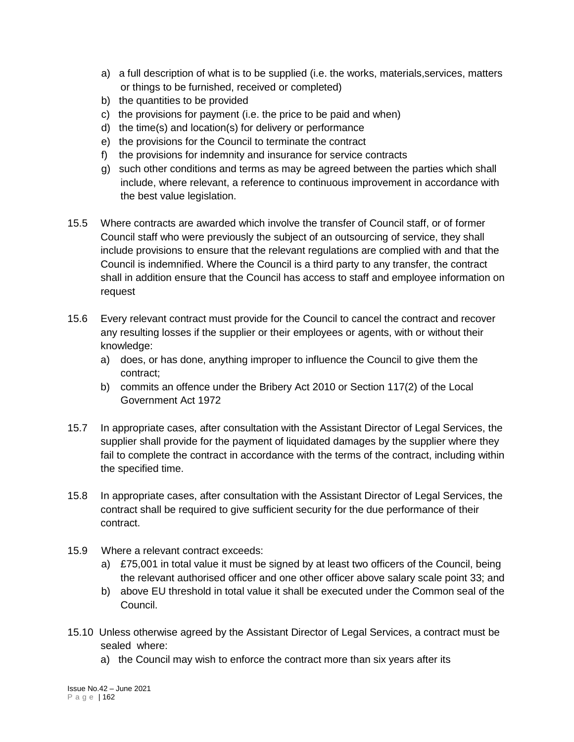- a) a full description of what is to be supplied (i.e. the works, materials,services, matters or things to be furnished, received or completed)
- b) the quantities to be provided
- c) the provisions for payment (i.e. the price to be paid and when)
- d) the time(s) and location(s) for delivery or performance
- e) the provisions for the Council to terminate the contract
- f) the provisions for indemnity and insurance for service contracts
- g) such other conditions and terms as may be agreed between the parties which shall include, where relevant, a reference to continuous improvement in accordance with the best value legislation.
- 15.5 Where contracts are awarded which involve the transfer of Council staff, or of former Council staff who were previously the subject of an outsourcing of service, they shall include provisions to ensure that the relevant regulations are complied with and that the Council is indemnified. Where the Council is a third party to any transfer, the contract shall in addition ensure that the Council has access to staff and employee information on request
- 15.6 Every relevant contract must provide for the Council to cancel the contract and recover any resulting losses if the supplier or their employees or agents, with or without their knowledge:
	- a) does, or has done, anything improper to influence the Council to give them the contract;
	- b) commits an offence under the Bribery Act 2010 or Section 117(2) of the Local Government Act 1972
- 15.7 In appropriate cases, after consultation with the Assistant Director of Legal Services, the supplier shall provide for the payment of liquidated damages by the supplier where they fail to complete the contract in accordance with the terms of the contract, including within the specified time.
- 15.8 In appropriate cases, after consultation with the Assistant Director of Legal Services, the contract shall be required to give sufficient security for the due performance of their contract.
- 15.9 Where a relevant contract exceeds:
	- a) £75,001 in total value it must be signed by at least two officers of the Council, being the relevant authorised officer and one other officer above salary scale point 33; and
	- b) above EU threshold in total value it shall be executed under the Common seal of the Council.
- 15.10 Unless otherwise agreed by the Assistant Director of Legal Services, a contract must be sealed where:
	- a) the Council may wish to enforce the contract more than six years after its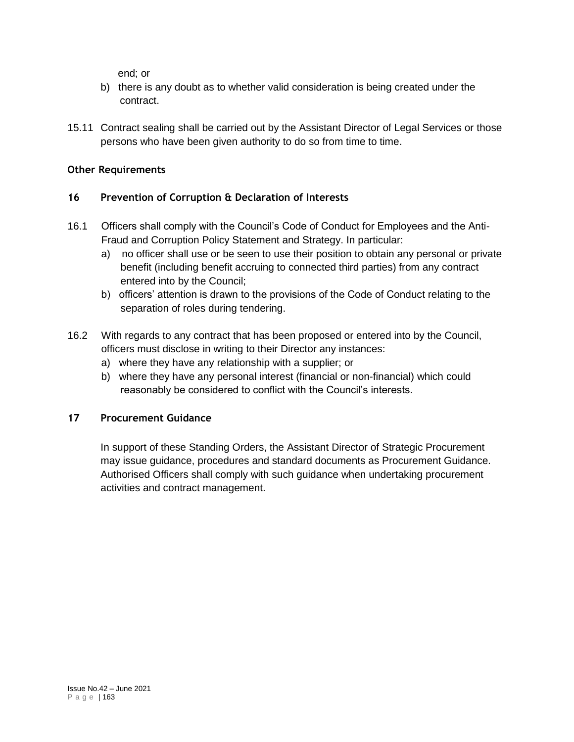end; or

- b) there is any doubt as to whether valid consideration is being created under the contract.
- 15.11 Contract sealing shall be carried out by the Assistant Director of Legal Services or those persons who have been given authority to do so from time to time.

### **Other Requirements**

## **16 Prevention of Corruption & Declaration of Interests**

- 16.1 Officers shall comply with the Council's Code of Conduct for Employees and the Anti-Fraud and Corruption Policy Statement and Strategy. In particular:
	- a) no officer shall use or be seen to use their position to obtain any personal or private benefit (including benefit accruing to connected third parties) from any contract entered into by the Council;
	- b) officers' attention is drawn to the provisions of the Code of Conduct relating to the separation of roles during tendering.
- 16.2 With regards to any contract that has been proposed or entered into by the Council, officers must disclose in writing to their Director any instances:
	- a) where they have any relationship with a supplier; or
	- b) where they have any personal interest (financial or non-financial) which could reasonably be considered to conflict with the Council's interests.

## **17 Procurement Guidance**

In support of these Standing Orders, the Assistant Director of Strategic Procurement may issue guidance, procedures and standard documents as Procurement Guidance. Authorised Officers shall comply with such guidance when undertaking procurement activities and contract management.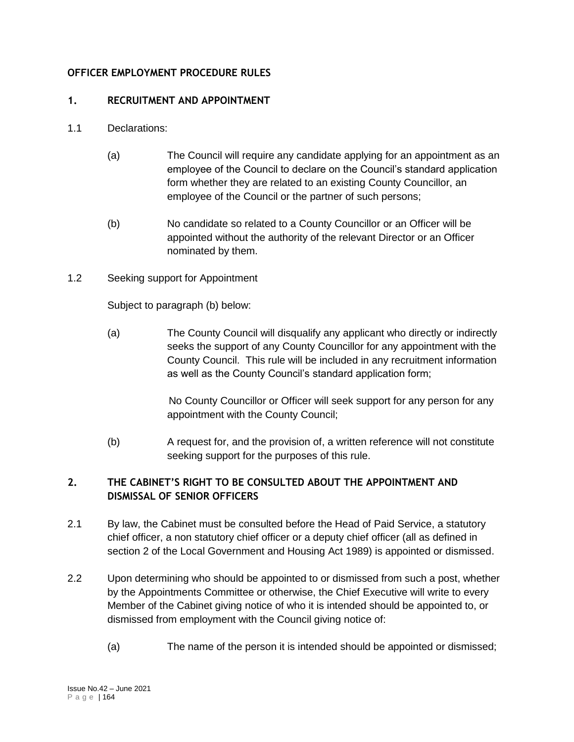### **OFFICER EMPLOYMENT PROCEDURE RULES**

### **1. RECRUITMENT AND APPOINTMENT**

- 1.1 Declarations:
	- (a) The Council will require any candidate applying for an appointment as an employee of the Council to declare on the Council's standard application form whether they are related to an existing County Councillor, an employee of the Council or the partner of such persons;
	- (b) No candidate so related to a County Councillor or an Officer will be appointed without the authority of the relevant Director or an Officer nominated by them.
- 1.2 Seeking support for Appointment

Subject to paragraph (b) below:

(a) The County Council will disqualify any applicant who directly or indirectly seeks the support of any County Councillor for any appointment with the County Council. This rule will be included in any recruitment information as well as the County Council's standard application form;

> No County Councillor or Officer will seek support for any person for any appointment with the County Council;

(b) A request for, and the provision of, a written reference will not constitute seeking support for the purposes of this rule.

# **2. THE CABINET'S RIGHT TO BE CONSULTED ABOUT THE APPOINTMENT AND DISMISSAL OF SENIOR OFFICERS**

- 2.1 By law, the Cabinet must be consulted before the Head of Paid Service, a statutory chief officer, a non statutory chief officer or a deputy chief officer (all as defined in section 2 of the Local Government and Housing Act 1989) is appointed or dismissed.
- 2.2 Upon determining who should be appointed to or dismissed from such a post, whether by the Appointments Committee or otherwise, the Chief Executive will write to every Member of the Cabinet giving notice of who it is intended should be appointed to, or dismissed from employment with the Council giving notice of:
	- (a) The name of the person it is intended should be appointed or dismissed;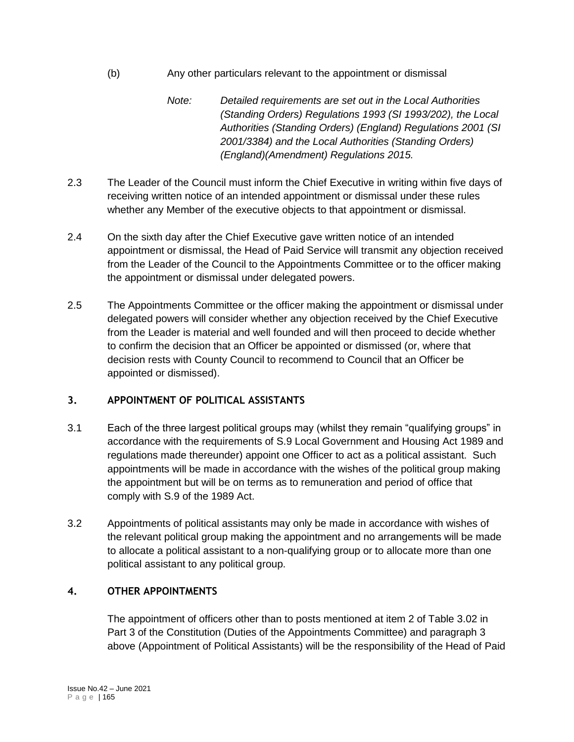- (b) Any other particulars relevant to the appointment or dismissal
	- *Note: Detailed requirements are set out in the Local Authorities (Standing Orders) Regulations 1993 (SI 1993/202), the Local Authorities (Standing Orders) (England) Regulations 2001 (SI 2001/3384) and the Local Authorities (Standing Orders) (England)(Amendment) Regulations 2015.*
- 2.3 The Leader of the Council must inform the Chief Executive in writing within five days of receiving written notice of an intended appointment or dismissal under these rules whether any Member of the executive objects to that appointment or dismissal.
- 2.4 On the sixth day after the Chief Executive gave written notice of an intended appointment or dismissal, the Head of Paid Service will transmit any objection received from the Leader of the Council to the Appointments Committee or to the officer making the appointment or dismissal under delegated powers.
- 2.5 The Appointments Committee or the officer making the appointment or dismissal under delegated powers will consider whether any objection received by the Chief Executive from the Leader is material and well founded and will then proceed to decide whether to confirm the decision that an Officer be appointed or dismissed (or, where that decision rests with County Council to recommend to Council that an Officer be appointed or dismissed).

# **3. APPOINTMENT OF POLITICAL ASSISTANTS**

- 3.1 Each of the three largest political groups may (whilst they remain "qualifying groups" in accordance with the requirements of S.9 Local Government and Housing Act 1989 and regulations made thereunder) appoint one Officer to act as a political assistant. Such appointments will be made in accordance with the wishes of the political group making the appointment but will be on terms as to remuneration and period of office that comply with S.9 of the 1989 Act.
- 3.2 Appointments of political assistants may only be made in accordance with wishes of the relevant political group making the appointment and no arrangements will be made to allocate a political assistant to a non-qualifying group or to allocate more than one political assistant to any political group.

## **4. OTHER APPOINTMENTS**

The appointment of officers other than to posts mentioned at item 2 of Table 3.02 in Part 3 of the Constitution (Duties of the Appointments Committee) and paragraph 3 above (Appointment of Political Assistants) will be the responsibility of the Head of Paid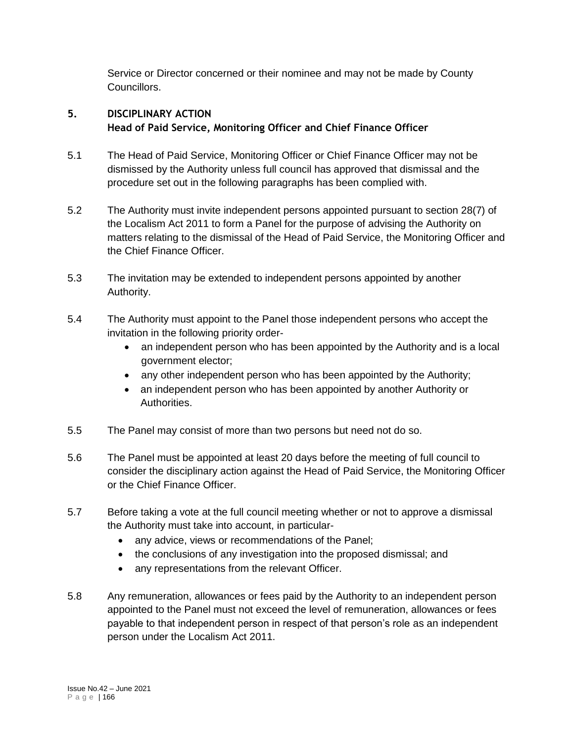Service or Director concerned or their nominee and may not be made by County Councillors.

# **5. DISCIPLINARY ACTION Head of Paid Service, Monitoring Officer and Chief Finance Officer**

- 5.1 The Head of Paid Service, Monitoring Officer or Chief Finance Officer may not be dismissed by the Authority unless full council has approved that dismissal and the procedure set out in the following paragraphs has been complied with.
- 5.2 The Authority must invite independent persons appointed pursuant to section 28(7) of the Localism Act 2011 to form a Panel for the purpose of advising the Authority on matters relating to the dismissal of the Head of Paid Service, the Monitoring Officer and the Chief Finance Officer.
- 5.3 The invitation may be extended to independent persons appointed by another Authority.
- 5.4 The Authority must appoint to the Panel those independent persons who accept the invitation in the following priority order
	- an independent person who has been appointed by the Authority and is a local government elector;
	- any other independent person who has been appointed by the Authority;
	- an independent person who has been appointed by another Authority or Authorities.
- 5.5 The Panel may consist of more than two persons but need not do so.
- 5.6 The Panel must be appointed at least 20 days before the meeting of full council to consider the disciplinary action against the Head of Paid Service, the Monitoring Officer or the Chief Finance Officer.
- 5.7 Before taking a vote at the full council meeting whether or not to approve a dismissal the Authority must take into account, in particular-
	- any advice, views or recommendations of the Panel;
	- the conclusions of any investigation into the proposed dismissal; and
	- any representations from the relevant Officer.
- 5.8 Any remuneration, allowances or fees paid by the Authority to an independent person appointed to the Panel must not exceed the level of remuneration, allowances or fees payable to that independent person in respect of that person's role as an independent person under the Localism Act 2011.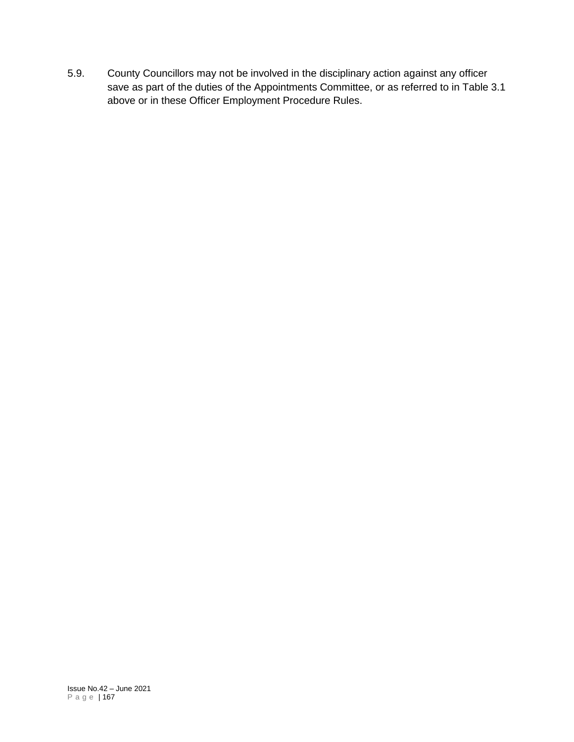5.9. County Councillors may not be involved in the disciplinary action against any officer save as part of the duties of the Appointments Committee, or as referred to in Table 3.1 above or in these Officer Employment Procedure Rules.